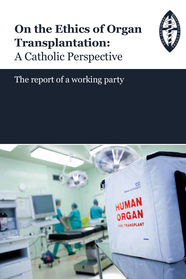# **On the Ethics of Organ Transplantation:** A Catholic Perspective



The report of a working party

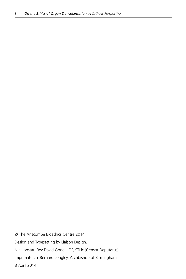© The Anscombe Bioethics Centre 2014 Design and Typesetting by Liaison Design. Nihil obstat: Rev David Goodill OP, STLic (Censor Deputatus) Imprimatur: + Bernard Longley, Archbishop of Birmingham 8 April 2014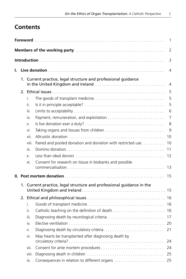# **Contents**

|   | $\mathbf{1}$ |       |                                                                       |                |  |  |
|---|--------------|-------|-----------------------------------------------------------------------|----------------|--|--|
|   |              |       |                                                                       | $\overline{2}$ |  |  |
|   | 3            |       |                                                                       |                |  |  |
| L |              |       |                                                                       | 4              |  |  |
|   |              |       | 1. Current practice, legal structure and professional guidance        | 4              |  |  |
|   |              |       |                                                                       | 5              |  |  |
|   |              | i.    |                                                                       | 5              |  |  |
|   |              | ii.   |                                                                       | 5              |  |  |
|   |              | iii.  |                                                                       | 6              |  |  |
|   |              | iv.   |                                                                       | 7              |  |  |
|   |              | V.    |                                                                       | 8              |  |  |
|   |              | vi.   | Taking organs and tissues from children                               | 9              |  |  |
|   |              | vii.  |                                                                       | 10             |  |  |
|   |              | viii. | Paired and pooled donation and donation with restricted use           | 10             |  |  |
|   |              | İX.   |                                                                       | 11             |  |  |
|   |              | Χ.    |                                                                       | 12             |  |  |
|   |              | xi.   | Consent for research on tissue in biobanks and possible               | 13             |  |  |
|   |              |       |                                                                       | 15             |  |  |
|   |              |       | 1. Current practice, legal structure and professional guidance in the |                |  |  |
|   |              |       |                                                                       | 15             |  |  |
|   |              |       |                                                                       |                |  |  |
|   |              | i.    |                                                                       | 16             |  |  |
|   |              | ii.   |                                                                       | 16             |  |  |
|   |              | iii.  |                                                                       | 17             |  |  |
|   |              | İV.   |                                                                       |                |  |  |
|   |              | V.    |                                                                       |                |  |  |
|   |              | vi.   | May hearts be transplanted after diagnosing death by                  | 24             |  |  |
|   |              | vii.  | Consent for ante mortem procedures                                    | 24             |  |  |
|   |              | viii. |                                                                       | 25             |  |  |
|   |              | ix.   |                                                                       | 25             |  |  |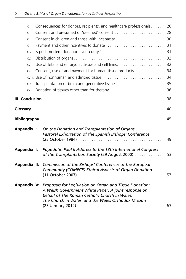| Χ.                   |       | Consequences for donors, recipients, and healthcare professionals 26                                                                                                                                                   |    |
|----------------------|-------|------------------------------------------------------------------------------------------------------------------------------------------------------------------------------------------------------------------------|----|
|                      | xi.   |                                                                                                                                                                                                                        | 28 |
|                      | xii.  |                                                                                                                                                                                                                        |    |
|                      | xiii. |                                                                                                                                                                                                                        | 31 |
|                      | xiv.  |                                                                                                                                                                                                                        | 31 |
|                      | XV.   |                                                                                                                                                                                                                        |    |
|                      |       |                                                                                                                                                                                                                        |    |
|                      |       | xvii. Consent, use of and payment for human tissue products                                                                                                                                                            | 34 |
|                      |       |                                                                                                                                                                                                                        |    |
|                      |       |                                                                                                                                                                                                                        |    |
|                      | XX.   |                                                                                                                                                                                                                        | 36 |
|                      |       |                                                                                                                                                                                                                        | 38 |
|                      |       |                                                                                                                                                                                                                        | 40 |
|                      |       |                                                                                                                                                                                                                        | 45 |
| <b>Appendix I:</b>   |       | On the Donation and Transplantation of Organs.                                                                                                                                                                         |    |
|                      |       | Pastoral Exhortation of the Spanish Bishops' Conference                                                                                                                                                                | 49 |
|                      |       |                                                                                                                                                                                                                        |    |
| <b>Appendix II:</b>  |       | Pope John Paul II Address to the 18th International Congress<br>of the Transplantation Society (29 August 2000)                                                                                                        | 53 |
| <b>Appendix III:</b> |       | Commission of the Bishops' Conferences of the European<br>Community (COMECE) Ethical Aspects of Organ Donation                                                                                                         | 57 |
| <b>Appendix IV:</b>  |       | Proposals for Legislation on Organ and Tissue Donation:<br>A Welsh Government White Paper: A joint response on<br>behalf of The Roman Catholic Church in Wales,<br>The Church in Wales, and the Wales Orthodox Mission | 63 |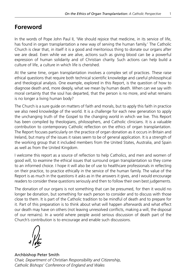# **Foreword**

In the words of Pope John Paul II, 'We should rejoice that medicine, in its service of life, has found in organ transplantation a new way of serving the human family.' The Catholic Church is clear that, in itself it is a good and meritorious thing to donate our organs after we are dead. Even while we are alive, actions such as giving blood can be a powerful expression of human solidarity and of Christian charity. Such actions can help build a culture of life, a culture in which life is cherished.

At the same time, organ transplantation involves a complex set of practices. These raise ethical questions that require both technical scientific knowledge and careful philosophical and theological analysis. One example, explored in this Report, is the question of how to diagnose death and, more deeply, what we mean by human death. When can we say with moral certainty that the soul has departed, that the person is no more, and what remains is no longer a living human body?

The Church is a sure guide on matters of faith and morals, but to apply this faith in practice we also need knowledge of the world. It is a challenge for each new generation to apply the unchanging truth of the Gospel to the changing world in which we live. This Report has been compiled by theologians, philosophers, and Catholic clinicians. It is a valuable contribution to contemporary Catholic reflection on the ethics of organ transplantation. The Report focuses particularly on the practice of organ donation as it occurs in Britain and Ireland, but many of the issues it raises seem to be of general application. It is a strength of the working group that it included members from the United States, Australia, and Spain as well as from the United Kingdom.

I welcome this report as a source of reflection to help Catholics, and men and women of good will, to examine the ethical issues that surround organ transplantation so they come to an informed choice. I hope it will also be of use to healthcare professionals in reflecting on their practice, to practice ethically in the service of the human family. The value of the Report is as much in the questions it asks as in the answers it gives, and I would encourage readers to consider these questions seriously and then to follow their own best judgements.

The donation of our organs is not something that can be presumed, for then it would no longer be donation, but something for each person to consider and to discuss with those close to them. It is part of the Catholic tradition to be mindful of death and to prepare for it. Part of this preparation is to think about what will happen afterwards and what effect our death may have on others (not leaving unresolved conflicts, making a will, the disposal of our remains). In a world where people avoid serious discussion of death part of the Church's contribution is to encourage and enable such discussions.

Archbishop Peter Smith *Chair, Department of Christian Responsibility and Citizenship, Catholic Bishops' Conference of England and Wales*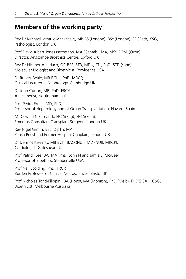# **Members of the working party**

Rev Dr Michael Jarmulowicz (chair), MB BS (London), BSc (London), FRCPath, KSG, Pathologist, London UK

Prof David Albert Jones (secretary), MA (Cantab), MA, MSt, DPhil (Oxon), Director, Anscombe Bioethics Centre, Oxford UK

Rev Dr Nicanor Austriaco, OP, BSE, STB, MDiv, STL, PhD, STD (cand), Molecular Biologist and Bioethicist, Providence USA

Dr Rupert Beale, MB BChir, PhD, MRCP, Clinical Lecturer in Nephrology, Cambridge UK

Dr John Curran, MB, PhD, FRCA, Anaesthetist, Nottingham UK

Prof Pedro Errasti MD, PhD, Professor of Nephrology and of Organ Transplantation, Navarre Spain

Mr Oswald N Fernando FRCS(Eng), FRCS(Edin), Emeritus Consultant Transplant Surgeon, London UK

Rev Nigel Griffin, BSc, DipTh, MA, Parish Priest and Former Hospital Chaplain, London UK

Dr Dermot Kearney, MB BCh, BAO (NUI), MD (NUI), MRCPI, Cardiologist, Gateshead UK

Prof Patrick Lee, BA, MA, PhD, John N and Jamie D McAleer Professor of Bioethics, Steubenville USA

Prof Neil Scolding, PhD, FRCP, Burden Professor of Clinical Neurosciences, Bristol UK

Prof Nicholas Tonti-Filippini, BA (Hons), MA (Monash), PhD (Melb), FHERDSA, KCSG, Bioethicist, Melbourne Australia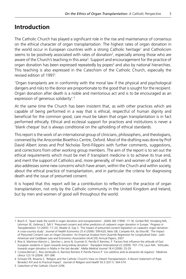# **Introduction**

The Catholic Church has played a significant role in the rise and maintenance of consensus on the ethical character of organ transplantation. The highest rates of organ donation in the world occur in European countries with a strong Catholic heritage<sup>1</sup> and Catholicism seems to be positively associated with rates of donation<sup>2</sup>, especially among those who are aware of the Church's teaching in this area<sup>3</sup>. Support and encouragement for the practice of organ donation has been expressed repeatedly by popes<sup>4</sup> and also by national hierarchies. This teaching is also expressed in the Catechism of the Catholic Church, especially the revised edition of 1997:

'Organ transplants are in conformity with the moral law if the physical and psychological dangers and risks to the donor are proportionate to the good that is sought for the recipient. Organ donation after death is a noble and meritorious act and is to be encouraged as an expression of generous solidarity'.<sup>5</sup>

At the same time the Church has been insistent that, as with other practices which are capable of being performed in a way that is ethical, respectful of human dignity and beneficial for the common good, care must be taken that organ transplantation is in fact performed ethically. Ethical and ecclesial support for practices and institutions is never a 'blank cheque' but is always conditional on the upholding of ethical standards.

This report is the work of an international group of clinicians, philosophers, and theologians, convened by the Anscombe Bioethics Centre, Oxford. Most of the drafting was done by Prof David Albert Jones and Prof Nicholas Tonti-Filippini with further comments, suggestions, and corrections from other working group members. The aim of the report is to set out the ethical requirements which must be met if transplant medicine is to achieve its true end, and merit the support of Catholics and, more generally, of men and women of good will. It also addresses some new concerns which have arisen, within the Church and within society, about the ethical practice of transplantation, and in particular the criteria for diagnosing death and the issue of presumed consent.

It is hoped that this report will be a contribution to reflection on the practice of organ transplantation, not only by the Catholic community in the United Kingdom and Ireland, but by men and women of good will throughout the world.

<sup>1</sup> Bosch X. 'Spain leads the world in organ donation and transplantation'. *JAMA* 282 (1999): 17-18; Gimbel RW, Strosberg MA, Lehrman SE, Gefenas E, Taft F. 'Presumed consent and other predictors of cadaveric organ donation in Europe.' *Progress in Transplantation* 13 (2003): 17–23; Abadie A, Gay S. 'The impact of presumed consent legislation on cadaveric organ donation: A cross-country study'. *Journal of Health Economics* 25.4 (2006): 599-620; Neto GB, Campelo KA, da Silva NE. 'The Impact of Presumed Consent Law on Organ Donation: An Empirical Analysis from Quantile Regression for Longitudinal Data'. *Latin American and Caribbean Law and Economics Association* (ALACDE) Annual Papers, 2007

<sup>2</sup> Ríos A, Martínez-Alarcón L, Sánchez J, Jarvis N, Guzmán D, Parrilla P, Ramírez, P. 'Factors that influence the attitude of East European residents in Spain towards living kidney donation'. *Transplant International* 22 (2009): 707–716; Lauri MA. 'Attitudes towards organ donation in Malta in the last decade'. *Malta Medical Journal* 18.4 (2006): 25-29.

<sup>3</sup> Conesa Bernal C, Ríos Zambudio A, Ramírez Romero P, Parrilla Paricio P. *'Los católicos ante la donación de órganos*'. *Medicina clínica* 123.10 (2004): 397-398.

<sup>4</sup> Schwarz ER, Rosanio S. 'Religion and the Catholic Church's View on (Heart) Transplantation: A Recent Statement of Pope Benedict XVI and its Practical Impact'. *Journal of Religion and Health* 50.3 (2011): 564-574.

<sup>5</sup> *Catechism of the Catholic Church* 2296.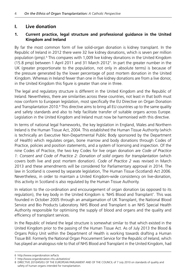# **I. Live donation**

## **1. Current practice, legal structure and professional guidance in the United Kingdom and Ireland**

By far the most common form of live solid-organ donation is kidney transplant. In the Republic of Ireland in 2012 there were 32 live kidney donations, which is seven per million population (pmp).<sup>6</sup> This compares with 1,009 live kidney donations in the United Kingdom (15.8 pmp) between 1 April 2011 and 31 March 20127 . In part the greater number in the UK (greater proportionate to the population, not only in absolute terms) is because of the pressure generated by the lower percentage of post mortem donation in the United Kingdom. Whereas in Ireland fewer than one in five kidney donations are from a live donor, in the United Kingdom this figure is greater than one in three.

The legal and regulatory structure is different in the United Kingdom and the Republic of Ireland. Nevertheless, there are similarities across these countries, not least in that both must now conform to European legislation, most specifically the EU Directive on Organ Donation and Transplantation 2010.<sup>8</sup> This directive aims to bring all EU countries up to the same quality and safety standards and also to help facilitate transfer of suitable organs across Europe. Legislation in the United Kingdom and Ireland must now be harmonised with this directive.

In terms of national legal frameworks, the key legislation in England, Wales and Northern Ireland is the Human Tissue Act, 2004. This established the Human Tissue Authority (which is technically an Executive Non-Departmental Public Body sponsored by the Department of Health) which regulates organ, bone marrow and body donations through Codes of Practice, policies and position statements, and a system of licensing and inspection. Of the nine Codes of Practice, the two key Codes for live organ donation are *Code of Practice 1: Consent and Code of Practice 2: Donation of solid organs for transplantation* (which covers both live and post mortem donation). *Code of Practice 2* was revised in March 2013 and these amendments will be considered for Parliamentary approval in 2014. The law in Scotland is covered by separate legislation, The Human Tissue (Scotland) Act 2006. Nevertheless, in order to maintain a United Kingdom-wide consistency on live-donation, this activity in Scotland is also regulated by the Human Tissue Authority.

In relation to the co-ordination and encouragement of organ donation (as opposed to its regulation), the key body in the United Kingdom is 'NHS Blood and Transplant'. This was founded in October 2005 through an amalgamation of UK Transplant, the National Blood Service and Bio Products Laboratory. NHS Blood and Transplant is an NHS Special Health Authority responsible for optimising the supply of blood and organs and the quality and efficiency of transplant services.

In the Republic of Ireland the legal structure is somewhat similar to that which existed in the United Kingdom prior to the passing of the Human Tissue Act. As of July 2013 the Blood & Organs Policy Unit within the Department of Health is working towards drafting a Human Tissue Bill. Formerly the National Organ Procurement Service for the Republic of Ireland, which has played an analogous role to that of NHS Blood and Transplant in the United Kingdom, had

<sup>6</sup> http://www.organdonation.ie/facts

<sup>7</sup> http://www.organdonation.nhs.uk/statistics/

<sup>8</sup> DIRECTIVE 2010/45/EU OF THE EUROPEAN PARLIAMENT AND OF THE COUNCIL of 7 July 2010 on standards of quality and safety of human organs intended for transplantation.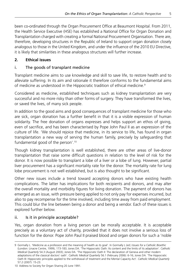been co-ordinated through the Organ Procurement Office at Beaumont Hospital. From 2011, the Health Service Executive (HSE) has established a National Office for Organ Donation and Transplantation charged with creating a formal National Procurement Organisation. There are, therefore, developing structures in the Republic of Ireland to support organ donation closely analogous to those in the United Kingdom, and under the influence of the 2010 EU Directive, it is likely that similarities in these analogous structures will further increase.

## **2. Ethical issues**

## i. The goods of transplant medicine

Transplant medicine aims to use knowledge and skill to save life, to restore health and to alleviate suffering. In its aim and rationale it therefore conforms to the fundamental aims of medicine as understood in the Hippocratic tradition of ethical medicine.<sup>9</sup>

Considered as medicine, established techniques such as kidney transplantation are very successful and no more risky than other forms of surgery. They have transformed the lives, or saved the lives, of many sick people.

In addition to the good aims and good consequences of transplant medicine for those who are sick, organ donation has a further benefit in that it is a visible expression of human solidarity. The free donation of organs expresses and helps support an ethos of giving, even of sacrifice, and has been characterised by Pope John Paul II as an expression of the culture of life. 'We should rejoice that medicine, in its service to life, has found in organ transplantation a new way of serving the human family, precisely by safeguarding that fundamental good of the person'.10

Though kidney transplantation is well established, there are other areas of live-donor transplantation that raise some difficult questions in relation to the level of risk for the donor. It is now possible to transplant a lobe of a liver or a lobe of lung. However, partial liver procurement has a significant mortality rate for the donor. The mortality rate for lung lobe procurement is not well established, but is also thought to be significant.

Other new issues include a trend toward accepting donors who have existing health complications. The latter has implications for both recipients and donors, and may alter the overall mortality and morbidity figures for living donation. The payment of donors has emerged as an issue, with pressure being applied to not only pay for expenses incurred, but also to pay recompense for the time involved, including time away from paid employment. This could blur the line between being a donor and being a vendor. Each of these issues is explored further below.

# ii. Is it in principle acceptable?

Yes, organ donation from a living person can be morally acceptable. It is acceptable precisely as a voluntary act of charity, provided that it does not involve a serious loss of function for the donor. Pope John Paul II praised blood and organ donors for such a 'noble

<sup>9</sup> Gormally L. 'Medicine as a profession and the meaning of health as its goal'. In Gormally L (ed.) *Issues for a Catholic Bioethic*  (London: Linacre Centre, 1999), 173-183; Jones DA. 'The Hippocratic Oath: Its content and the limits of its adaptation'. *Catholic Medical Quarterly* 54.3 (August 2003); Jones DA. 'The Hippocratic Oath II: The declaration of Geneva and other modern adaptations of the classical doctors' oath'. *Catholic Medical Quarterly* 56.1 (February 2006): 6-16; Jones DA. 'The Hippocratic Oath III: Hippocratic principles applied to the withdrawal of treatment and the Mental Capacity Act'. *Catholic Medical Quarterly* 57.2 (2007): 15-23.

<sup>10</sup> Address to Society for Organ Sharing 20 June 1991.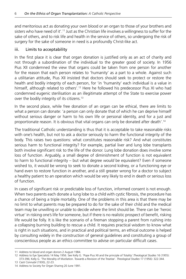and meritorious act as donating your own blood or an organ to those of your brothers and sisters who have need of it'.<sup>11</sup> Just as the Christian life involves a willingness to suffer for the sake of others, and to risk life and health in the service of others, so undergoing the risk of surgery for the sake of someone in need is a profoundly Christ-like act.

#### iii. Limits to acceptability

In the first place it is clear that organ donation is justified only as an act of charity and not through a subordination of the individual to the greater good of society. In 1956 Pius XII condemned the view that organs could be taken from one person for another for the reason that each person relates to 'humanity' as a part to a whole. Against such a utilitarian attitude, Pius XII insisted that doctors should seek to protect or restore the health and bodily integrity of each person, for 'in 'humanity' each individual is a value in himself, although related to others'.<sup>12</sup> Here he followed his predecessor Pius XI who had condemned eugenic sterilisation as an illegitimate attempt of the State to exercise power over the bodily integrity of its citizens.<sup>13</sup>

In the second place, while free donation of an organ can be ethical, there are limits to what a person can donate: 'a person can only donate that of which he can deprive himself without serious danger or harm to his own life or personal identity, and for a just and proportionate reason. It is obvious that vital organs can only be donated after death'.14

The traditional Catholic understanding is thus that it is acceptable to take reasonable risks with one's health, but not to ask a doctor seriously to harm the functional integrity of the body. This raises two questions: what constitutes reasonable risk? And what constitutes serious harm to functional integrity? For example, partial liver and lung lobe transplants both involve significant risk to the life of the donor. Lung lobe donation does involve some loss of function. Arguably, a small degree of diminishment of function is not equivalent to harm to functional integrity – but what degree *would* be equivalent? Even if someone wished to, it would be wrong to seek to donate a second kidney, or a functioning eye or hand even to restore function in another, and a still greater wrong for a doctor to subject a healthy patient to an operation which would be very likely to end in death or serious loss of function.

In cases of significant risk or predictable loss of function, informed consent is not enough. When two parents each donate a lung lobe to a child with cystic fibrosis, the procedure has a chance of being a triple mortality. One of the problems in this area is that there may be no limit to what parents may be prepared to do for the sake of their child and the medical team may be unwilling or unable to decide where the limit should be. There can be 'heroic virtue' in risking one's life for someone, but if there is no realistic prospect of benefit, risking life would be folly. It is like the scenario of a fireman stopping a parent from rushing into a collapsing burning building to rescue a child. It requires practical wisdom to know what is right in such situations, and in practical and political terms, an ethical outcome is helped by consulting widely in the construction of general guidelines and constituting a group of conscientious people as an ethics committee to advise on particular difficult cases.

13 *Casti Connubii* (1930), 22-23.

<sup>11</sup> Address to blood and organ donors 2 August 1984.

<sup>12</sup> Address to Eye Specialists 14 May 1956. See Kelly G. 'Pope Pius XII and the principle of Totality'.*Theological Studies* 16 (1955): 373-396; Kelly G. 'The Morality of Mutilation. Towards a Revision of the Treatise'. *Theological Studies* 17 (1956): 322-344.

<sup>14</sup> Address to Society for Organ Sharing 20 June 1991.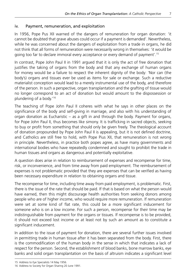#### iv. Payment, remuneration, and exploitation

In 1956, Pope Pus XII warned of the dangers of remuneration for organ donation: 'it cannot be doubted that grave abuses could occur if a payment is demanded'. Nevertheless, while he was concerned about the dangers of exploitation from a trade in organs, he did not think that all forms of remuneration were necessarily wrong in themselves: 'it would be going too far to declare immoral every acceptance or every demand of payment'.15

In contrast, Pope John Paul II in 1991 argued that it is only the act of free donation that justifies the taking of organs from the body and that any exchange of human organs for money would be a failure to respect the inherent dignity of the body: 'Nor can (the body's) organs and tissues ever be used as items for sale or exchange. Such a reductive materialist conception would lead to a merely instrumental use of the body, and therefore of the person. In such a perspective, organ transplantation and the grafting of tissue would no longer correspond to an act of donation but would amount to the dispossession or plundering of a body.'16

The teaching of Pope John Paul II coheres with what he says in other places on the significance of the body and self-giving in marriage, and also with his understanding of organ donation as Eucharistic – as a gift in and through the body. Payment for organs, for Pope John Paul II, thus becomes like simony. It is trafficking in sacred objects, seeking to buy or profit from something that should only be given freely. The theological account of donation propounded by Pope John Paul II is appealing, but it is not defined doctrine, and Catholics are still free to hold, with Pope Pius XII, that remuneration is not wrong in principle. Nevertheless, in practice both popes agree, as have many governments and international bodies who have repeatedly condemned and sought to prohibit the trade in human tissues and organs as dangerous and potentially exploitative.

A question does arise in relation to reimbursement of expenses and recompense for time, risk, or inconvenience, and from time away from paid employment. The reimbursement of expenses is not problematic provided that they are expenses that can be verified as having been necessary expenditure in relation to obtaining organs and tissue.

The recompense for time, including time away from paid employment, is problematic. First, there is the issue of the rate that should be paid. If that is based on what the person would have earned, then this might discourage health authorities from seeking donors among people who are of higher income, who would require more remuneration. If remuneration were set at some kind of flat rate, this could be a more significant inducement for someone who is on a low income. For such a person, recompense for their time may be indistinguishable from payment for the organs or tissues. If recompense is to be provided, it should not exceed lost income or at least not by such an amount as to constitute a significant inducement.

In addition to the issue of payment for donation, there are several further issues involved in permitting trade in human tissue after it has been separated from the body. First, there is the commodification of the human body in the sense in which that indicates a lack of respect for the person. Second, the establishment of blood banks, bone marrow banks, eye banks and solid organ transplantation on the basis of altruism indicates a significant level

15 Address to Eye Specialists 14 May 1956.

<sup>16</sup> Address to Society for Organ Sharing 20 June 1991.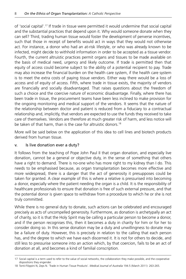of 'social capital'.17 If trade in tissue were permitted it would undermine that social capital and the substantial practices that depend upon it. Why would someone donate when they can sell? Third, trading human tissue would foster the development of perverse incentives, such that those in receipt of benefits would act in ways that they would not otherwise act. For instance, a donor who had an at-risk lifestyle, or who was already known to be infected, might decide to withhold information in order to be accepted as a tissue vendor. Fourth, the current altruistic practices permit organs and tissues to be made available on the basis of medical need, urgency and likely outcome. If trade is permitted then that equity of access could become subject to the ability of a potential recipient to pay. Trade may also increase the financial burden on the health care system, if the health care system is to meet the extra costs of paying tissue vendors. Either way there would be a loss of access and of equity of access. Fifth, where trade in tissue exists, the majority of vendors are financially and socially disadvantaged. That raises questions about the freedom of such a choice and the coercive nature of economic disadvantage. Finally, where there has been trade in tissue, the procurement teams have been less inclined to make provision for the ongoing monitoring and medical support of the vendors. It seems that the nature of the relationship between doctor and patient is reduced from a fiduciary to a contractual relationship and, implicitly, that vendors are expected to use the funds they received to take care of themselves. Vendors are therefore at much greater risk of harm, and less notice will be taken of that harm, than is the case for altruistic donors.<sup>18</sup>

More will be said below on the application of this idea to cell lines and biotech products derived from human tissue.

## v. Is live donation ever a duty?

It follows from the teaching of Pope John Paul II that organ donation, and especially live donation, cannot be a general or objective duty, in the sense of something that others have a right to demand. There is no-one who has more right to my kidney than I do. This needs to be emphasised because, as organ transplantation becomes more effective and more widespread, there is a danger that the act of generosity it presupposes could be taken for granted. A clear example of this is where a relative is pressurised into becoming a donor, especially where the patient needing the organ is a child. It is the responsibility of healthcare professionals to ensure that donation is free of such external pressure, and that the potential donor is given space to withdraw from a procedure to which he or she is not truly committed.

While there is no general duty to donate, such actions can be celebrated and encouraged precisely as acts of uncompelled generosity. Furthermore, as donation is archetypally an act of charity, so it is that the Holy Spirit may be calling a particular person to become a donor, and if the person recognises this, then it becomes a duty in charity for him or for her to consider doing so. In this sense donation may be a duty and unwillingness to donate may be a failure of duty. However, this is precisely in relation to the calling that each person has, and the degree to which we have each discerned it. It is not for others to decide, and still less to pressurise someone into an action which, by that coercion, fails to be an act of donation at all, and becomes a kind of familial conscription.

18 Tonti-Filippini N, Zeps N. 'Trade in Human Tissue Products'. *Medical Journal of Australia* 194.5 (March 2011): 263-265.

<sup>17</sup> Social capital is a term used to refer to the value of social networks, the collaboration they make possible, and the cooperative dispositions they engender.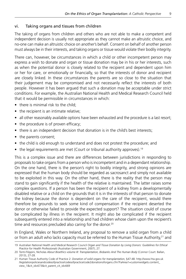## vi. Taking organs and tissues from children

The taking of organs from children and others who are not able to make a competent and independent decision is usually not appropriate as they cannot make an altruistic choice, and no-one can make an altruistic choice on another's behalf. Consent on behalf of another person must always be in their interests, and taking organs or tissue would violate their bodily integrity.

There can, however, be circumstances in which a child or other incompetent person may express a wish to donate and organ or tissue donation may be in his or her interests, such as when the potential donor is closely related to the recipient and dependent upon him or her for care, or emotionally or financially, so that the interests of donor and recipient are closely linked. In these circumstances the parents are so close to the situation that their judgement may be compromised and not necessarily reflect the interests of both people. However it has been argued that such a donation may be acceptable under strict conditions. For example, the Australian National Health and Medical Research Council held that it would be permissible in circumstances in which:

- $\bullet$  there is minimal risk to the child:
- $\bullet$  the recipient is an intimate relative;
- all other reasonably available options have been exhausted and the procedure is a last resort;
- the procedure is of proven efficacy;
- there is an independent decision that donation is in the child's best interests;
- the parents consent;
- the child is old enough to understand and does not protest the procedure; and
- the legal requirements are met (Court or tribunal authority approves).<sup>19</sup>

This is a complex issue and there are differences between jurisdictions in responding to proposals to take organs from a person who is incompetent and in a dependant relationship. On the one hand, there is the person's right to bodily integrity, and strong opinions are expressed that the human body should be regarded as sacrosanct and simply not available to be exploited in this way. On the other hand, there is the reality that the person may stand to gain significantly if the health of the relative is maintained. The latter raises some complex questions. If a person has been the recipient of a kidney from a developmentally disabled relative or a child on the grounds that it is in the interests of that person to donate the kidney because the donor is dependent on the care of the recipient, would there therefore be grounds to seek some kind of compensation if the recipient deserted the donor or otherwise failed to provide the expected support? The situation could of course be complicated by illness in the recipient. It might also be complicated if the recipient subsequently entered into a relationship and had children whose claim upon the recipient's time and resources precluded also caring for the donor.<sup>20</sup>

In England, Wales or Northern Ireland, any proposal to remove a solid organ from a child or from an adult who lacks capacity must be referred to the Human Tissue Authority, $21$  and

<sup>19</sup> Australian National Health and Medical Research Council *Organ and Tissue Donation by Living Donors: Guidelines for Ethical Practice for Health Professionals* (Australian Government, 2007), 27.

<sup>20</sup> Tonti-Filippini, Nicholas *About Bioethics volume III: Transplantation, Biobanks And The Human Body* (Connor Court: Ballan, 2013), 27-28.

<sup>21</sup> Human Tissue Authority Code of Practice 2: *Donation of solid organs for transplantation*, §47-48. http://www.hta.gov.uk /legislationpoliciesandcodesofpractice/codesofpractice/code2donationoforgans.cfm?FaArea1=customwidgets.content\_ view\_1&cit\_id=673&cit\_parent\_cit\_id=669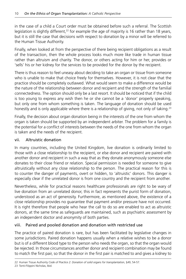in the case of a child a Court order must be obtained before such a referral. The Scottish legislation is slightly different,<sup>22</sup> for example the age of majority is 16 rather than 18 years, but it is still the case that decisions with respect to donation by a minor will be referred to the Human Tissue Authority.

Finally, when looked at from the perspective of there being recipient obligations as a result of the transaction, then the whole process looks much more like trade in human tissue rather than altruism and charity. The donor, or others acting for him or her, provides or 'sells' his or her kidney for the services to be provided for the donor by the recipient.

There is thus reason to feel uneasy about deciding to take an organ or tissue from someone who is unable to make that choice freely for themselves. However, it is not clear that the practice should be completely outlawed. What would seem to make a difference would be the nature of the relationship between donor and recipient and the strength of the familial connectedness. The option should only be a last resort. It should be noticed that if the child is too young to express any wish then he or she cannot be a 'donor' properly speaking, but only one from whom something is taken. The language of donation should be used honestly and is only applicable where there is a relationship of giving, not only of taking.<sup>23</sup>

Finally, the decision about organ donation being in the interests of the one from whom the organ is taken should be supported by an independent arbiter. The problem for a family is the potential for a conflict of interests between the needs of the one from whom the organ is taken and the needs of the recipient.

#### vii. Altruistic donation

In many countries, including the United Kingdom, live donation is ordinarily limited to those with a close relationship to the recipient, or else donor and recipient are paired with another donor and recipient in such a way that as they donate anonymously someone else donates to their close friend or relation. Special permission is needed for someone to give altruistically without any close relationship to the person. The practical reason for this is to counter the danger of payments, overt or hidden, to 'altruistic' donors. This danger is especially clear if the unrelated donor is from one country and the recipient from another.

Nevertheless, while for practical reasons healthcare professionals are right to be wary of live donation from an unrelated donor, this in fact represents the purist form of donation, understood as an act of generosity. Furthermore, as mentioned above, the existence of a close relationship provides no guarantee that payment and/or pressure have not occurred. It is right therefore that people who hear the call to do so are enabled to act as altruistic donors, at the same time as safeguards are maintained, such as psychiatric assessment by an independent doctor and anonymity of both parties.

## viii. Paired and pooled donation and donation with restricted use

The practice of paired donation is rare, but has been facilitated by legislative changes in some jurisdictions. Paired donation happens usually when a relative wishes to be a donor but is of a different blood type to the person who needs the organ, so that the organ would be rejected. In those circumstances another donor and recipient combination may be found to match the first pair, so that the donor in the first pair is matched to and gives a kidney to

23 Tonti-Filippini Nicholas, Ibid.

<sup>22</sup> Human Tissue Authority *Code of Practice 2: Donation of solid organs for transplantation*, §49, 54-57.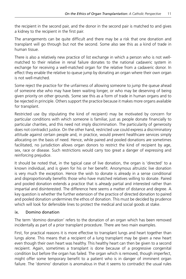the recipient in the second pair, and the donor in the second pair is matched to and gives a kidney to the recipient in the first pair.

The arrangements can be quite difficult and there may be a risk that one donation and transplant will go through but not the second. Some also see this as a kind of trade in human tissue.

There is also a relatively new practice of list exchange in which a person who is not wellmatched to their relative in renal failure donates to the national cadaveric system in exchange for receiving a well-matched organ for the relative from a cadaveric donor. In effect they enable the relative to queue jump by donating an organ where their own organ is not well-matched.

Some reject the practice for the unfairness of allowing someone to jump the queue ahead of someone else who may have been waiting longer, or who may be deserving of being given priority on other grounds. Some see this as a form of trade in human organs and to be rejected in principle. Others support the practice because it makes more organs available for transplant.

Restricted use (by stipulating the kind of recipient) may be motivated by concern for particular conditions with which someone is familiar, just as people donate financially to particular charities, and this need not imply discrimination. The particularity of generosity does not contradict justice. On the other hand, restricted use could express a discriminatory attitude against certain people and, in practice, would prevent healthcare services simply allocating on the basis of need. Hence, while paired and pooled donations are sometimes facilitated, no jurisdiction allows organ donors to restrict the kind of recipient by age, sex, race or disease. Such restrictions would carry too great a danger of expressing and reinforcing prejudice.

It should be noted that, in the typical case of live donation, the organ is 'directed' to a known individual, and is given for his or her benefit. Anonymous altruistic live donation is very much the exception. Hence the wish to donate is already in a sense conditional and disproportionally benefits those who have matched relatives willing to donate. Paired and pooled donation extends a practice that is *already* partial and interested rather than impartial and disinterested. The difference here seems a matter of distance and degree. A key question is whether the further extension of the practice of directed donation to paired and pooled donation undermines the ethos of donation. This must be decided by prudence which will look for defensible lines to protect the medical and social goods at stake.

#### ix. Domino donation

The term 'domino donation' refers to the donation of an organ which has been removed incidentally as part of a prior transplant procedure. There are two main examples.

First, for practical reasons it is more effective to transplant lungs and heart together than lungs alone. This means that a recipient of a lung transplant may be given a new heart even though their own heart was healthy. This healthy heart can then be given to a second recipient. Again, sometimes a transplant is done because of a progressive congenital condition but before the organ has failed. The organ which is removed, though imperfect, might offer some temporary benefit to a patient who is in danger of imminent organ failure. The 'domino' donation is anomalous in that it seems to contradict the usual rules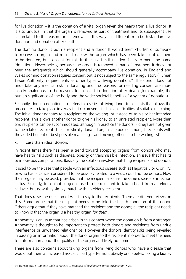for live donation – it is the donation of a vital organ (even the heart) from a live donor! It is also unusual in that the organ is removed as part of treatment and its subsequent use is unrelated to the reason for its removal. In this way it is different from both standard live donation and donation after death.

The domino donor is both a recipient and a donor. It would seem churlish of someone to receive an organ and refuse to allow the organ which has been taken out of them to be donated, but consent for this further use is still needed if it is to merit the name 'donation'. Nevertheless, because the organ is removed as part of treatment it does not need the safeguards which should generally accompany live donation. In England and Wales domino donation requires consent but is not subject to the same regulatory (Human Tissue Authority) requirements as other types of living donation.<sup>24</sup> The donor does not undertake any medical risk in donating and the reasons for needing consent are more closely analogous to the reasons for consent in donation after death (for example, the human significance of the body and the wider societal benefits of a system of donation).

Secondly, domino donation also refers to a series of living donor transplants that allows the procedures to take place in a way that circumvents technical difficulties of suitable matching. The initial donor donates to a recipient on the waiting list instead of to his or her intended recipient. This allows another donor to give his kidney to an unrelated recipient. More than two recipients can be accommodated, although in practice the donors' kidneys are not given to the related recipient. The altruistically donated organs are pooled amongst recipients with the added benefit of best possible matching – and moving others 'up the waiting list'.

#### x. Less than ideal donors

In recent times there has been a trend toward accepting organs from donors who may have health risks such as diabetes, obesity or transmissible infection, an issue that has its own obvious complications. Basically the solution involves matching recipients and donors.

It used to be the case that people with an infectious disease such as Hepatitis B or C or HIV, or who had a cancer considered to be possibly related to a virus, could not be donors. Now their organs may be used, provided that the recipient also has the same disease or infection status. Similarly, transplant surgeons used to be reluctant to take a heart from an elderly cadaver, but now they simply match with an elderly recipient.

That does raise the question of what to say to the recipients. There are different views on this. Some argue that the recipient needs to be told the health condition of the donor. Others argue that if they have matched the recipient and the donor, all the recipient needs to know is that the organ is a healthy organ *for them*.

Anonymity is an issue that has arisen in this context when the donation is from a stranger. Anonymity is thought to be important to protect both donors and recipients from undue interference or unwanted relationships. However the donor's identity risks being revealed in passing on information about the donor organ to the recipient in order to meet the need for information about the quality of the organ and likely outcome.

There are also concerns about taking organs from living donors who have a disease that would put them at increased risk, such as hypertension, obesity or diabetes. Taking a kidney

<sup>24</sup> Human Tissue Authority *Code of Practice 2: Donation of solid organs for transplantation*, § 28.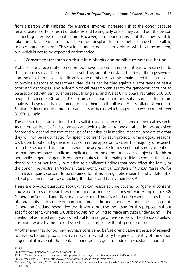from a person with diabetes, for example, involves increased risk to the donor because renal disease is often a result of diabetes and having only one kidney would put the person at much greater risk of renal failure. However, if someone is insistent that they want to take the risk to benefit a relative, then the transplant teams sometimes have been willing to accommodate them.<sup>25</sup> This could be understood as heroic virtue, which can be admired, but which is not to be expected or demanded.

## xi. Consent for research on tissue in biobanks and possible commercialisation

Biobanks are a recent phenomenon, but have become an important part of research into disease processes at the molecular level. They are often established by pathology services and the goal is to have a significantly large number of samples maintained in culture so as to provide a service to researchers. New drugs can be tried against a large range of tissue types and genotypes, and epidemiological research can search for genotypes thought to be associated with particular diseases. In England and Wales UK Biobank recruited 500,000 people between 2006 and 2010 to provide blood, urine and saliva samples for future analysis. These recruits also agreed to have their health followed.26 In Scotland, Generation Scotland<sup>27</sup> incorporates three research tissue banks which together have recruited over 30,000 people.

These tissue banks are designed to be available as a resource for a range of medical research. As the ethical issues of these projects are typically similar to one another, donors are asked for broad or general consent to the use of their tissues in medical research, and are told that they will not be re-contacted for specific consent for each project. For analogous reasons, UK Biobank obtained generic ethics committee approval to cover the majority of research using the resource. This approach would be acceptable for research that is not contentious or that does not have significant implications for the donor or research subject or for his or her family. In general, genetic research requires that it remain possible to contact the tissue donor or his or her family in relation to significant findings that may affect the family or the donor. The Australian *National Statement On Ethical Conduct Of Human Research*, for instance, requires consent to be obtained for all human genetic research and a 'defensible ethical plan' in relation to contacting the donor and family members.<sup>28</sup>

There are obvious questions about what can reasonably be covered by 'general consent' and what forms of research would require further specific consent. For example, in 2009 Generation Scotland and UK Biobank were asked directly whether they would allow the use of donated tissue to create human-non human admixed embryos without specific consent. Generation Scotland responded that it would not use the tissue for this purpose without specific consent, whereas UK Biobank was not willing to make any such undertaking.<sup>29</sup> The creation of admixed embryos is unethical for a range of reasons, as will be discussed below. It is made worse by the use of tissue for this purpose without specific consent.

Another area that donors may not have considered before giving tissue is the use of research to develop biotech products which may or may not carry the genetic identity of the donor. In general all materials that contain an individual's genetic code or a substantial part of it is

25 Ibid.

<sup>26</sup> http://www.ukbiobank.ac.uk/about-biobank-uk/

<sup>27</sup> http://www.generationscotland.org/index.php?option=com\_content&view=article&id=4&Itemid=8

<sup>28</sup> Accessed 19/8/2013 from http://www.nhmrc.gov.au/guidelines/publications/e72

<sup>29</sup> Jones DA, MacKellar, C. 'Consent for biobank tissue in somatic-cell nuclear transfer?' *Lancet* 374.9693 (12 September 2009): 861-863.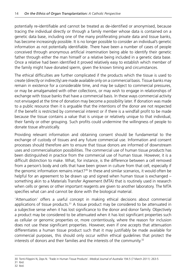potentially re-identifiable and cannot be treated as de-identified or anonymised, because tracing the individual directly or through a family member whose data is contained on a genetic data base, including one of the many proliferating private data and tissue banks, has become increasingly possible. It is no longer possible to consider an individual's genetic information as not potentially identifiable. There have been a number of cases of people conceived through anonymous artificial insemination being able to identify their genetic father through either the man himself or a relative being included in a genetic data base. Once a relative had been identified it proved relatively easy to establish which member of the family might have donated sperm, given the known timing and circumstances.

The ethical difficulties are further complicated if the products which the tissue is used to create (directly or indirectly) are made available only on a commercial basis. Tissue banks may remain in existence for a considerable time, and may be subject to commercial pressures, or may be amalgamated with other collections, or may wish to engage in relationships of exchange with tissue banks that have a commercial basis. In these ways commercial activity not envisaged at the time of donation may become a possibility later. If donation was made to a public resource then it is arguable that the intentions of the donor are not respected if the benefit is restricted by commercial interest or if there is a windfall profit to be made because the tissue contains a value that is unique or relatively unique to that individual, their family or other grouping. Such profits could undermine the willingness of people to donate tissue altruistically.

Providing relevant information and obtaining consent should be fundamental to the exchange of custody of tissues and any future commercial use. Information and consent processes should therefore aim to ensure that tissue donors are informed of downstream uses and commercialisation possibilities. The commercial use of human tissue *products* has been distinguished in practice from the commercial use of human tissue. However, it is a difficult distinction to make. What, for instance, is the difference between a cell removed from a person's body and cells that have been grown in culture from that cell, especially if the genomic information remains intact?<sup>30</sup> In these and similar scenarios, it would often be helpful for an agreement to be drawn up and signed when human tissue is exchanged – something akin to a Materials Transfer Agreement (MTA) that is routinely used in research when cells or genes or other important reagents are given to another laboratory. The MTA specifies what can and cannot be done with the biological material.

'Attenuation' offers a useful concept in making ethical decisions about commercial applications of tissue products.<sup>31</sup> A tissue product may be considered to be attenuated in a subjective sense when it has lost significance to the donor and donor family. Objectively a product may be considered to be attenuated when it has lost significant properties such as cellular or genomic properties or, more contentiously, where the reason for inclusion does not use these significant properties. However, even if one accepts that attenuation differentiates a human tissue product such that it may justifiably be made available for commercial purposes, this should only occur within ethical guidelines that protect the interests of donors and their families and the interests of the community.<sup>32</sup>

31 Ibid. 32 Ibid.

<sup>30</sup> Tonti-Filippini N, Zeps N. 'Trade in Human Tissue Products'. *Medical Journal of Australia* 194.5 (7 March 2011): 263-5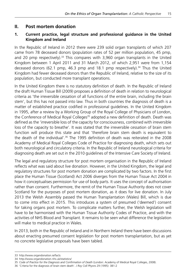# **II. Post mortem donation**

## **1. Current practice, legal structure and professional guidance in the United Kingdom and Ireland**

In the Republic of Ireland in 2012 there were 239 solid organ transplants of which 207 came from 78 deceased donors (population rates of 52 per million population, 45 pmp, and 20 pmp respectively).<sup>33</sup> This compares with 3,960 organ transplants in the United Kingdom between 1 April 2011 and 31 March 2012, of which 2,951 were from 1,154 deceased donors (62.1 pmp, 46.3 pmp and 18.1 pmp respectively).<sup>34</sup> Thus the United Kingdom had fewer deceased donors than the Republic of Ireland, relative to the size of its population, but conducted more transplant operations.

In the United Kingdom there is no statutory definition of death. In the Republic of Ireland the draft Human Tissue Bill (2009) proposes a definition of death in relation to neurological criteria as 'the irreversible cessation of all functions of the entire brain, including the brain stem', but this has not passed into law. Thus in both countries the diagnosis of death is a matter of established practice codified in professional guidelines. In the United Kingdom in 1995, after a review by a Working Group of the Royal College of Physicians of London, the Conference of Medical Royal Colleges<sup>35</sup> adopted a new definition of death. Death was defined as the 'irreversible loss of the capacity for consciousness, combined with irreversible loss of the capacity to breathe'. It was stated that the irreversible cessation of brain stem function will produce this state and that 'therefore brain stem death is equivalent to the death of the individual'.36 The 1995 definition of death was reiterated in the 2008 Academy of Medical Royal Colleges Code of Practice for diagnosing death, which sets out both neurological and circulatory criteria. In the Republic of Ireland neurological criteria for diagnosing death are set out in the 2010 guidelines of the Intensive Care Society of Ireland.

The legal and regulatory structure for post mortem organisation in the Republic of Ireland reflects what was said about live donation. However, in the United Kingdom, the legal and regulatory structures for post mortem donation are complicated by two factors. In the first place the Human Tissue (Scotland) Act 2006 diverges from the Human Tissue Act 2004 in how it conceptualises permission for use of body parts. It uses the concept of authorisation rather than consent. Furthermore, the remit of the Human Tissue Authority does not cover Scotland for the purposes of post mortem donation, as it does for live donation. In July 2013 the Welsh Assembly passed the Human Transplantation (Wales) Bill, which is due to come into effect in 2015. This introduces a system of presumed ('deemed') consent for taking organs post mortem. To complicate matters further, the Welsh legislation will have to be harmonised with the Human Tissue Authority Codes of Practice, and with the activities of NHS Blood and Transplant. It remains to be seen what difference the legislation will make to medical practice in Wales.

In 2013, both in the Republic of Ireland and in Northern Ireland there have been discussions about enacting presumed consent legislation for post mortem transplantation, but as yet no concrete legislative proposals have been tabled.

35 *Code of Practice for the Diagnosis and Confirmation of Death* (London: Academy of Medical Royal Colleges, 2008).

<sup>33</sup> http://www.organdonation.ie/facts

<sup>34</sup> http://www.organdonation.nhs.uk/statistics/

<sup>36 &#</sup>x27;Criteria for the diagnosis of brain stem death'. *J Roy Coll Physns* 29 (1995): 381-2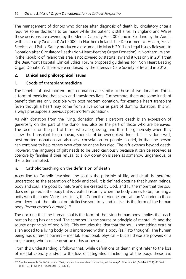The management of donors who donate after diagnosis of death by circulatory criteria requires some decisions to be made while the patient is still alive. In England and Wales these decisions are covered by the Mental Capacity Act 2005 and in Scotland by the Adults with Incapacity (Scotland) Act 2000. In Northern Ireland, the Department of Health, Social Services and Public Safety produced a document in March 2011 on Legal Issues Relevant to Donation after Circulatory Death (Non-Heart-Beating Organ Donation) in Northern Ireland. In the Republic of Ireland this area is not covered by statute law and it was only in 2011 that the Beaumont Hospital Clinical Ethics Forum proposed guidelines for 'Non Heart Beating Organ Donation'. These were endorsed by the Intensive Care Society of Ireland in 2012.

# **2. Ethical and philosophical issues**

## i. Goods of transplant medicine

The benefits of post mortem organ donation are similar to those of live donation. This is a form of medicine that saves and transforms lives. Furthermore, there are some kinds of benefit that are only possible with post mortem donation, for example heart transplant (even though a heart may come from a live donor as part of domino donation, this will always presuppose a previous post mortem donation).

As with donation from the living, donation after a person's death is an expression of generosity on the part of the donor and also on the part of those who are bereaved. The sacrifice on the part of those who are grieving, and thus the generosity when they allow the transplant to go ahead, should not be overlooked. Indeed, if it is done well, post mortem donation can also be a consolation for people in grief, in that the person can continue to help others even after he or she has died. The gift extends beyond death. However, the language of gift needs to be used cautiously because it can be received as coercive by families if their refusal to allow donation is seen as somehow ungenerous, or the latter is implied.

## ii. Catholic teaching on the definition of death

According to Catholic teaching, the soul is the principle of life, and death is therefore understood as the separation of body and soul. It is defined doctrine that human beings, body and soul, are good by nature and are created by God, and furthermore that the soul does not pre-exist the body but is created instantly when the body comes to be, forming a unity with the body. More specifically, the Councils of Vienne and Lateran V condemn those who deny that 'the rational or intellective soul truly and in itself is the form of the human body *(forma corporis humani)*'.37

The doctrine that the human soul is the form of the living human body implies that each human being has one soul. The same soul is the source or principle of mental life and the source or principle of bodily life. This excludes the idea that the soul is something extra or alien added to a living body, or is imprisoned within a body (as Plato thought). The human being has different powers – mental, emotional, physical – but all these are powers of a single being who has life in virtue of his or her soul.

From this understanding it follows that, while definitions of death might refer to the loss of mental capacity and/or to the loss of integrated functioning of the body, these two

<sup>37</sup> See for example Tonti-Filippini N. 'Religious and secular death: a parting of the ways'. *Bioethics* 26 (24 Mar 2011): 410-421 (doi: 10.1111/j.1467-8519.2011.01882.x).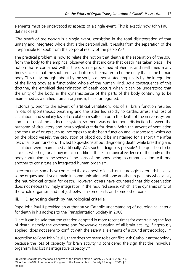elements must be understood as aspects of a single event. This is exactly how John Paul II defines death:

'*The death of the person* is a single event, consisting in the total disintegration of that unitary and integrated whole that is the personal self. It results from the separation of the life-principle (or soul) from the corporal reality of the person'.<sup>38</sup>

The practical problem is how to relate the notion that death is the separation of the soul from the body to the empirical observations that indicate that death has taken place. The notion that is contained within the doctrine proclaimed at Vienne, and reaffirmed many times since, is that the soul forms and informs the matter to be the unity that is the human body. This unity, brought about by the soul, is demonstrated empirically by the integration of the living body as a functioning whole of the human kind. As a consequence of this doctrine, the empirical determination of death occurs when it can be understood that the unity of the body, in the dynamic sense of the parts of the body continuing to be maintained as a unified human organism, has disintegrated.

Historically, prior to the advent of artificial ventilation, loss of all brain function resulted in loss of spontaneous breathing and the latter led rapidly to cardiac arrest and loss of circulation, and similarly loss of circulation resulted in both the death of the nervous system and also loss of the endocrine system, so there was no temporal distinction between the outcome of circulatory and neurological criteria for death. With the advent of ventilation and the use of drugs such as inotropes to assist heart function and vasopressors which act on the blood vessels, the circulation of blood could be maintained for a short time after loss of all brain function. This led to questions about diagnosing death while breathing and circulation were maintained artificially. Was such a diagnosis possible? The question to be asked is whether, for a body in this condition, there is empirical evidence of the unity of the body continuing in the sense of the parts of the body being in communication with one another to constitute an integrated human organism.

In recent times some have contested the diagnosis of death on neurological grounds because some organs and tissue remain in communication with one another in patients who satisfy the neurological criteria for death. However, others have countered that this observation does not necessarily imply integration in the required sense, which is the dynamic unity of the whole organism and not just between some parts and some other parts.

# iii. Diagnosing death by neurological criteria

Pope John Paul II provided an authoritative Catholic understanding of neurological criteria for death in his address to the Transplantation Society in 2000:

'Here it can be said that the criterion adopted in more recent times for ascertaining the fact of death, namely the *complete* and *irreversible* cessation of all brain activity, if rigorously applied, does not seem to conflict with the essential elements of a sound anthropology'.<sup>39</sup>

According to Pope John Paul II, there does not seem to be conflict with Catholic anthropology because the loss of capacity for brain activity 'is considered the sign that the individual organism has lost its integrative capacity'.<sup>40</sup>

40 Ibid.

<sup>38</sup> Address to18th International Congress of the Transplantation Society 29 August 2000, §4.

<sup>39</sup> Address to18th International Congress of the Transplantation Society 29 August 2000, §5.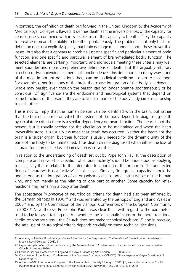In contrast, the definition of death put forward in the United Kingdom by the Academy of Medical Royal Colleges is flawed. It defines death as 'the irreversible loss of the capacity for consciousness, combined with irreversible loss of the capacity to breathe'.41 By the capacity to breathe is meant the ability to breathe spontaneously. The problem is not only that this definition does not explicitly specify that brain damage must underlie both these irreversible losses, but also that it appears to combine just one specific and particular element of brain function, and one specific and particular element of brain-mediated bodily function. The selected elements are certainly important, and individuals meeting these criteria may well meet sounder and more comprehensive definitions of death; but the arguably arbitrary selection of two individual elements of function leaves this definition – in many ways, one of the most important definitions there can be in clinical medicine – open to challenge. For example, other functions of the brain that cause integration of the body as a dynamic whole may persist, even though the person can no longer breathe spontaneously or be conscious. Of significance are the endocrine and neurological systems that depend on some functions of the brain if they are to keep all parts of the body in dynamic relationship to each other.

This is not to imply that the human person can be identified with the brain, but rather that the brain has a role on which the systems of the body depend. In diagnosing death by circulatory criteria there is a similar dependency on heart function. The heart is not the person, but is usually needed for the circulation to be maintained and when the heart irreversibly stops it is usually assumed that death has occurred. Neither the heart nor the brain is a 'super organ' but their function is usually needed for the dynamic unity of the parts of the body to be maintained. Thus death can be diagnosed when either the loss of all brain function or the loss of circulation is irreversible.

In relation to the understanding of death set out by Pope John Paul II, the description of 'complete and irreversible cessation of all brain activity' should be understood as applying to all activity that is related to the integrated functioning of the organism. The undirected firing of neurones is not 'activity' in this sense. Similarly 'integrative capacity' should be understood as the integration of an organism as a substantial living whole of the human kind, and not merely as the relating of one part to another. Some capacity for reflex reactions may remain in a body after death.

The acceptance *in principle* of neurological criteria for death had also been affirmed by the German bishops in 1990,<sup>42</sup> and was reiterated by the bishops of England and Wales in 2005<sup>43</sup> and by the Commission of the Bishops' Conferences of the European Community in 2007.44 Nevertheless, Pope John Paul II was clear that 'with regard to the parameters used today for ascertaining death – whether the 'encephalic' signs or the more traditional cardio-respiratory signs – the Church does not make technical decisions', $45$  and in practice, the safe use of neurological criteria depends crucially on these technical decisions.

<sup>41</sup> Academy of Medical Royal Colleges *Code of Practice for the Diagnosis and Confirmation of Death* (London: Academy of Medical Royal Colleges, 2008), 11.

<sup>42</sup> *Organ transplantations*: Joint Declaration by the German Bishops' Conference and the Council of the German Protestant Church (31 August 1990).

<sup>43</sup> Catholic Bishops' Conference of England and Wales *Cherishing Life* (London: CTS, 2004) §63.

<sup>44</sup> Commission of the Bishops' Conferences of the European Community (COMECE) 'Ethical Aspects of Organ Donation' (11 October 2007).

<sup>45</sup> Address to18th International Congress of the Transplantation Society 29 August 2000, §5; see similar remarks by Pius XII (Address to an International Congress of Anesthesiologists (24 November 1957), in AAS, 49 (1957)).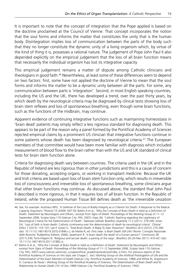It is important to note that the concept of integration that the Pope applied is based on the doctrine proclaimed at the Council of Vienne. That concept incorporates the notion that the soul forms and informs the matter that constitutes the unity that is the human body. Disintegration implies loss of communication between the parts of the body such that they no longer constitute the dynamic unity of a living organism which, by virtue of the kind of thing it is, possesses a rational nature. The judgement of Pope John Paul II also depended explicitly on the empirical judgement that the loss of all brain function means that necessarily the individual organism has lost its integrative capacity.

This empirical judgement remains a matter of dispute among Catholic clinicians and theologians in good faith.46 Nevertheless, at least some of these differences seem to depend on two factors: first, some have not applied the doctrine of Vienne to mean that the soul forms and informs the matter to be a dynamic unity between all the parts. For some, any communication between parts is 'integration'. Second, in most English speaking countries, including the US and the UK, there has developed a trend, over the past thirty years, by which death by the neurological criteria may be diagnosed by clinical tests showing loss of brain stem reflexes and loss of spontaneous breathing, even though some brain functions, such as the functions of the midbrain, may continue.

Apparent evidence of continuing integrative functions such as maintaining homeostasis in 'brain dead' patients may simply reflect a less rigorous standard for diagnosing death. This appears to be part of the reason why a panel formed by the Pontifical Academy of Sciences rejected empirical claims by a prominent US clinician that integrative functions continue in some patients whose death has been diagnosed by neurological criteria.<sup>47</sup> The European members of that committee would have been more familiar with diagnosis which included measurement of blood flow to the brain rather than with the US and UK standard of clinical tests for brain stem function alone.

Criteria for diagnosing death vary between countries. The criteria used in the UK and in the Republic of Ireland are less rigorous than in other jurisdictions and this is a cause of concern for those donating, accepting organs, or working in transplant medicine. Because the UK and Irish criteria are based upon loss of brain *stem* function only, which results in irreversible loss of consciousness and irreversible loss of spontaneous breathing, some clinicians argue that other brain functions may continue. As discussed above, the standard that John Paul II described is more rigorous, in that it requires loss of *all* brain function. In the Republic of Ireland, while the proposed Human Tissue Bill defines death as 'the irreversible cessation

<sup>46</sup> See, for example: Austriaco NPG. 'In Defense of the Loss of Bodily Integrity as a Criterion for Death: A Response to the Radical Capacity Argument.'*Thomist* 73 (2009): 647-59; Battro A et al., 'Why the Concept of Brain Death Is Valid as a Definition of Death: Statement by Neurologists and Others,' excerpt from *Signs of Death: Proceedings of the Working Group of 11*–*12 September 2006*, Scripta Varia 110 (Vatican City: PAS, 2007); Haas JM. 'Catholic Teaching regarding the Legitimacy of Neurological Criteria for the Determination of Death'. *National Catholic Bioethics Quarterly* 11.2 (2011): 279-299; Jones DA. 'Loss of faith in brain death: Catholic controversy over the determination of death by neurological criteria'. *Clinical Ethics* 7 (2012): 133–141; Lee P, Grisez G. 'Total Brain Death: A Reply To Alan Shewmon'. *Bioethics* 26.5 (2012): 275-284 (doi: 10.1111/j.1467-8519.2010.01846.x.); de Mattei R, ed. *Finis vitae. Is Brain Death Still Life?* (Rome: Consiglio Nazionale delle Ricerche: Rubbettino Editore, 2006); Spaemann R. 'Is brain death the death of a human person?' *Communio* 38 (2011):339; Tonti-Filippini N. 'Religious and secular death: a parting of the ways'. *Bioethics* 26 (24 Mar 2011): 410-421 (doi: 10.1111/j.1467-8519.2011.01882.x).

<sup>47</sup> Battro A et al., 'Why the Concept of Brain Death Is Valid as a Definition of Death: Statement by Neurologists and Others,' excerpt from *Signs of Death: Proceedings of the Working Group of 11–12 September 2006, Scripta Varia* 110 (Vatican City: PAS, 2007) www.vatican.va/roman\_curia/pontifical\_academies/acdscien/index\_it.htm). For previous reports of the Pontifical Academy of Sciences on this topic see Chagas C. (ed.) *Working Group on the Artificial Prolongation of Life and the Determination of the Exact Moment of Death* (Vatican City: Pontifical Academy of Sciences, 1986) and White RJ, Angstwurm H, Carrasco de Paula I. *Working Group of the Pontifical Academy of Sciences*, *The Determination of Brain Death and Its Relationship to Human Death (10–14 Dec.1989)* (Vatican City: Pontifical Academy of Sciences, 1992).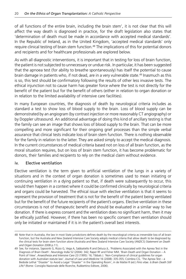of all functions of the entire brain, including the brain stem', it is not clear that this will affect the way death is diagnosed in practice, for the draft legislation also states that 'determination of death must be made in accordance with accepted medical standards'. In the Republic of Ireland, as in the United Kingdom, 'accepted medical standards' only require clinical testing of brain stem function.<sup>48</sup> The implications of this for potential donors and recipients and for healthcare professionals are explored below.

As with all diagnostic interventions, it is important that in testing for loss of brain function, the patient is not subjected to unnecessary or undue risk. In particular, it has been suggested that the apnoea test (for ability to breathe spontaneously) has itself the potential to cause brain damage in patients who, if not dead, are in a very vulnerable state.<sup>49</sup> Inasmuch as this is so, this test should be confirmatory following the results of other less invasive tests. The ethical injunction not to cause harm has greater force where the test is not directly for the benefit of the patient but for the benefit of others (either in relation to organ donation or in relation to the limited availability of intensive care facilities).

In many European countries, the diagnosis of death by neurological criteria includes as standard a test to show loss of blood supply to the brain. Loss of blood supply can be demonstrated by an angiogram (by contrast injection or more reasonably CT angiography) or by Doppler ultrasound. An additional advantage of doing this kind of ancillary testing is that the family can see an image that shows loss of blood supply to the brain. That can be more compelling and more significant for their ongoing grief processes than the simple verbal assurance that clinical tests indicate loss of brain stem function. There is nothing observable for the family in relation to the latter. They are asked simply to accept the medical diagnosis. In the current circumstances of medical criteria based not on loss of all brain function, as the moral situation requires, but on loss of brain stem function, it has become problematic for donors, their families and recipients to rely on the medical claim without evidence.

#### iv. Elective ventilation

Elective ventilation is the term given to artificial ventilation of the lungs in a variety of situations and in the context of organ donation is sometimes used to mean initiating or continuing ventilation in a dying patient so that, if death were subsequently to occur, this would then happen in a context where it could be confirmed clinically by neurological criteria and organs could be harvested. The ethical issue with elective ventilation is that it seems to represent the provision of treatment that is not for the benefit of the patient being ventilated but for the benefit of the future recipients of the patient's organs. Elective ventilation in these circumstances is not of therapeutic benefit and should be evaluated in a similar way to live donation. If there is express consent and the ventilation does no significant harm, then it may be ethically justified. However, if there has been no specific consent then ventilation should only be initiated or maintained if it is in the patient's overall best interests.

<sup>48</sup> Note that in Australia, the law in most State jurisdictions defines death by the neurological criteria as irreversible loss of all brain function, but the Australia and New Zealand Intensive Care Society adopts medical criteria that allow death to be diagnosed by the clinical tests for brain stem function alone (Australia and New Zealand Intensive Care Society (ANZICS) *Statement on Death and Organ Donation* 2008 p.11).

<sup>49</sup> See, for instance, Saposnik G, Rizzo G, Vega A, Sabbatiello R and Deluca JL. 'Problems Associated with the Apnea Test in the Diagnosis of Brain Death'. *Neurology India* 52 (2004): 342; Raper RF and Fisher MM. 'Brain Death and Organ Donation – A Point of View'. *Anaesthesia and Intensive Care* 23 (1995): 16; Tibbals J. 'Non-Compliance of clinical guidelines for organ donation with Australian statute law'. *Journal of Law and Medicine* 16 (2008): 335-355; Coimbra CG. 'The Apnea Test – a Bedside Lethal "Disaster" to Avoid a Legal "Disaster" in the Operating Room', in de Mattei R (ed.) *Finis vitae. Is Brain Death Still Life?* (Rome: Consiglio Nazionale delle Ricerche, Rubbettino Editore, 2006).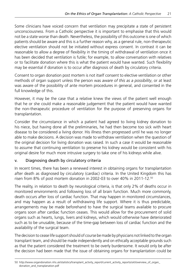Some clinicians have voiced concern that ventilation may precipitate a state of persistent unconsciousness. From a Catholic perspective it is important to emphasise that this would not be a state worse than death. Nevertheless, the possibility of this outcome is one of which patients should be aware and this is a further reason why, as a general rule, non-therapeutic elective ventilation should not be initiated without express consent. In contrast it can be reasonable to allow a degree of flexibility in the timing of withdrawal of ventilation once it has been decided that ventilation is futile; for example, to allow conversation with relatives or to facilitate donation where this is what the patient would have wanted. Such flexibility may be essential if donation is to occur after diagnosis of death by circulatory criteria.

Consent to organ donation post mortem is not itself consent to elective ventilation or other methods of organ support unless the person was *aware of this as a possibility*, or at least was aware of the possibility of ante mortem procedures in general, and consented in the full knowledge of this.

However, it may be the case that a relative knew the views of the patient well enough that he or she could make a reasonable judgement that the patient would have wanted the non-therapeutic procedure of ventilation for the purpose of preserving organs for transplantation.

Consider the circumstance in which a patient had agreed to living kidney donation to his niece, but having done all the preliminaries, he had then become too sick with heart disease to be considered a living donor. His illness then progressed until he was no longer able to make decisions. A decision was made to withdraw ventilation when the question of the original decision for living donation was raised. In such a case it would be reasonable to assume that continuing ventilation to preserve his kidney would be consistent with his original desire for much more intrusive surgery to take one of his kidneys while alive.

# v. Diagnosing death by circulatory criteria

In recent times, there has been a renewed interest in obtaining organs for transplantation after death as diagnosed by circulatory (cardiac) criteria. In the United Kingdom this has risen from 8% of post mortem donation in 2002-03 to over 40% in 2011-12.50

The reality, in relation to death by neurological criteria, is that only 2% of deaths occur in monitored environments and following loss of all brain function. Much more commonly, death occurs after loss of cardiac function. That may happen in monitored circumstances, and may happen as a result of withdrawing life support. Where it is thus predictable, arrangements may be made beforehand to have the surgical teams available to procure organs soon after cardiac function ceases. This would allow for the procurement of solid organs such as hearts, lungs, livers and kidneys, which would otherwise have deteriorated such as to be unusable, because of the time-gap between loss of cardiac function and the availability of the surgical team.

The decision to cease life support should of course be made by physicians not linked to the organ transplant team, and should be made independently and on ethically acceptable grounds such as that the patient considered the treatment to be overly burdensome. It would only be after the decision had been made that the issue of obtaining organs for transplantation could be

50 http://www.organdonation.nhs.uk/statistics/transplant\_activity\_report/current\_activity\_reports/ukt/overview\_of\_organ\_ donation\_and\_transplanation.pdf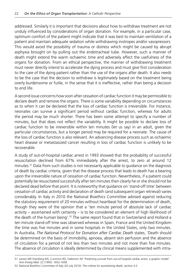addressed. Similarly it is important that decisions about how to withdraw treatment are not unduly influenced by considerations of organ donation. For example, in a particular case, optimum comfort of the patient might indicate that it was best to maintain ventilation of a patient and maintain adequate sedation while withdrawing inotropes and/or vasopressors. This would avoid the possibility of trauma or distress which might be caused by abrupt asphyxia brought on by pulling out the endotracheal tube. However, such a manner of death might extend the warm ischaemic time and adversely affect the usefulness of the organs for donation. From an ethical perspective, the manner of withdrawing treatment must never directly intend to accelerate the dying process and must give first consideration to the care of the dying patient rather than the use of the organs after death. It also needs to be the case that the decision to withdraw is legitimately based on the treatment being overly burdensome or futile, in the sense that it is ineffective, rather than being a decision to end life.

A second issue concerns how soon after cessation of cardiac function it may be permissible to declare death and remove the organs. There is some variability depending on circumstances as to when it can be declared that the loss of cardiac function is irreversible. For instance, neonates can survive a significant period without cardiac function, whereas for adults the period may be much shorter. There has been some attempt to specify a number of minutes, but that does not reflect the variability. It might be possible to declare loss of cardiac function to be irreversible within ten minutes (let us say) in an adult, given the particular circumstances, but a longer period may be required for a neonate. The cause of the loss of cardiac function is also relevant. An advancing disease process such as ischaemic heart disease or metastasized cancer resulting in loss of cardiac function is unlikely to be recoverable.

A study of out-of-hospital cardiac arrest in 1993 showed that the probability of successful resuscitation declined from 67% immediately after the arrest, to zero at around 12 minutes.51 Data from such studies is not necessarily applicable to guidance on the diagnosis of death by cardiac criteria, given that the disease process that leads to death has a bearing upon the irreversible nature of cessation of cardiac function. Nevertheless, if a patient could potentially be resuscitated successfully after ten minutes then clearly he or she should not be declared dead before that point. It is noteworthy that guidance on 'stand-off time' between cessation of cardiac activity and declaration of death (and subsequent organ retrieval) varies considerably. In Italy in 2010 the National Bioethics Committee advised against reducing the statutory requirement of 20 minutes without heartbeat for the determination of death, though they were of the opinion that a 'ten minute period of absolute lack of cardiac activity – ascertained with certainty – is to be considered an element of high likelihood of the death of the human being'.<sup>52</sup> The same report found that in Switzerland and Holland a ten minute stand-off time was observed whereas in Spain, France and the United Kingdom the time was five minutes and in some hospitals in the United States, only two minutes. In Australia, *The National Protocol for Donation after Cardiac Death* states, 'Death should be determined on the basis of immobility, apnoea, absent skin perfusion and the absence of circulation for a period of not less than two minutes and not more than five minutes. The absence of circulation is ideally determined by clinical means supplemented with intra-

<sup>51</sup> Larsen MP, Eisenberg MS, Cummins RO, Hallstrom AP. 'Predicting survival from out-of-hospital cardiac arrest: a graphic model'. *Ann Emerg Med*. 22 (1993): 1652-1658.

<sup>52</sup> National Bioethics Committee of Italy (20 July 2010): *The criteria for ascertaining death*, section 4.2.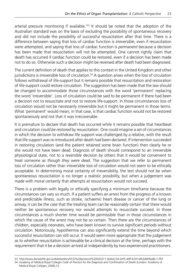arterial pressure monitoring if available.<sup>'53</sup> It should be noted that the adoption of the Australian standard was on the basis of excluding the possibility of spontaneous recovery and did not include the possibility of successful resuscitation after that time. There is a difference between saying that loss of cardiac function is *irreversible*, even if resuscitation were attempted, and saying that loss of cardiac function is *permanent* because a decision has been made that resuscitation will not be attempted. One cannot rightly claim that death has occurred if cardiac function could be restored, even if a decision has been made not to do so. Otherwise such a decision might be reversed after death had been diagnosed.

The current definition of death that applies to this context in the United Kingdom and other jurisdictions is *irreversible* loss of circulation.<sup>54</sup> A question arises when the loss of circulation follows withdrawal of life-support but it remains possible that resuscitation and restoration of life-support could restore circulation. The suggestion has been made that the law should be changed to accommodate those circumstances with the word 'permanent' replacing the word 'irreversible'. Loss of circulation could be said to be permanent if there had been a decision not to resuscitate and not to restore life-support. In those circumstances loss of circulation would not be necessarily irreversible but it might be permanent in those terms. What 'permanent' would mean, in that case, is that cardiac function would not be restored spontaneously and not that it was irrecoverable.

It is premature to declare that death has occurred while it remains possible that heartbeat and circulation *could be restored* by resuscitation. One could imagine a set of circumstances in which the decision to withdraw life support was challenged by a relative, with the result that life support was re-introduced after death had been declared. If intervention succeeded in restoring circulation (and the patient retained some brain function) then clearly he or she would not have been dead. Diagnosis of death should correspond to an irreversible physiological state, not to a reversible decision by others that it would be convenient to treat someone *as though they were dead*. The suggestion that we refer to permanent loss of circulation rather than irreversible loss of circulation would not seem to be ethically acceptable. In determining moral certainty of irreversibility, the test should not be when *spontaneous* resuscitation is no longer a realistic possibility, but when a judgement was made with moral certainty that attempts at resuscitation would not succeed.

There is a problem with legally or ethically specifying a minimum timeframe because the circumstances can vary so much. If a patient suffers an arrest from the progress of a known and predictable illness, such as stroke, ischaemic heart disease or cancer of the lung or airway, it can be the case that the treating team can be reasonably certain that there would neither be spontaneous recovery nor would attempts to resuscitate succeed. In those circumstances a much shorter time would be permissible than in those circumstances in which the cause of the arrest may not be so certain. Then there are the circumstances of children, especially neonates, who have been known to survive significant periods without circulation. Notoriously, hypothermia can also significantly extend the time beyond which successful resuscitation can still occur. It would seem more appropriate that the judgement as to whether resuscitation is achievable be a clinical decision at the time, perhaps with the requirement that it be a decision arrived at independently by two experienced practitioners.

<sup>53</sup> http://www.donatelife.gov.au/Media/docs/DCD%20protocol%20020311-0e4e2c3d-2ef5-4dff-b7ef-af63d0bf6a8a-1.PDF

<sup>54</sup> Academy of Medical Royal Colleges *Code of Practice for the Diagnosis and Confirmation of Death* (London: Academy of Medical Royal Colleges, 2008),12.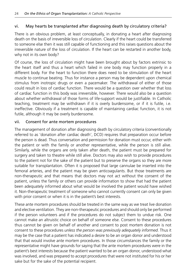# vi. May hearts be transplanted after diagnosing death by circulatory criteria?

There is an obvious problem, at least conceptually, in donating a heart after diagnosing death on the basis of irreversible loss of circulation. Clearly if the heart could be transferred to someone else then it was still capable of functioning and this raises questions about the irreversible nature of the loss of circulation. If the heart can be restarted in another body, why not in its own body?

Of course, the loss of circulation might have been brought about by factors extrinsic to the heart itself and thus a heart which failed in one body may function properly in a different body. For the heart to function there does need to be stimulation of the heart muscle to continue beating. Thus for instance a person may be dependent upon chemical stimulus from inotropic drugs or even a pacemaker. The withdrawal of either of those could result in loss of cardiac function. There would be a question over whether that loss of cardiac function in this body was irreversible, however. There would also be a question about whether withdrawal of those forms of life-support would be justifiable. In Catholic teaching, treatment may be withdrawn if it is overly burdensome, or if it is futile, i.e. ineffective. Obviously if a treatment is capable of maintaining cardiac function, it is not futile, although it may be overly burdensome.

#### vii. Consent for ante mortem procedures

The management of donation after diagnosing death by circulatory criteria (conventionally referred to as 'donation after cardiac death', DCD) requires that preparation occur before the person is dead. Thus conversation and permission for donation must occur, either with the patient or with the family or another representative, while the person is still alive. Similarly, while the organs are only taken after death, the patient must be prepared for surgery and taken to theatre while still alive. Doctors may also wish to provide procedures to the patient not for the sake of the patient but to preserve the organs so they are more suitable for transplantation. Often it is proposed that large cannulae be inserted into the femoral arteries, and the patient may be given anticoagulants. But those treatments are non-therapeutic and that means that doctors may not act without the consent of the patient, unless the family or others can provide information to show that had the patient been adequately informed about what would be involved the patient would have wished it. Non-therapeutic treatment of someone who cannot currently consent can only be given with prior consent or when it is in the patient's best interests.

These ante mortem procedures should be treated in the same way as we treat live donation and elective ventilation. They are non-therapeutic procedures and should only be performed if the person volunteers and if the procedures do not subject them to undue risk. One cannot make an altruistic choice on behalf of someone else. Consent to these procedures thus cannot be given on behalf of another and consent to post mortem donation is not consent to these procedures *unless the person was previously adequately informed*. Thus it may be the case that a patient has indicated a desire to be an organ donor and understood that that would involve ante mortem procedures. In those circumstances the family or the representative might have grounds for saying that the ante mortem procedures were in the patient's best interests because the patient wanted to be an organ donor, understood what was involved, and was prepared to accept procedures that were not instituted for his or her sake but for the sake of the potential recipient.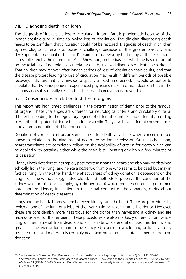## viii. Diagnosing death in children

The diagnosis of irreversible loss of circulation in an infant is problematic because of the longer possible survival time following loss of circulation. The clinician diagnosing death needs to be confident that circulation could not be restored. Diagnosis of death in children by neurological criteria also poses a challenge because of the greater plasticity and developmental potential of the child's brain. It is noteworthy that many of the exceptional cases collected by the neurologist Alan Shewmon, on the basis of which he has cast doubt on the reliability of neurological criteria for death, involved diagnosis of death in children.<sup>55</sup> That children may recover after longer periods of loss of circulation than adults, and that the disease process leading to loss of circulation may result in different periods of possible recovery, indicates that it is unwise to specify a fixed time period. It would be better to stipulate that two independent experienced physicians make a clinical decision that in the circumstances it is morally certain that the loss of circulation is irreversible.

## ix. Consequences in relation to different organs

This report has highlighted challenges in the determination of death prior to the removal of organs. These challenges are different for neurological criteria and circulatory criteria, different according to the regulatory regime of different countries and different according to whether the potential donor is an adult or a child. They also have different consequences in relation to donation of different organs.

Donation of corneas can occur some time after death at a time when concerns raised above in relation to the diagnosis of death are no longer relevant. On the other hand, heart transplants are completely reliant on the availability of criteria for death which can be applied with certainty either while the heart is still beating or within a few minutes of its cessation.

Kidneys both deteriorate less rapidly post mortem (than the heart) and also may be obtained ethically from the living, and hence a *posteriori* from one who seems to be dead but may in fact be living. On the other hand, the effectiveness of kidney donation is dependent on the length of time without oxygenated blood, and methods to preserve the condition of the kidney while in situ (for example, by cold perfusion) would require consent, if performed ante mortem. Hence, in relation to the actual conduct of the donation, clarity about determination of death is essential.

Lungs and the liver fall somewhere between kidneys and the heart. There are procedures by which a lobe of the lung or a lobe of the liver could be taken from a live donor. However, these are considerably more hazardous for the donor than harvesting a kidney and are hazardous also for the recipient. These procedures are also markedly different from whole lung or liver retrieval from dead donors. The rate of deterioration post mortem is also greater in the liver or lung than in the kidney. Of course, a whole lung or liver can only be taken from a donor who is certainly dead (except as an incidental element of domino donation).

<sup>55</sup> See for example Shewmon DA. 'Recovery from "brain death": a neurologist's apologia'. *Linacre* Q 64 (1997):30–96; Shewmon DA. 'Brainstem death, brain death and death: a critical re-evaluation of the purported evidence'. *Issues in Law and Medicine* 14 (1998):125–45; Shewmon DA. 'Chronic brain death: meta-analysis and conceptual consequences'. *Neurology* 51 (1998):1538–45.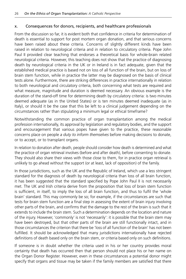#### x. Consequences for donors, recipients, and healthcare professionals

From the discussion so far, it is evident both that confidence in criteria for determination of death is essential to support for post mortem organ donation, and that serious concerns have been raised about these criteria. Concerns of slightly different kinds have been raised in relation to neurological criteria and in relation to circulatory criteria. Pope John Paul II provided clear teaching that endorses a theoretical basis for whole-brain related neurological criteria. However, this teaching does not show that the practice of diagnosing death by neurological criteria in the UK or in Ireland is in fact adequate, given that the established medical practice is based not on loss of all function of the brain, but on loss of brain stem function, while in practice the latter may be diagnosed on the basis of clinical tests alone. Furthermore, there are striking differences in practice internationally in relation to both neurological and circulatory criteria, both concerning what tests are required and what measure, magnitude and duration is deemed necessary. An obvious example is the duration of the stand-off time for determining death by circulatory criteria: is two minutes deemed adequate (as in the United States) or is ten minutes deemed inadequate (as in Italy), or should it be the case that this be left to a clinical judgement depending on the circumstances rather than stipulating a minimum legal or ethical timeframe?

Notwithstanding the common practice of organ transplantation among the medical profession internationally, its approval by legislation and regulatory bodies, and the support and encouragement that various popes have given to the practice, these reasonable concerns place on people *a duty to inform themselves* before making decisions to donate, or to accept, or to transplant organs.

In relation to donation after death, people should consider how death is determined and what the practice of organ retrieval involves (before and after death), before consenting to donate. They should also share their views with those close to them, for in practice organ retrieval is unlikely to go ahead without the support (or at least, lack of opposition) of the family.

In those jurisdictions, such as the UK and the Republic of Ireland, which use a less stringent standard for the diagnosis of death by neurological criteria than loss of all brain function, it has been suggested that the standard specified by Pope John Paul II is not necessarily met. The UK and Irish criteria derive from the proposition that loss of brain stem function is sufficient, in itself, to imply the loss of all brain function, and thus to fulfil the 'whole brain' standard. This may commonly be so; for example, if the circumstances are such that tests for brain stem function are a final step in assessing the extent of brain injury involving other parts of the brain, and confirms that the damage to the rest of the brain is such that it extends to include the brain stem. Such a determination depends on the location and nature of the injury. However, 'commonly' is not 'necessarily': it is possible that the brain stem may have been destroyed, but that other parts of the brain are still functionally intact, and in those circumstances the criterion that there be 'loss of all function of the brain' has not been fulfilled. It should be acknowledged that many jurisdictions internationally have rejected definitions of death based only on the brain stem, or criteria based only on such definitions.

If someone is in doubt whether the criteria used in his or her country provides moral certainty that death has occurred then that person should not place his or her name on the Organ Donor Register. However, even in these circumstances a potential donor might specify that organs and tissue may be taken if the family members are satisfied that there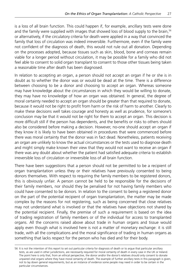is a loss of all brain function. This could happen if, for example, ancillary tests were done and the family were supplied with images that showed loss of blood supply to the brain,<sup>56</sup> or alternatively, if the circulatory criteria for death were applied in a way that convinced the family that loss of circulation was indeed irreversible. Furthermore, even if the family were not confident of the diagnosis of death, this would not rule out all donation. Depending on the processes adopted, because tissues such as skin, blood, bone and corneas remain viable for a longer period without circulation, it may be possible for a family who did not feel able to consent to solid organ transplant to consent to those other tissues being taken a reasonable time after death has been diagnosed.

In relation to accepting an organ, a person should not accept an organ if he or she is in doubt as to whether the donor was or would be dead at the time. There is a difference between choosing to be a donor and choosing to accept an organ. Whereas someone may have knowledge about the circumstances in which they would be willing to donate, they may have no knowledge of how an organ was obtained. In general, the degree of moral certainty needed to accept an organ should be greater than that required to donate, because it would not be right to profit from harm or the risk of harm to another. Clearly to make these decisions well takes courage and honesty as well as prudence, for someone's conclusion may be that it would not be right for them to accept an organ. This decision is more difficult still if the person has dependents, and the benefits or risks to others should also be considered before making a decision. However, no-one should accept an organ if they know it is likely to have been obtained in procedures that were commenced before there was moral certainty that the donor was in fact dead. Nonetheless, patients receiving an organ are unlikely to know the actual circumstances or the tests used to diagnose death and might simply make known their view that they would not want to receive an organ if there was any doubt about whether the patient had satisfied adequate criteria to establish irreversible loss of circulation or irreversible loss of all brain function.

There have been suggestions that a person should not be permitted to be a recipient of organ transplantation unless they or their relatives have previously consented to being donors themselves. With respect to requiring the family members to be registered donors, this is obviously unfair. A person cannot be held to be responsible for the decisions of their family members, nor should they be penalised for not having family members who could have consented to be donors. In relation to the consent to being a registered donor on the part of the potential recipient of organ transplantation, the matter may be made complex by the reasons for not registering, such as being concerned that close relatives may not understand what is involved or that the relatives have objections not shared by the potential recipient. Finally, the premise of such a requirement is based on the idea of trading registration of family members or of the individual for access to transplanted organs. All the concerns raised above about trade in human organs and tissue would apply even though what is involved here is not a matter of monetary exchange: it is still trade, with all the complications and the moral significance of trading in human organs as something that lacks respect for the person who has died and for their body.

<sup>56</sup> It is not the intention of this report to set out particular criteria for diagnosis of death or to argue that particular ancillary tests, as are used in other jurisdictions, are necessarily required for moral certainty of death in every case in the UK or Ireland. The point here is only that, from an ethical perspective, the donor and/or the donor's relatives should only consent to donate unpaired vital organs where they have moral certainty of death. The example of further ancillary tests in this paragraph is given, not to lay down general requirements, but as an instance of evidence some people may need in order to be certain in the particular circumstances.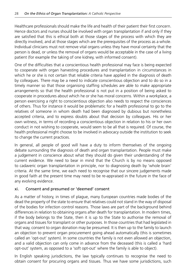Healthcare professionals should make the life and health of their patient their first concern. Hence doctors and nurses should be involved with organ transplantation if and only if they are satisfied that this is ethical both at those stages of the process with which they are directly involved, and at those stages which are the prerequisites of the process as a whole. Individual clinicians must not remove vital organs unless they have moral certainty that the person is dead, or unless the removal of organs would be acceptable in the case of a living patient (for example the taking of one kidney, with informed consent).

One of the difficulties that a conscientious health professional may face is being expected to cooperate with organ harvesting procedures and transplantation in circumstances in which he or she is not certain that reliable criteria have applied in the diagnosis of death by colleagues. There may be a need to indicate conscientious objection and to do so in a timely manner so that those organising staffing schedules are able to make appropriate arrangements so that the health professional is not put in a position of being asked to cooperate in procedures about which he or she has moral concerns. Within a workplace, a person exercising a right to conscientious objection also needs to respect the consciences of others. Thus for instance it would be problematic for a health professional to go to the relatives of someone in whom death had been diagnosed by dubious but nonetheless accepted criteria, and to express doubts about that decision by colleagues. His or her own witness, in terms of recording a conscientious objection in relation to his or her own conduct in not wishing to cooperate, would seem to be all that is required. Of course, the health professional might choose to be involved in advocacy outside the institution to seek to change the current practices.

In general, all people of good will have a duty to inform themselves of the ongoing debate surrounding the diagnosis of death and organ transplantation. People must make a judgement in conscience about what they should do given their understanding of the current evidence. We need to bear in mind that the Church is by no means opposed to cadaveric organ transplantation in principle, nor to diagnosing death by 'whole brain' criteria. At the same time, we each need to recognise that our sincere judgements made in good faith at the present time may need to be re-appraised in the future in the face of any evolving evidence.

## xi. Consent and presumed or 'deemed' consent

As a matter of history, in times of plague, many European countries made bodies of the dead the property of the state to ensure that relatives could not stand in the way of disposal of the bodies for infection control reasons. Those laws are part of the background behind differences in relation to obtaining organs after death for transplantation. In modern times, if the body belongs to the State, then it is up to the State to authorise the removal of organs and tissues for transplant or other purposes. In those countries that had legislated in that way, consent to organ donation may be presumed. It is then up to the family to launch an objection to prevent organ procurement going ahead automatically (this is sometimes called an 'opt-out' system). In some countries the family is not even allowed an objection, and a valid objection can only come in advance from the deceased (this is called a 'hard opt-out' system, as opposed to a 'soft opt-out' where the family is able to object).

In English speaking jurisdictions, the law typically continues to recognise the need to obtain consent for procuring organs and tissues. Thus we have some jurisdictions, such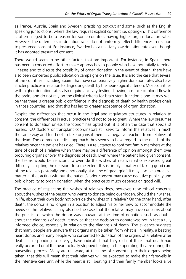as France, Austria, Spain and Sweden, practising opt-out and some, such as the English speaking jurisdictions, where the law requires explicit consent i.e. opting-in. This difference is often alleged to be a reason for some countries having higher organ donation rates. However, the differences in donation rates do not uniformly reflect differences in relation to presumed consent. For instance, Sweden has a relatively low donation rate even though it has adopted presumed consent.

There would seem to be other factors that are important. For instance, in Spain, there has been a concerted effort to make approaches to people who have potentially terminal illnesses and to discuss the possibility of organ donation in the event of death; there have also been concerted public education campaigns on the issue. It is also the case that several of the countries, including Spain, that have comparatively higher donation rates also have stricter practices in relation to diagnosing death by the neurological criterion. Most countries with higher donation rates also require ancillary testing showing absence of blood flow to the brain, and do not rely on the clinical criteria for brain stem function alone. It may well be that there is greater public confidence in the diagnosis of death by health professionals in those countries, and that this has led to greater acceptance of organ donation.

Despite the differences that occur in the legal and regulatory structures in relation to consent, the differences in actual practice tend not to be so great. Where the law presumes consent to donation unless the 'donor' has opted out, it is often the case that specialist nurses, ICU doctors or transplant coordinators still seek to inform the relatives in much the same way and tend not to take organs if there is a negative reaction from relatives of the dead. The common medical approach thus seems to have regard to the needs of the relatives once the patient has died. There is a reluctance to confront family members at the time of death of a relative when there may be a difference of opinion amongst them over procuring organs or over the diagnosis of death. Even where the patient had given consent, the teams would be reluctant to override the wishes of relatives who expressed great difficulty accepting the decision. To some extent this is simply a matter of taking good care of the relatives pastorally and emotionally at a time of great grief. It may also be a practical matter in that acting without the patient's prior consent may cause negative publicity and public hostility to organ donation when the practice so much depends on good will.

The practice of respecting the wishes of relatives does, however, raise ethical concerns about the wishes of the person who wants to donate being overridden. Should their wishes, in life, about their own body not override the wishes of a relative? On the other hand, after death, the donor is no longer in a position to adjust his or her view to accommodate the needs of the relative. It may also be the case that the relative may have concerns about the practice of which the donor was unaware at the time of donation, such as doubts about the diagnosis of death. It may be that the decision to donate was not in fact a fully informed choice, especially in relation to the diagnosis of death. The evidence suggests that many people are unaware that organs may be taken from what is, in reality, a beating heart donor, and many people who consented to donation of the organs of a relative after death, in responding to surveys, have indicated that they did not think that death had really occurred until the heart actually stopped beating in the operating theatre during the harvesting process. Many are unaware, at the time of consenting to their organs being taken, that this will mean that their relatives will be expected to make their farewells in the intensive care unit while the heart is still beating and their family member looks alive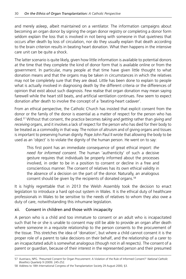and merely asleep, albeit maintained on a ventilator. The information campaigns about becoming an organ donor by signing the organ donor registry or completing a donor form seldom explain the loss that is involved in not being with someone in that quietness that occurs after death by loss of circulation, nor do they usually explain that death according to the brain criterion results in beating heart donation. What then happens in the intensive care unit can be quite a shock.

The latter scenario is quite likely, given how little information is available to potential donors at the time that they complete the kind of donor form that is available online or from the government. In particular, many people at that time have given little thought to what donation means and that the organs may be taken in circumstances in which the relatives may not be completely sure that they are dead. Little has been done to explain to people what is actually involved in diagnosing death by the different criteria or the differences of opinion that exist about such diagnosis. Few realise that organ donation may mean saying farewell while the heart still beats, and artificial ventilation continues. Few seem to expect donation after death to involve the concept of a 'beating-heart cadaver'.

From an ethical perspective, the Catholic Church has insisted that explicit consent from the donor or the family of the donor is essential as a matter of respect for the person who has died.57 Without that consent, the practice becomes *taking and getting* rather than *giving and receiving* organs, and it involves a lack of respect for the person who has died for their body to be treated as a commodity in that way. The notion of altruism and of giving organs and tissues is important to preserving human dignity. Pope John Paul II wrote that allowing the body to be used as an 'object' is to violate the dignity of the human person. He went on to say:

This first point has an immediate consequence of great ethical import: *the need for informed consent*. The human 'authenticity' of such a decisive gesture requires that individuals be properly informed about the processes involved, in order to be in a position to consent or decline in a free and conscientious manner. The consent of relatives has its own ethical validity in the absence of a decision on the part of the donor. Naturally, an analogous consent should be given by the recipients of donated organs.<sup>58</sup>

It is highly regrettable that in 2013 the Welsh Assembly took the decision to enact legislation to introduce a hard opt-out system in Wales. It is the ethical duty of healthcare professionals in Wales to be sensitive to the needs of relatives to whom they also owe a duty of care, notwithstanding this inhumane legislation.

## xii. Consent in children and those with incapacity

A person who is a child and too immature to consent or an adult who is incapacitated such that he or she is unable to consent may still be able to provide an organ after death where someone in a requisite relationship to the person consents to the procurement of the tissue. This stretches the idea of 'donation', but where a child cannot consent it is the proper role of a parent to take decisions on their behalf, and the relationship of a carer to an incapacitated adult is somewhat analogous (though not in all respects). The consent of a parent or guardian, because of their interest in the represented person and their presumed

<sup>57</sup> Austriaco, NPG. 'Presumed Consent for Organ Procurement: A Violation of the Rule of Informed Consent?' *National Catholic Bioethics Quarterly* 9 (2009): 245-252.

<sup>58</sup> Address to 18th International Congress of the Transplantation Society 29 August 2000, §3.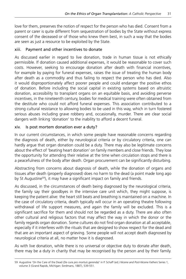love for them, preserves the notion of respect for the person who has died. Consent from a parent or carer is quite different from sequestration of bodies by the State without express consent of the deceased or of those who knew them best, in such a way that the bodies are seen as just a resource to be exploited by the State.

#### xiii. Payment and other incentives to donate

As discussed earlier in regard to live donation, trade in human tissue is not ethically permissible. If donation caused additional expenses, it would be reasonable to cover such costs. However, seeking to encourage donation after death with financial incentives, for example by paying for funeral expenses, raises the issue of treating the human body after death as a commodity and thus failing to respect the person who has died. Also it would disproportionately affect poorer people and could endanger the positive ethos of donation. Before including the social capital in existing systems based on altruistic donation, accessibility to transplant organs on an equitable basis, and avoiding perverse incentives, in the nineteenth century, bodies for medical training were often obtained from the destitute who could not afford funeral expenses. This association contributed to a strong cultural resistance to allowing bodies to be used in this way, which in turn fostered serious abuses including grave robbery and, occasionally, murder. There are clear social dangers with linking 'donation' to the inability to afford a decent funeral.

#### xiv. Is post mortem donation ever a duty?

In our current circumstances, in which some people have reasonable concerns regarding the diagnosis of death, either by neurological criteria or by circulatory criteria, one can hardly argue that organ donation could be a duty. There may also be legitimate concerns about the effect of 'beating heart donation' on family members and close friends. They lose the opportunity for attending their relative at the time when circulation stops and there is a peacefulness of the body after death. Organ procurement can be significantly disturbing.

Abstracting from concerns about diagnosis of death, while the donation of organs and tissues after death (properly diagnosed) does no harm to the dead (a point made long ago by St Augustine<sup>59</sup>), it may have a significant impact on family and friends.

As discussed, in the circumstances of death being diagnosed by the neurological criteria, the family say their goodbyes in the intensive care unit which, they might suppose, is keeping the patient alive: the heart still beats and breathing is maintained on a machine. In the case of circulatory criteria, death typically will occur in an operating theatre following withdrawal of life support measures, and again the family will be excluded. This is a significant sacrifice for them and should not be regarded as a duty. There are also often other cultural and religious factors that may affect the way in which the donor or the family regards organ donation. Some cultures do not find organ donation at all acceptable, especially if it interferes with the rituals that are designed to show respect for the dead and that are an important aspect of grieving. Some people will not accept death diagnosed by neurological criteria at all, no matter how it is diagnosed.

As with live donation, while there is no universal or objective duty to donate after death, there may be a duty in charity that may be recognised by the person and by their family.

<sup>59</sup> Augustine 'On the Care of the Dead *(De cura pro mortuis gerenda)*' in P. Schaff (ed.) *Nicene and Post-Nicene Fathers* Series 1, volume 3 (Grand Rapids, Michigan: Eerdmans, 1887), 539-551.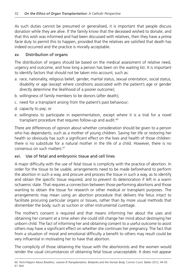As such duties cannot be presumed or generalised, it is important that people discuss donation while they are alive. If the family know that the deceased wished to donate, and that this wish was informed and had been discussed with relatives, then they have a *prima facie* duty to permit this to happen, provided that the relatives are satisfied that death has indeed occurred and the practice is morally acceptable.

#### xv. Distribution of organs

The distribution of organs should be based on the medical assessment of relative need, urgency and outcome, and how long a person has been on the waiting list. It is important to identify factors that should not be taken into account, such as:

- a. race, nationality, religious belief, gender, marital status, sexual orientation, social status, disability or age (except where conditions associated with the patient's age or gender directly determine the likelihood of a poorer outcome);
- b. willingness of family members to be donors (after death);
- c. need for a transplant arising from the patient's past behaviour;
- d. capacity to pay; or
- e. willingness to participate in experimentation, except where it is a trial for a novel transplant procedure that requires follow-up and audit.<sup>60</sup>

There are differences of opinion about whether consideration should be given to a person who has dependants, such as a mother of young children. Saving her life or restoring her health so obviously has such a significant effect on the lives and health of those children: there is no substitute for a natural mother in the life of a child. However, there is no consensus on such matters.<sup>61</sup>

#### xvi. Use of fetal and embryonic tissue and cell lines

A major difficulty with the use of fetal tissue is complicity with the practice of abortion. In order for the tissue to be usable, arrangements need to be made beforehand to perform the abortion in such a way, and procure and process the tissue in such a way, as to identify and obtain the specific tissue required, and to prevent its deterioration if left in a warm ischaemic state. That requires a connection between those performing abortions and those wanting to obtain the tissue for research or other medical or transplant purposes. The arrangements may mean using an abortion procedure that delivers the fetus intact to facilitate procuring particular organs or tissues, rather than by more usual methods that dismember the body, such as suction or other instrumental curettage.

The mother's consent is required and that means informing her about the uses and obtaining her consent at a time when she could still change her mind about destroying her unborn child. The fact of informing her and obtaining consent to a useful outcome to assist others may have a significant effect on whether she continues her pregnancy. The fact that from a situation of moral and emotional difficulty a benefit to others may result could be very influential in motivating her to have that abortion.

The complicity of those obtaining the tissue with the abortionists and the women would render the usual circumstances of obtaining fetal tissue unacceptable. It does not appear

60 Tonti-Filippini *About Bioethics, volume III Transplantation, Biobanks and the Human Body,* Connor Court: Ballan 2012, 44-50. 61 Ibid.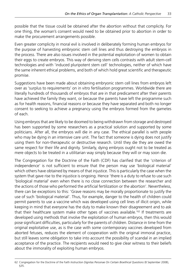possible that the tissue could be obtained after the abortion without that complicity. For one thing, the woman's consent would need to be obtained prior to abortion in order to make the procurement arrangements possible.

Even greater complicity in moral evil is involved in deliberately forming human embryos for the purpose of harvesting embryonic stem cell lines and thus destroying the embryos in the process. There are also issues involved in the potential exploitation of women to obtain their eggs to create embryos. This way of deriving stem cells contrasts with adult stem-cell technologies and with 'induced pluripotent stem cell' technologies, neither of which have the same inherent ethical problems, and both of which hold great scientific and therapeutic promise.

Suggestions have been made about obtaining embryonic stem cell lines from embryos left over as 'surplus to requirements' on in vitro fertilisation programmes. Worldwide there are literally hundreds of thousands of embryos that are in that predicament after their parents have achieved the family they want, or because the parents have left the programme such as for health reasons, financial reasons or because they have separated and both no longer consent to seeking to achieve a pregnancy using the embryos formed from the gametes of each.

Using embryos that are likely to be doomed to being withdrawn from storage and destroyed has been supported by some researchers as a practical solution and supported by some politicians. After all, the embryos will die in any case. The ethical parallel is with people who may be dying in an intensive care unit. The fact that someone is dying does not justify using them for non-therapeutic or destructive research. Until they die they are owed the same respect for their life and dignity. Similarly, dying embryos ought not to be treated as mere objects to be treated in a utilitarian way simply because they will or may soon die.

The Congregation for the Doctrine of the Faith (CDF) has clarified that the 'criterion of independence' is not sufficient to ensure that the person may use 'biological material' which others have obtained by means of that injustice. This is particularly the case when the system that gave rise to the injustice is ongoing. Hence 'there is a duty to refuse to use such 'biological material' even when there is no close connection between the researcher and the actions of those who performed the artificial fertilization or the abortion'. Nevertheless, there can be exceptions to this: 'Grave reasons may be morally proportionate to justify the use of such 'biological material'. Thus, for example, danger to the health of children could permit parents to use a vaccine which was developed using cell lines of illicit origin, while keeping in mind that everyone has the duty to make known their disagreement and to ask that their healthcare system make other types of vaccines available.'<sup>62</sup> If treatments are developed using methods that involve the exploitation of human embryos, then this would pose significant difficulties, particularly for the parents of children. Distance in time from the original exploitative use, as is the case with some contemporary vaccines developed from aborted fetuses, reduces the element of cooperation with the original immoral practice, but still leaves some obligation to take into account the possibility of scandal in an implied acceptance of the practice. The recipients would need to give clear witness to their beliefs about the immorality of exploiting human embryos.

<sup>62</sup> Congregation for the Doctrine of the Faith *Instruction Dignitas Personae On Certain Bioethical Questions* (8 September 2008), §35.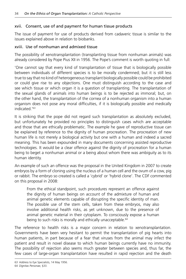#### xvii. Consent, use of and payment for human tissue products

The issue of payment for use of products derived from cadaveric tissue is similar to the issues explained above in relation to biobanks.

#### xviii. Use of nonhuman and admixed tissue

The possibility of xenotransplantation (transplanting tissue from nonhuman animals) was already considered by Pope Pius XII in 1956. The Pope's comment is worth quoting in full:

'One cannot say that every kind of transplantation of tissue that is biologically possible between individuals of different species is to be morally condemned; but it is still less true to say that no kind of heterogeneous transplant biologically possible could be prohibited or could give rise to any objections. One must distinguish according to the case and see which tissue or which organ it is a question of transplanting. The transplantation of the sexual glands of animals into human beings is to be rejected as immoral; but, on the other hand, the transplantation of the cornea of a nonhuman organism into a human organism does not pose any moral difficulties, if it is biologically possible and medically indicated<sup>'63</sup>

It is striking that the pope did not regard such transplantation as absolutely excluded, but unfortunately he provided no principles to distinguish cases which are acceptable and those that are ethically problematic. The example he gave of reproductive tissue can be explained by reference to the dignity of human procreation. The procreation of new human life is not merely a biological activity but one with a human and indeed a sacred meaning. This has been expounded in many documents concerning assisted reproductive technologies. It would be a clear offence against the dignity of procreation for a human being to beget a nonhuman animal or a being about whom there was ambiguity as to its human identity.

An example of such an offence was the proposal in the United Kingdom in 2007 to create embryos by a form of cloning using the nucleus of a human cell and the ovum of a cow, pig or rabbit. The embryo so created is called a 'cybrid' or 'hybrid clone'. The CDF commented on this proposal in 2008:

From the ethical standpoint, such procedures represent an offence against the dignity of human beings on account of the admixture of human and animal genetic elements capable of disrupting the specific identity of man. The possible use of the stem cells, taken from these embryos, may also involve additional health risks, as yet unknown, due to the presence of animal genetic material in their cytoplasm. To consciously expose a human being to such risks is morally and ethically unacceptable.<sup>64</sup>

The reference to health risks is a major concern in relation to xenotransplantation. Governments have been very hesitant to permit the transplantation of pig hearts into human patients, in part because of a fear that viruses from the animal may infect the patient and result in novel disease to which human beings currently have no immunity. The possibility of rejection also seems much greater between species and, thus far, the few cases of large-organ transplantation have resulted in rapid rejection and the death

<sup>63</sup> Address to Eye Specialists, 14 May 1956.

<sup>64</sup> *Dignitas Personae*, §33.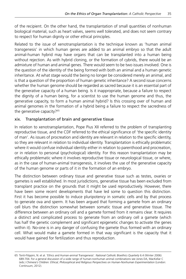of the recipient. On the other hand, the transplantation of small quantities of nonhuman biological material, such as heart valves, seems well tolerated, and does not seem contrary to respect for human dignity or other ethical principles.

Related to the issue of xenotransplantation is the technique known as 'human animal transgenesis' in which human genes are added to an animal embryo so that the adult animal-human hybrid may have organs that can be transplanted into a human being without rejection. As with hybrid cloning, or the formation of cybrids, there would be an admixture of human and animal genes. There would seem to be two issues involved. One is the question of the identity of the being formed with both an animal and a human genetic inheritance. At what stage would the being no longer be considered merely an animal, and is that a question of the proportion of human genetic inheritance? A second issue concerns whether the human genome should be regarded as sacred because it is an essential part of the generative capacity of a human being. Is it inappropriate, because a failure to respect the dignity of a human being, for a scientist to use the human genome and thus, the generative capacity, to form a human animal hybrid? Is this crossing over of human and animal genomes in the formation of a hybrid being a failure to respect the sacredness of the generative capacity?<sup>65</sup>

### xix. Transplantation of brain and generative tissue

In relation to xenotransplantation, Pope Pius XII referred to the problem of transplanting reproductive tissue, and the CDF referred to the ethical significance of 'the specific identity of man'. As issues of procreation and identity are relevant in relation to the specific identity, so they are relevant in relation to individual identity. Transplantation is ethically problematic where it would confuse individual identity either in relation to parenthood and procreation, or in relation to personal (psychological) identity. For this reason transplantation may be ethically problematic where it involves reproductive tissue or neurological tissue, or where, as in the case of human-animal transgenesis, it involves the use of the generative capacity of the human genome or parts of it in the formation of an embryo.

The distinction between ordinary tissue and generative tissue such as testes, ovaries or gametes is well established. In most jurisdictions, generative tissue has been excluded from transplant practice on the grounds that it might be used reproductively. However, there have been some recent developments that have led some to question this distinction. First it has become possible to induce pluripotency in somatic cells and by that process to generate ova and sperm. It has been argued that forming a gamete from an ordinary cell blurs the distinction somewhat between somatic tissue and generative tissue. The difference between an ordinary cell and a gamete formed from it remains clear. It requires a distinct and complicated process to generate from an ordinary cell a gamete (which has half the genetic complement and significant epigenetic changes to activate the genes within it). No-one is in any danger of confusing the gamete thus formed with an ordinary cell. What would make a gamete formed in that way significant is the capacity that it would have gained for fertilization and thus reproduction.

<sup>65</sup> Tonti-Filippini, N. et al. 'Ethics and Human-animal Transgenesis'. *National Catholic Bioethics Quarterly* 6.4 (Winter 2006): 689-704. For a general discussion of a wide range of human-nonhuman animal combinations see Jones DA, MacKellar C (eds.) *Chimera's Children: Ethical, Philosophical and Religious Perspectives on Human-Nonhuman Experimentation* (London: Continuum, 2012).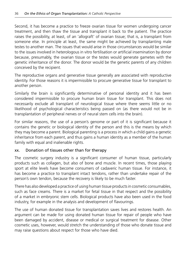Second, it has become a practice to freeze ovarian tissue for women undergoing cancer treatment, and then thaw the tissue and transplant it back to the patient. The practice raises the possibility, at least, of an 'allograft' of ovarian tissue; that is, a transplant from someone else. In principle at least, the same might be achieved by transplanting male testes to another man. The issues that would arise in those circumstances would be similar to the issues involved in heterologous in vitro fertilisation or artificial insemination by donor because, presumably, the ovarian tissue or the testes would generate gametes with the genetic inheritance of the donor. The donor would be the genetic parents of any children conceived by the recipient.

The reproductive organs and generative tissue generally are associated with reproductive identity. For those reasons it is impermissible to procure generative tissue for transplant to another person.

Similarly the brain is significantly determinative of personal identity and it has been considered impermissible to procure human brain tissue for transplant. This does not necessarily exclude all transplant of neurological tissue where there seems little or no likelihood of psychological characteristics being passed on (as there would not be in transplantation of peripheral nerves or of neural stem cells into the brain).

For similar reasons, the use of a person's genome or part of it is significant because it contains the genetic or biological identity of the person and this is the means by which they may become a parent. Biological parenting is a process in which a child gains a genetic inheritance from each parent, and thus gains a human identity as a member of the human family with equal and inalienable rights.

#### xx. Donation of tissues other than for therapy

The cosmetic surgery industry is a significant consumer of human tissue, particularly products such as collagen, but also of bone and muscle. In recent times, those playing sport at elite levels have become consumers of cadaveric human tissue. For instance, it has become a practice to transplant intact tendons, rather than undertake repair of the person's own tendon, because the recovery is likely to be much faster.

There has also developed a practice of using human tissue products in cosmetic consumables, such as face creams. There is a market for fetal tissue in that respect and the possibility of a market in embryonic stem cells. Biological products have also been used in the food industry, for example in the analysis and development of flavourings.

The use of human donated tissue for transplantation saves lives and restores health. An argument can be made for using donated human tissue for repair of people who have been damaged by accident, disease or medical or surgical treatment for disease. Other cosmetic uses, however, would stretch the understanding of those who donate tissue and may raise questions about respect for those who have died.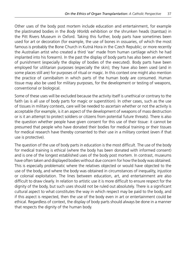Other uses of the body post mortem include education and entertainment, for example the plastinated bodies in the *Body Worlds* exhibition or the shrunken heads (*tsantsas*) in the Pitt Rivers Museum in Oxford. Taking this further, body parts have sometimes been used for art or decoration (for example, the use of bones in ossuaries, of which the most famous is probably the Bone Church in Kutná Hora in the Czech Republic; or more recently the Australian artist who created a third 'ear' made from human cartilage which he had implanted into his forearm). In the past the display of body parts has also been an element of punishment (especially the display of bodies of the executed). Body parts have been employed for utilitarian purposes (especially the skin); they have also been used (and in some places still are) for purposes of ritual or magic. In this context one might also mention the practice of cannibalism in which parts of the human body are consumed. Human tissue may also be used for military purposes, for the development or testing of weapons, conventional or biological.

Some of these uses will be excluded because the activity itself is unethical or contrary to the faith (as is all use of body parts for magic or superstition). In other cases, such as the use of tissues in military contexts, care will be needed to ascertain whether or not the activity is acceptable (for example, is it an aspect of the development of weapons of mass destruction or is it an attempt to protect soldiers or citizens from potential future threats). There is also the question whether people have given consent for this use of their tissue: it cannot be presumed that people who have donated their bodies for medical training or their tissues for medical research have thereby consented to their use in a military context (even if that use is protective).

The question of the use of body parts in education is the most difficult. The use of the body for medical training is ethical (where the body has been donated with informed consent) and is one of the longest established uses of the body post mortem. In contrast, museums have often taken and displayed bodies without due concern for how the body was obtained. This is especially problematic where the relatives objected or would have objected to the use of the body, and where the body was obtained in circumstances of inequality, injustice or colonial exploitation. The lines between education, art, and entertainment are also difficult to draw clearly. In relation to artistic use it is more difficult to ensure respect for the dignity of the body, but such uses should not be ruled out absolutely. There is a significant cultural aspect to what constitutes the way in which respect may be paid to the body, and if this aspect is respected, then the use of the body even in art or entertainment could be ethical. Regardless of context, the display of body parts should always be done in a manner that respects the dignity of the human body.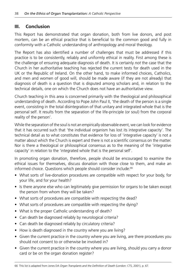## **III. Conclusion**

This Report has demonstrated that organ donation, both from live donors, and post mortem, can be an ethical practice that is beneficial to the common good and fully in conformity with a Catholic understanding of anthropology and moral theology.

The Report has also identified a number of challenges that must be addressed if this practice is to be consistently, reliably and uniformly ethical in reality. First among these is the challenge of ensuring adequate diagnosis of death. It is certainly *not* the case that the Church in her authoritative teaching has rejected the current tests for death used in the UK or the Republic of Ireland. On the other hand, to make informed choices, Catholics, and men and women of good will, should be made aware (if they are not already) that diagnosis of death is a question that is disputed among scholars and, in relation to the technical details, one on which the Church does not have an authoritative view.

Church teaching in this area is concerned primarily with the theological and philosophical understanding of death. According to Pope John Paul II, 'the death of the person is a single event, consisting in the total disintegration of that unitary and integrated whole that is the personal self. It results from the separation of the life-principle (or soul) from the corporal reality of the person'.

While the separation of the soul is not an empirically observable event, we can look for evidence that it has occurred such that 'the individual organism has lost its integrative capacity'. The technical detail as to what constitutes that evidence for loss of 'integrative capacity' is not a matter about which the Church is expert and there is not a scientific consensus on the matter. Nor is there a theological or philosophical consensus as to the meaning of the 'integrative capacity' in relation to the 'integrated whole that is the personal self'.

In promoting organ donation, therefore, people should be encouraged to examine the ethical issues for themselves, discuss donation with those close to them, and make an informed choice. Questions which people should consider include:<sup>66</sup>

- What sorts of live-donation procedures are compatible with respect for your body, for your life, and for your health?
- Is there anyone else who can legitimately give permission for organs to be taken except the person from whom they will be taken?
- What sorts of procedures are compatible with respecting the dead?
- What sorts of procedures are compatible with respecting the dying?
- What is the proper Catholic understanding of death?
- Can death be diagnosed reliably by neurological criteria?
- Can death be diagnosed reliably by circulatory criteria?
- How is death diagnosed in the country where you are living?
- Given the current practice in the country where you are living, are there procedures you should not consent to or otherwise be involved in?
- Given the current practice in the country where you are living, should you carry a donor card or be on the organ donation register?

<sup>66</sup> This list is adapted from Jones DA *Organ Transplants and the Definition of Death* (London: CTS, 2001), p. 67.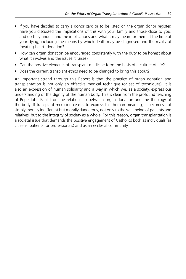- If you have decided to carry a donor card or to be listed on the organ donor register, have you discussed the implications of this with your family and those close to you, and do they understand the implications and what it may mean for them at the time of your dying, including the means by which death may be diagnosed and the reality of 'beating-heart' donation?
- How can organ donation be encouraged consistently with the duty to be honest about what it involves and the issues it raises?
- Can the positive elements of transplant medicine form the basis of a culture of life?
- Does the current transplant ethos need to be changed to bring this about?

An important strand through this Report is that the practice of organ donation and transplantation is not only an effective medical technique (or set of techniques); it is also an expression of human solidarity and a way in which we, as a society, express our understanding of the dignity of the human body. This is clear from the profound teaching of Pope John Paul II on the relationship between organ donation and the theology of the body. If transplant medicine ceases to express this human meaning, it becomes not simply morally indifferent but morally dangerous, not only to the well-being of patients and relatives, but to the integrity of society as a whole. For this reason, organ transplantation is a societal issue that demands the positive engagement of Catholics both as individuals (as citizens, patients, or professionals) and as an ecclesial community.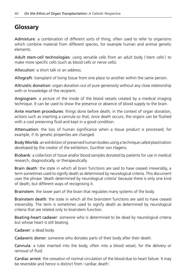# **Glossary**

Admixture: a combination of different sorts of thing, often used to refer to organisms which combine material from different species, for example human and animal genetic elements.

Adult stem-cell technologies: using versatile cells from an adult body ('stem cells') to make more specific cells (such as blood cells or nerve cells).

Allocution: a short talk or an address.

Allograft: transplant of living tissue from one place to another within the same person.

Altruistic donation: organ donation out of pure generosity without any close relationship with or knowledge of the recipient.

Angiogram: a picture of the inside of the blood vessels created by a medical imaging technique. It can be used to show the presence or absence of blood supply to the brain.

Ante mortem procedures: things done before death; in the context of organ donation, actions such as inserting a cannula so that, once death occurs, the organs can be flushed with a cool preserving fluid and kept in a good condition.

Attenuation: the loss of human significance when a tissue product is processed; for example, if its genetic properties are changed.

Body Worlds: an exhibition of preserved human bodies using a technique called plastination developed by the creator of the exhibition, Gunther von Hagens.

Biobank: a collection of tissue and/or blood samples donated by patients for use in medical research, diagnostically, or therapeutically.

Brain death: the state in which all brain functions are said to have ceased irreversibly, a term sometimes used to signify death as determined by neurological criteria. This document uses the phrase 'death determined by neurological criteria' because there is only one kind of death, but different ways of recognising it.

Brainstem: the lower part of the brain that regulates many systems of the body.

Brainstem death: the state in which all the brainstem functions are said to have ceased irreversibly. The term is sometimes used to signify death as determined by neurological criteria that are related only to brainstem function.

Beating-heart cadaver: someone who is determined to be dead by neurological criteria but whose heart is still beating.

Cadaver: a dead body.

Cadaveric donor: someone who donates parts of their body after their death.

Cannula: a tube inserted into the body, often into a blood vessel, for the delivery or removal of fluid.

Cardiac arrest: the cessation of normal circulation of the blood due to heart failure. It may be reversible and hence is distinct from 'cardiac death'.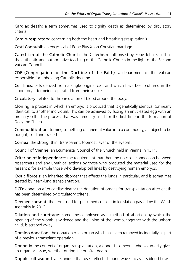Cardiac death: a term sometimes used to signify death as determined by circulatory criteria.

Cardio-respiratory: concerning both the heart and breathing ('respiration').

Casti Connubii: an encyclical of Pope Pius XI on Christian marriage.

Catechism of the Catholic Church: the Catechism authorised by Pope John Paul II as the authentic and authoritative teaching of the Catholic Church in the light of the Second Vatican Council.

CDF (Congregation for the Doctrine of the Faith): a department of the Vatican responsible for upholding Catholic doctrine.

Cell lines: cells derived from a single original cell, and which have been cultured in the laboratory after being separated from their source.

Circulatory: related to the circulation of blood around the body.

Cloning: a process in which an embryo is produced that is genetically identical (or nearly identical) to another individual. This can be achieved by fusing an enucleated egg with an ordinary cell – the process that was famously used for the first time in the formation of Dolly the Sheep.

Commodification: turning something of inherent value into a commodity, an object to be bought, sold and traded.

Cornea: the strong, thin, transparent, topmost layer of the eyeball.

Council of Vienne: an Ecumenical Council of the Church held in Vienne in 1311.

Criterion of independence: the requirement that there be no close connection between researchers and any unethical actions by those who produced the material used for the research; for example those who develop cell lines by destroying human embryos.

Cystic fibrosis: an inherited disorder that affects the lungs in particular, and is sometimes treated by heart-lung transplantation.

DCD: donation after cardiac death: the donation of organs for transplantation after death has been determined by circulatory criteria.

Deemed consent: the term used for presumed consent in legislation passed by the Welsh Assembly in 2013.

Dilation and curettage: sometimes employed as a method of abortion by which the opening of the womb is widened and the lining of the womb, together with the unborn child, is scraped away.

Domino donation: the donation of an organ which has been removed incidentally as part of a previous transplant operation.

Donor: in the context of organ transplantation, a donor is someone who voluntarily gives an organ or tissue, whether during life or after death.

Doppler ultrasound: a technique that uses reflected sound waves to assess blood flow.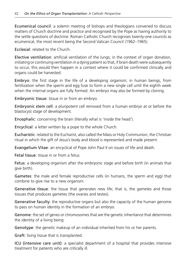Ecumenical council: a solemn meeting of bishops and theologians convened to discuss matters of Church doctrine and practice and recognised by the Pope as having authority to the settle questions of doctrine. Roman Catholic Church recognises twenty-one councils as ecumenical, the most recent being the Second Vatican Council (1962–1965).

Ecclesial: related to the Church.

Elective ventilation: artificial ventilation of the lungs; in the context of organ donation, initiating or continuing ventilation in a dying patient so that, if brain death were subsequently to occur, this would then happen in a context where it could be confirmed clinically and organs could be harvested.

Embryo: the first stage in the life of a developing organism; in human beings, from fertilization when the sperm and egg fuse to form a new single cell until the eighth week when the internal organs are fully formed. An embryo may also be formed by cloning.

Embryonic tissue: tissue in or from an embryo.

Embryonic stem cell: a pluripotent cell removed from a human embryo at or before the blastocyst stage of development.

Encephalic: concerning the brain (literally what is 'inside the head').

Encyclical: a letter written by a pope to the whole Church.

Eucharistic: related to the Eucharist, also called the Mass or Holy Communion, the Christian ritual in which the gift of Jesus's body and blood is represented and made present.

Evangelium Vitae: an encyclical of Pope John Paul II on issues of life and death.

Fetal tissue: tissue in or from a fetus.

Fetus: a developing organism after the embryonic stage and before birth (in animals that give birth).

Gametes: the male and female reproductive cells (in humans, the sperm and egg) that combine to give rise to a new organism.

Generative tissue: the tissue that generates new life; that is, the gametes and those tissues that produces gametes (the ovaries and testes).

Generative faculty: the reproductive organs but also the capacity of the human genome to pass on human identity in the formation of an embryo.

Genome: the set of genes or chromosomes that are the genetic inheritance that determines the identity of a living being.

Genotype: the genetic makeup of an individual inherited from his or her parents.

**Graft:** living tissue that is transplanted.

ICU (intensive care unit): a specialist department of a hospital that provides intensive treatment for patients who are critically ill.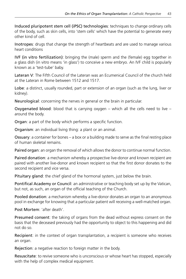Induced pluripotent stem cell (iPSC) technologies: techniques to change ordinary cells of the body, such as skin cells, into 'stem cells' which have the potential to generate every other kind of cell.

Inotropes: drugs that change the strength of heartbeats and are used to manage various heart conditions

IVF (in vitro fertilization): bringing the (male) sperm and the (female) egg together in a glass dish (in vitro means 'in glass') to conceive a new embryo. An IVF child is popularly known as a 'test-tube' baby.

Lateran V: The Fifth Council of the Lateran was an Ecumenical Council of the church held at the Lateran in Rome between 1512 and 1517.

Lobe: a distinct, usually rounded, part or extension of an organ (such as the lung, liver or kidney).

Neurological: concerning the nerves in general or the brain in particular.

Oxygenated blood: blood that is carrying oxygen – which all the cells need to live – around the body.

Organ: a part of the body which performs a specific function.

Organism: an individual living thing: a plant or an animal.

Ossuary: a container for bones – a box or a building made to serve as the final resting place of human skeletal remains.

Paired organ: an organ the removal of which allows the donor to continue normal function.

Paired donation: a mechanism whereby a prospective live-donor and known recipient are paired with another live-donor and known recipient so that the first donor donates to the second recipient and vice versa.

Pituitary gland: the chief gland of the hormonal system, just below the brain.

Pontifical Academy or Council: an administrative or teaching body set up by the Vatican, but not, as such, an organ of the official teaching of the Church.

Pooled donation: a mechanism whereby a live-donor donates an organ to an anonymous pool in exchange for knowing that a particular patient will receiving a well-matched organ.

Post Mortem: 'after death'.

Presumed consent: the taking of organs from the dead without express consent on the basis that the deceased previously had the opportunity to object to this happening and did not do so.

Recipient: in the context of organ transplantation, a recipient is someone who receives an organ.

Rejection: a negative reaction to foreign matter in the body.

Resuscitate: to revive someone who is unconscious or whose heart has stopped, especially with the help of complex medical equipment.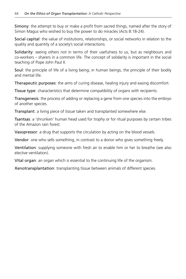Simony: the attempt to buy or make a profit from sacred things, named after the story of Simon Magus who wished to buy the power to do miracles (Acts 8:18-24).

Social capital: the value of institutions, relationships, or social networks in relation to the quality and quantity of a society's social interactions.

Solidarity: seeing others not in terms of their usefulness to us, but as neighbours and co-workers – sharers in a common life. The concept of solidarity is important in the social teaching of Pope John Paul II.

Soul: the principle of life of a living being; in human beings, the principle of their bodily and mental life.

Therapeutic purposes: the aims of curing disease, healing injury and easing discomfort.

Tissue type: characteristics that determine compatibility of organs with recipients.

Transgenesis: the process of adding or replacing a gene from one species into the embryo of another species.

Transplant: a living piece of tissue taken and transplanted somewhere else.

Tsantsas: a 'shrunken' human head used for trophy or for ritual purposes by certain tribes of the Amazon rain forest.

Vasopressor: a drug that supports the circulation by acting on the blood vessels.

Vendor: one who sells something, in contrast to a donor who gives something freely.

Ventilation: supplying someone with fresh air to enable him or her to breathe (see also elective ventilation).

Vital organ: an organ which is essential to the continuing life of the organism.

Xenotransplantation: transplanting tissue between animals of different species.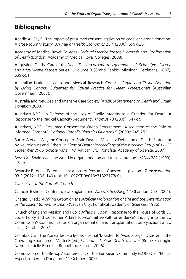# **Bibliography**

Abadie A, Gay S. 'The impact of presumed consent legislation on cadaveric organ donation: A cross-country study'. *Journal of Health Economics* 25.4 (2006): 599-620.

Academy of Medical Royal Colleges. *Code of Practice for the Diagnosis and Confirmation of Death* (London: Academy of Medical Royal Colleges, 2008).

Augustine 'On the Care of the Dead *(De cura pro mortuis gerenda)*' in P. Schaff (ed.) *Nicene and Post-Nicene Fathers* Series 1, volume 3 (Grand Rapids, Michigan: Eerdmans, 1887), 539-551.

Australian National Health and Medical Research Council. *Organ and Tissue Donation by Living Donors: Guidelines for Ethical Practice for Health Professionals* (Australian Government, 2007).

Australia and New Zealand Intensive Care Society (ANZICS) *Statement on Death and Organ Donation* 2008.

Austriaco NPG. 'In Defense of the Loss of Bodily Integrity as a Criterion for Death: A Response to the Radical Capacity Argument'. *Thomist* 73 (2009): 647-59.

Austriaco, NPG. 'Presumed Consent for Organ Procurement: A Violation of the Rule of Informed Consent?' *National Catholic Bioethics Quarterly* 9 (2009): 245-252.

Battro A et al. 'Why the Concept of Brain Death Is Valid as a Definition of Death: Statement by Neurologists and Others' in *Signs of Death: Proceedings of the Working Group of 11–12 September 2006, Scripta Varia 110* (Vatican City: Pontifical Academy of Science, 2007).

Bosch X. 'Spain leads the world in organ donation and transplantation'. *JAMA* 282 (1999): 17-18.

Boyarsky BJ et al. 'Potential Limitations of Presumed Consent Legislation'. *Transplantation* 93.2 (2012): 136–140 (doi: 10.1097/TP.0b013e31823173e0).

*Catechism of the Catholic Church*

Catholic Bishops' Conference of England and Wales. *Cherishing Life* (London: CTS, 2004).

Chagas C (ed.) *Working Group on the Artificial Prolongation of Life and the Determination of the Exact Moment of Death* (Vatican City: Pontifical Academy of Sciences, 1986).

Church of England Mission and Public Affairs Division. 'Response to the House of Lords EU Social Policy and Consumer Affairs sub-committee call for evidence' (Inquiry into the EU Commission's Communication on organ donation and transplantation: policy actions at EU level), October 2007.

Coimbra CG. 'The Apnea Test – a Bedside Lethal 'Disaster' to Avoid a Legal 'Disaster' in the Operating Room' in de Mattei R (ed.) *Finis vitae. Is Brain Death Still Life?* (Rome: Consiglio Nazionale delle Ricerche, Rubbettino Editore, 2006).

Commission of the Bishops' Conferences of the European Community (COMECE). 'Ethical Aspects of Organ Donation' (11 October 2007).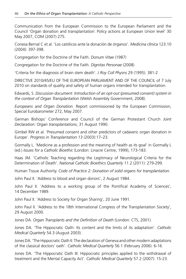Communication from the European Commission to the European Parliament and the Council 'Organ donation and transplantation: Policy actions at European Union level' 30 May 2007, COM (2007) 275.

Conesa Bernal C et al. 'Los católicos ante la donación de órganos'. *Medicina clínica* 123.10 (2004): 397-398.

Congregation for the Doctrine of the Faith. *Donum Vitae* (1987)

Congregation for the Doctrine of the Faith. *Dignitas Personae* (2008)

'Criteria for the diagnosis of brain stem death'. *J Roy Coll Physns* 29 (1995): 381-2

DIRECTIVE 2010/45/EU OF THE EUROPEAN PARLIAMENT AND OF THE COUNCIL of 7 July 2010 on standards of quality and safety of human organs intended for transplantation.

Edwards, S. *Discussion document: Introduction of an opt-out (presumed consent) system in the context of Organ Transplantation* (Welsh Assembly Government, 2008).

*Europeans and Organ Donation*. Report commissioned by the European Commission, Special Eurobarometer 272, May 2007.

German Bishops' Conference and Council of the German Protestant Church *Joint Declaration: Organ transplantations*, 31 August 1990.

Gimbel RW et al. 'Presumed consent and other predictors of cadaveric organ donation in Europe'. *Progress in Transplantation* 13 (2003):17–23.

Gormally L. 'Medicine as a profession and the meaning of health as its goal' in Gormally L (ed.) *Issues for a Catholic Bioethic* (London: Linacre Centre, 1999), 173-183.

Haas JM. 'Catholic Teaching regarding the Legitimacy of Neurological Criteria for the Determination of Death'. *National Catholic Bioethics Quarterly* 11.2 (2011): 279-299.

Human Tissue Authority. *Code of Practice 2: Donation of solid organs for transplantation*.

John Paul II. 'Address to blood and organ donors', 2 August 1984.

John Paul II. 'Address to a working group of the Pontifical Academy of Sciences', 14 December 1989.

John Paul II. 'Address to Society for Organ Sharing', 20 June 1991.

John Paul II. 'Address to the 18th International Congress of the Transplantation Society', 29 August 2000.

Jones DA. *Organ Transplants and the Definition of Death* (London: CTS, 2001).

Jones DA. 'The Hippocratic Oath: Its content and the limits of its adaptation'. *Catholic Medical Quarterly* 54.3 (August 2003).

Jones DA. 'The Hippocratic Oath II: The declaration of Geneva and other modern adaptations of the classical doctors' oath'. *Catholic Medical Quarterly* 56.1 (February 2006): 6-16.

Jones DA. 'The Hippocratic Oath III: Hippocratic principles applied to the withdrawal of treatment and the Mental Capacity Act'. *Catholic Medical Quarterly* 57.2 (2007): 15-23.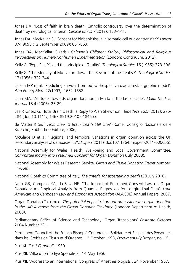Jones DA. 'Loss of faith in brain death: Catholic controversy over the determination of death by neurological criteria'. *Clinical Ethics* 7(2012): 133–141.

Jones DA, MacKellar C. 'Consent for biobank tissue in somatic-cell nuclear transfer?' *Lancet* 374.9693 (12 September 2009): 861-863.

Jones DA, MacKellar C (eds.) *Chimera's Children: Ethical, Philosophical and Religious Perspectives on Human-Nonhuman Experimentation* (London: Continuum, 2012).

Kelly G. 'Pope Pius XII and the principle of Totality'. *Theological Studies* 16 (1955): 373-396.

Kelly G. 'The Morality of Mutilation. Towards a Revision of the Treatise'. *Theological Studies* 17 (1956): 322-344.

Larsen MP et al. 'Predicting survival from out-of-hospital cardiac arrest: a graphic model'. *Ann Emerg Med*. 22(1993): 1652-1658.

Lauri MA. 'Attitudes towards organ donation in Malta in the last decade'. *Malta Medical Journal* 18.4 (2006): 25-29.

Lee P, Grisez G. 'Total Brain Death: a Reply to Alan Shewmon'. *Bioethics* 26.5 (2012): 275- 284 (doi: 10.1111/j.1467-8519.2010.01846.x).

de Mattei R (ed.) *Finis vitae. Is Brain Death Still Life?* (Rome: Consiglio Nazionale delle Ricerche, Rubbettino Editore, 2006).

McGlade D et al. 'Regional and temporal variations in organ donation across the UK (secondary analyses of databases)'. *BMJ Open* (2011) (doi:10.1136/bmjopen-2011-000055).

National Assembly for Wales, Health, Well-being and Local Government Committee*. Committee Inquiry into Presumed Consent for Organ Donation* (July 2008).

National Assembly for Wales Research Service. *Organ and Tissue Donation* (Paper number: 11/068).

National Bioethics Committee of Italy. *The criteria for ascertaining death* (20 July 2010).

Neto GB, Campelo KA, da Silva NE. 'The Impact of Presumed Consent Law on Organ Donation: An Empirical Analysis from Quantile Regression for Longitudinal Data'. *Latin American and Caribbean Law and Economics Association* (ALACDE) Annual Papers, 2007.

Organ Donation Taskforce. *The potential impact of an opt-out system for organ donation in the UK: A report from the Organ Donation Taskforce* (London: Department of Health, 2008).

Parliamentary Office of Science and Technology 'Organ Transplants' *Postnote* October 2004 Number 231.

Permanent Council of the French Bishops' Conference 'Solidarité et Respect des Personnes dans les Greffes de Tissus et d'Organes' 12 October 1993, *Documents-Episcopat*, no. 15.

Pius XI. *Casti Connubii*, 1930

Pius XII. 'Allocution to Eye Specialists', 14 May 1956.

Pius XII. 'Address to an International Congress of Anesthesiologists', 24 November 1957.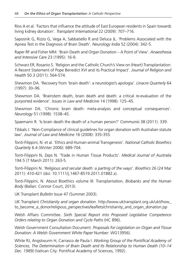Ríos A et al. 'Factors that influence the attitude of East European residents in Spain towards living kidney donation'. *Transplant International* 22 (2009): 707–716.

Saposnik G, Rizzo G, Vega A, Sabbatiello R and Deluca JL. 'Problems Associated with the Apnea Test in the Diagnosis of Brain Death'. *Neurology India* 52 (2004): 342-5.

Raper RF and Fisher MM. 'Brain Death and Organ Donation – A Point of View'. *Anaesthesia and Intensive Care* 23 (1995): 16-9.

Schwarz ER, Rosanio S. 'Religion and the Catholic Church's View on (Heart) Transplantation: A Recent Statement of Pope Benedict XVI and its Practical Impact'. *Journal of Religion and Health* 50.3 (2011): 564-574.

Shewmon DA. 'Recovery from 'brain death': a neurologist's apologia'. *Linacre Quarterly* 64 (1997): 30–96.

Shewmon DA. 'Brainstem death, brain death and death: a critical re-evaluation of the purported evidence'. *Issues in Law and Medicine* 14 (1998): 125–45.

Shewmon DA. 'Chronic brain death: meta-analysis and conceptual consequences'. *Neurology* 51 (1998): 1538–45.

Spaemann R. 'Is brain death the death of a human person?' *Communio* 38 (2011): 339.

Tibbals J. 'Non-Compliance of clinical guidelines for organ donation with Australian statute law'. *Journal of Law and Medicine* 16 (2008): 335-355.

Tonti-Filippini, N. et al. 'Ethics and Human-animal Transgenesis'. *National Catholic Bioethics Quarterly* 6.4 (Winter 2006): 689-704.

Tonti-Filippini N, Zeps N. 'Trade in Human Tissue Products'. *Medical Journal of Australia* 194.5 (7 March 2011): 263-5.

Tonti-Filippini N. *'Religious and secular death: a parting of the ways'*. *Bioethics* 26 (24 Mar 2011): 410-421 (doi: 10.1111/j.1467-8519.2011.01882.x).

Tonti-Filippini, N. About Bioethics volume III: Transplantation, *Biobanks and the Human Body* (Ballan: Connor Court, 2013).

UK Transplant *Bulletin* Issue 47 (Summer 2003).

UK Transplant *Christianity and organ donation*. http://www.uktransplant.org.uk/ukt/how\_ to\_become\_a\_donor/religious\_perspectives/leaflets/christianity\_and\_organ\_donation.jsp

Welsh Affairs Committee. *Sixth Special Report into Proposed Legislative Competence Orders relating to Organ Donation and Cycle Paths* (HC 896).

Welsh Government Consultation Document. *Proposals for Legislation on Organ and Tissue Donation: A Welsh Government White Paper* Number: WG13956).

White RJ, Angstwurm H, Carrasco de Paula I. *Working Group of the Pontifical Academy of Sciences, The Determination of Brain Death and Its Relationship to Human Death (10–14 Dec. 1989)* (Vatican City: Pontifical Academy of Sciences, 1992).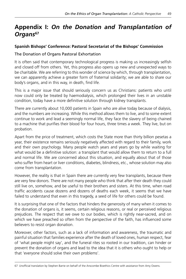# **Appendix I:** *On the Donation and Transplantation of Organs***<sup>67</sup>**

#### **Spanish Bishops' Conference: Pastoral Secretariat of the Bishops' Commission**

#### The Donation of Organs Pastoral Exhortation

It is often said that contemporary technological progress is making us increasingly selfish and closed off from others. Yet, this progress also opens up new and unexpected ways to be charitable. We are referring to this wonder of science by which, through transplantation, we can apparently achieve a greater form of fraternal solidarity; we are able to share our body's organs, and in this way, in death, find life.

This is a major issue that should seriously concern us as Christians: patients who until now could only be treated by haemodialysis, which prolonged their lives in an unstable condition, today have a more definitive solution through kidney transplants.

There are currently about 10,000 patients in Spain who are alive today because of dialysis, and the numbers are increasing. While this method allows them to live, and to some extent continue to work and lead a seemingly normal life, they face the slavery of being chained to a machine that purifies their blood for four hours, three times a week. They live, but on probation.

Apart from the price of treatment, which costs the State more than thirty billion pesetas a year, their existence remains seriously negatively affected with regard to their family, work and their own psychology. Many people watch years and years go by while waiting for what would be a definitive solution: a transplant that would allow them to return to a full and normal life. We are concerned about this situation, and equally about that of those who suffer from heart or liver conditions, diabetes, blindness, etc., whose solution may also come from transplantation.

However, the reality is that in Spain there are currently very few transplants, because there are very few donors. There are not many people who think that after their death they could still live on, somehow, and be useful to their brothers and sisters. At this time, when road traffic accidents cause dozens and dozens of deaths each week, it seems that we have failed to understand that even in this tragedy, a seed of life for others could be found.

It is surprising that one of the factors that hinders the generosity of many when it comes to the donation of organs is, it seems, certain religious reasons, or real or perceived religious prejudices. The respect that we owe to our bodies, which is rightly near-sacred, and on which we have preached so often from the perspective of the faith, has influenced some believers to resist organ donation.

Moreover, other factors, such as a lack of information and awareness, the traumatic and painful situation that families experience after the death of loved ones, human respect, fear of 'what people might say', and the funeral rites so rooted in our tradition, can hinder or prevent the donation of organs and lead to the idea that it is others who ought to help or that 'everyone should solve their own problems'.

<sup>67</sup> Unofficial translation by Stephen Barrie on behalf of the Anscombe Bioethics Centre with assistance from Amy Owens.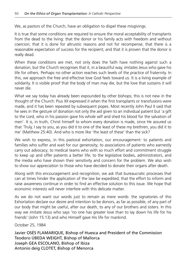We, as pastors of the Church, have an obligation to dispel these misgivings.

It is true that some conditions are required to ensure the moral acceptability of transplants from the dead to the living: that the donor or his family acts with freedom and without coercion; that it is done for altruistic reasons and not for recompense; that there is a reasonable expectation of success for the recipient; and that it is proven that the donor is really dead.

When these conditions are met, not only does the faith have nothing against such a donation, but the Church recognises that it, in a beautiful way, imitates Jesus who gave his life for others. Perhaps no other action reaches such levels of the practice of fraternity. In this, we approach the free and effective love God feels toward us. It is a living example of solidarity. It is visible proof that the body of man may die, but the love that sustains it will never die.

What we say today has already been expounded by other bishops; this is not new in the thought of the Church: Pius XII expressed it when the first transplants or transfusions were made, and it has been repeated by subsequent popes. Most recently John Paul II said that he sees in the gesture of donation not only the aid given to an individual patient but 'a gift to the Lord, who in his passion gave his whole self and shed his blood for the salvation of men'. It is, in truth, Christ himself to whom every donation is made, since He assured us that 'Truly, I say to you, as you did it to one of the least of these my brethren, you did it to me' (Matthew 25:40). And who is more like 'the least of these' than the sick?

We wish to express, in this pastoral exhortation, our encouragement: to patients and families who suffer and wait for our generosity; to associations of patients who earnestly carry out advocacy; to medical teams who with so much effort and commitment struggle to keep up and offer patients a better life; to the legislative bodies, administrators, and the media who have shown their sensitivity and concern for the problem. We also wish to show our appreciation to those who have decided to donate their organs after death.

Along with this encouragement and recognition, we ask that bureaucratic processes that can at times hinder the application of the law be expedited; that the effort to inform and raise awareness continue in order to find an effective solution to this issue. We hope that economic interests will never interfere with this delicate matter.

As we do not want our words just to remain as mere words: the signatories of this Exhortation declare our desire and intention to be donors, as far as possible, of any part of our body that might be useful, after our death, to any of our brothers and sisters. In this way we imitate Jesus who says 'no one has greater love than to lay down his life for his friends' (John 15:13) and who Himself gave His life for mankind.

October 25, 1984

Javier OSÉS FLAMARIQUE, Bishop of Huesca and President of the Commission Teodoro ÚBEDA WEIGHT, Bishop of Mallorca Joseph GEA ESCOLANO, Bishop of Ibiza Antonio deig CLOTET, Bishop of Menorca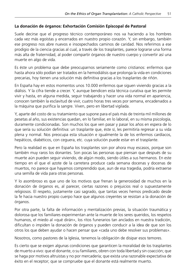#### **La donación de órganos: Exhortación Comisión Episcopal de Pastoral**

Suele decirse que el progreso técnico contemporáneo nos va haciendo a los hombres cada vez más egoístas y encerrados en nuestro propio corazón. Y, sin embargo, también ese progreso nos abre nuevos e insospechados caminos de caridad. Nos referimos a ese prodigio de la ciencia gracias al cual, a través de los trasplantes, parece lograrse una forma más alta de fraternidad, al poder compartir órganos de nuestro cuerpo y convertir así una muerte en algo de vida.

Es éste un problema que debe preocuparnos seriamente como cristianos: enfermos que hasta ahora sólo podían ser tratados en la hemodiálisis que prolonga la vida en condiciones precarias, hoy tienen una solución más definitiva gracias a los trasplantes de riñón.

En España hay en estos momentos unos 10.000 enfermos que siguen viviendo gracias a la diálisis. Y la cifra tiende a crecer. Y, aunque bendicen esta técnica curativa que les permite vivir y hasta, en alguna medida, seguir trabajando y hacer una vida normal en apariencia, conocen también la esclavitud de vivir, cuatro horas tres veces por semana, encadenados a la máquina que purifica la sangre. Viven, pero en libertad vigilada.

Y, aparte del costo de su tratamiento que supone para el país más de treinta mil millones de pesetas al año, sus existencias quedan, en lo familiar, en lo laboral, en su misma psicología, duramente condicionadas. Son muchos los que ven pasar y pasar los años en espera de lo que sería su solución definitiva: un trasplante que, éste sí, les permitiría regresar a su vida plena y normal. Nos preocupa esta situación e igualmente la de los enfermos cardíacos, hepáticos, diabéticos, con ceguera, etc. cuya solución puede estar en el trasplante.

Pero la realidad es que en España los trasplantes son por ahora muy escasos, porque son también muy raros los donantes. Son pocas las personas que piensan que después de su muerte aún pueden seguir viviendo, de algún modo, siendo útiles a sus hermanos. En este tiempo en el que el azote de la carretera produce cada semana docenas y docenas de muertos, no parece que hayamos comprendido que, aun de esa tragedia, podría extraerse una semilla de vida para otras personas.

Y lo asombroso es que uno de los motivos que frenan la generosidad de muchos en la donación de órganos es, al parecer, ciertas razones o prejuicios real o supuestamente religiosos. El respeto, justamente casi sagrado, que tantas veces hemos predicado desde la fe hacia nuestro propio cuerpo hace que algunos creyentes se resistan a la donación de órganos.

Por otra parte, la falta de información y mentalización previas, la situación traumática y dolorosa que los familiares experimentan ante la muerte de los seres queridos, los respetos humanos, el miedo al «qué dirán», los ritos funerarios tan anclados en nuestra tradición, dificultan o impiden la donación de órganos y pueden conducir a la idea de que son los otros los que deben ayudar o hacen pensar que «cada uno debe resolver sus problemas».

Nosotros, como pastores de la Iglesia, tenemos la obligación de disipar esos temores.

Es cierto que se exigen algunas condiciones que garanticen la moralidad de los trasplantes de muerto a vivo: que el donante, o su familiares, obren con toda libertad y sin coacción; que se haga por motivos altruistas y no por mercadería; que exista una razonable expectativa de éxito en el receptor; que se compruebe que el donante está realmente muerto.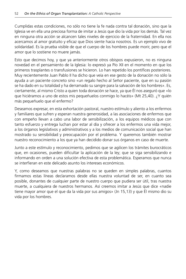Cumplidas estas condiciones, no sólo no tiene la fe nada contra tal donación, sino que la Iglesia ve en ella una preciosa forma de imitar a Jesús que dio la vida por los demás. Tal vez en ninguna otra acción se alcancen tales niveles de ejercicio de la fraternidad. En ella nos acercamos al amor gratuito y eficaz que Dios siente hacia nosotros. Es un ejemplo vivo de solidaridad. Es la prueba visible de que el cuerpo de los hombres puede morir, pero que el amor que lo sostiene no muere jamás.

Esto que decimos hoy, y que ya anteriormente otros obispos expusieron, no es ninguna novedad en el pensamiento de la Iglesia: lo expresó ya Pío XII en el momento en que los primeros trasplantes o transfusiones se hicieron. Lo han repetido los pontífices posteriores. Muy recientemente Juan Pablo II ha dicho que veía en ese gesto de la donación no sólo la ayuda a un paciente concreto sino «un regalo hecho al Señor paciente, que en su pasión se ha dado en su totalidad y ha derramado su sangre para la salvación de los hombres». Es, ciertamente, al mismo Cristo a quien toda donación se hace, ya que Él nos aseguró que «lo que hiciéramos a uno de estos mis pequeñuelos conmigo lo hacéis» (Mt 25,40). ¿Y quién más pequeñuelo que el enfermo?

Deseamos expresar, en esta exhortación pastoral, nuestro estímulo y aliento a los enfermos y familiares que sufren y esperan nuestra generosidad, a las asociaciones de enfermos que con empeño llevan a cabo una labor de sensibilización, a los equipos médicos que con tanto esfuerzo y entrega luchan por estar al día y ofrecer a los enfermos una vida mejor, a los órganos legislativos y administrativos y a los medios de comunicación social que han mostrado su sensibilidad y preocupación por el problema. Y queremos también mostrar nuestro reconocimiento a los que ya han decidido donar sus órganos en caso de muerte.

Junto a este estímulo y reconocimiento, pedimos que se agilicen los trámites burocráticos que, en ocasiones, pueden dificultar la aplicación de la ley; que se siga sensibilizando e informando en orden a una solución efectiva de esta problemática. Esperamos que nunca se interfieran en este delicado asunto los intereses económicos.

Y, como deseamos que nuestras palabras no se queden en simples palabras, cuantos firmamos estas líneas declaramos desde ellas nuestra voluntad de ser, en cuanto sea posible, donantes de cualquier parte de nuestro cuerpo que pudiera ser útil, tras nuestra muerte, a cualquiera de nuestros hermanos. Así creemos imitar a Jesús que dice «nadie tiene mayor amor que el que da la vida por sus amigos» (Jn 15,13) y que Él mismo dio su vida por los hombres.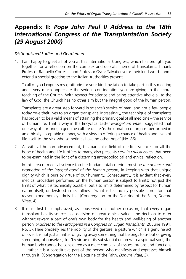## **Appendix II:** *Pope John Paul II Address to the 18th International Congress of the Transplantation Society (29 August 2000)*

#### *Distinguished Ladies and Gentlemen*

1. I am happy to greet all of you at this International Congress, which has brought you together for a reflection on the complex and delicate theme of transplants. I thank Professor Raffaello Cortesini and Professor Oscar Salvatierra for their kind words, and I extend a special greeting to the Italian Authorities present.

To all of you I express my gratitude for your kind invitation to take part in this meeting and I very much appreciate the serious consideration you are giving to the moral teaching of the Church. With respect for science and being attentive above all to the law of God, the Church has no other aim but the integral good of the human person.

Transplants are a great step forward in science's service of man, and not a few people today owe their lives to an organ transplant. Increasingly, the technique of transplants has proven to be a valid means of attaining the primary goal of all medicine – the service of human life. That is why in the Encyclical Letter *Evangelium Vitae* I suggested that one way of nurturing a genuine culture of life 'is the donation of organs, performed in an ethically acceptable manner, with a view to offering a chance of health and even of life itself to the sick who sometimes have no other hope' (No. 86).

2. As with all human advancement, this particular field of medical science, for all the hope of health and life it offers to many, also presents *certain critical issues* that need to be examined in the light of a discerning anthropological and ethical reflection.

In this area of medical science too the fundamental criterion must be *the defence and promotion of the integral good of the human person*, in keeping with that unique dignity which is ours by virtue of our humanity. Consequently, it is evident that every medical procedure performed on the human person is subject to limits: not just the limits of what it is technically possible, but also limits determined by respect for human nature itself, understood in its fullness: 'what is technically possible is not for that reason alone morally admissible' (Congregation for the Doctrine of the Faith, *Donum Vitae*, 4).

3. It must first be emphasized, as I observed on another occasion, that every organ transplant has its source in a decision of great ethical value: 'the decision to offer without reward a part of one's own body for the health and well-being of another person' (*Address to the Participants in a Congress on Organ Transplants,* 20 June 1991, No. 3). Here precisely lies the nobility of the gesture, a gesture which is a genuine act of love. It is not just a matter of giving away something that belongs to us but of giving something of ourselves, for 'by virtue of its substantial union with a spiritual soul, the human body cannot be considered as a mere complex of tissues, organs and functions … rather it is a constitutive part of the person who manifests and expresses himself through it' (Congregation for the Doctrine of the Faith, *Donum Vitae*, 3).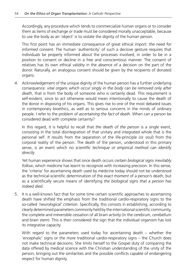Accordingly, any procedure which tends to commercialize human organs or to consider them as items of exchange or trade must be considered morally unacceptable, because to use the body as an 'object' is to violate the dignity of the human person.

This first point has an immediate consequence of great ethical import: *the need for informed consent*. The human 'authenticity' of such a decisive gesture requires that individuals be properly informed about the processes involved, in order to be in a position to consent or decline in a free and conscientious manner. The consent of relatives has its own ethical validity in the absence of a decision on the part of the donor. Naturally, an analogous consent should be given by the recipients of donated organs.

4. Acknowledgement of the unique dignity of the human person has a further underlying consequence: *vital organs which occur singly in the body can be removed only after death*, that is from the body of someone who is certainly dead. This requirement is self-evident, since to act otherwise would mean intentionally to cause the death of the donor in disposing of his organs. This gives rise to one of the most debated issues in contemporary bioethics, as well as to serious concerns in the minds of ordinary people. I refer to the problem of *ascertaining the fact of death*. When can a person be considered dead with complete certainty?

In this regard, it is helpful to recall that *the death of the person* is a single event, consisting in the total disintegration of that unitary and integrated whole that is the personal self. It results from the separation of the life-principle (or soul) from the corporal reality of the person. The death of the person, understood in this primary sense, is an event which *no scientific technique or empirical method can identify directly*.

Yet human experience shows that once death occurs *certain biological signs inevitably follow*, which medicine has learnt to recognize with increasing precision. In this sense, the 'criteria' for ascertaining death used by medicine today should not be understood as the technical-scientific determination of the *exact moment* of a person's death, but as a scientifically secure means of identifying *the biological signs that a person has indeed died*.

5. It is a well-known fact that for some time certain scientific approaches to ascertaining death have shifted the emphasis from the traditional cardio-respiratory signs to the so-called *'neurological' criterion*. Specifically, this consists in establishing, according to clearly determined parameters commonly held by the international scientific community, the complete and irreversible cessation of all brain activity (in the cerebrum, cerebellum and brain stem). This is then considered the sign that the individual organism has lost its integrative capacity.

With regard to the parameters used today for ascertaining death – whether the 'encephalic' signs or the more traditional cardio-respiratory signs – the Church does not make technical decisions. She limits herself to the Gospel duty of comparing the data offered by medical science with the Christian understanding of the unity of the person, bringing out the similarities and the possible conflicts capable of endangering respect for human dignity.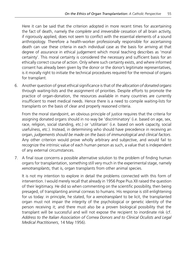Here it can be said that the criterion adopted in more recent times for ascertaining the fact of death, namely the *complete* and *irreversible* cessation of all brain activity, if rigorously applied, does not seem to conflict with the essential elements of a sound anthropology. Therefore a health-worker professionally responsible for ascertaining death can use these criteria in each individual case as the basis for arriving at that degree of assurance in ethical judgement which moral teaching describes as 'moral certainty'. This moral certainty is considered the necessary and sufficient basis for an ethically correct course of action. Only where such certainty exists, and where informed consent has already been given by the donor or the donor's legitimate representatives, is it morally right to initiate the technical procedures required for the removal of organs for transplant.

6. Another question of great ethical significance is that of *the allocation of donated organs* through waiting-lists and the assignment of priorities. Despite efforts to promote the practice of organ-donation, the resources available in many countries are currently insufficient to meet medical needs. Hence there is a need to compile waiting-lists for transplants on the basis of clear and properly reasoned criteria.

From the moral standpoint, an obvious principle of justice requires that the criteria for assigning donated organs should in no way be 'discriminatory' (i.e. based on age, sex, race, religion, social standing, etc.) or 'utilitarian' (i.e. based on work capacity, social usefulness, etc.). Instead, in determining who should have precedence in receiving an organ, *judgements should be made on the basis of immunological and clinical factors*. Any other criterion would prove wholly arbitrary and subjective, and would fail to recognize the intrinsic value of each human person as such, a value that is independent of any external circumstances.

7. A final issue concerns a possible alternative solution to the problem of finding human organs for transplantation, something still very much in the experimental stage, namely *xenotransplants*, that is, organ transplants from other animal species.

It is not my intention to explore in detail the problems connected with this form of intervention. I would merely recall that already in 1956 Pope Pius XII raised the question of their legitimacy. He did so when commenting on the scientific possibility, then being presaged, of transplanting animal corneas to humans. His response is still enlightening for us today: in principle, he stated, for a *xenotransplant* to be licit, the transplanted organ must not impair the integrity of the psychological or genetic identity of the person receiving it; and there must also be a proven biological possibility that the transplant will be successful and will not expose the recipient to inordinate risk (cf. *Address to the Italian Association of Cornea Donors and to Clinical Oculists and Legal Medical Practitioners*, 14 May 1956).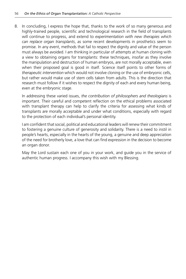8. In concluding, I express the hope that, thanks to the work of so many generous and highly-trained people, scientific and technological research in the field of transplants will continue to progress, and extend to *experimentation with new therapies which can replace organ transplants*, as some recent developments in prosthetics seem to promise. In any event, methods that fail to respect the dignity and value of the person must always be avoided. I am thinking in particular of attempts at human cloning with a view to obtaining organs for transplants: these techniques, insofar as they involve the manipulation and destruction of human embryos, are not morally acceptable, even when their proposed goal is good in itself. Science itself points to other forms of *therapeutic intervention* which would not involve cloning or the use of embryonic cells, but rather would make use of stem cells taken from adults. This is the direction that research must follow if it wishes to respect the dignity of each and every human being, even at the embryonic stage.

In addressing these varied issues, *the contribution of philosophers and theologians* is important. Their careful and competent reflection on the ethical problems associated with transplant therapy can help to clarify the criteria for assessing what kinds of transplants are morally acceptable and under what conditions, especially with regard to the protection of each individual's personal identity.

I am confident that social, political and educational leaders will renew their commitment to fostering a genuine culture of generosity and solidarity. There is a need to instil in people's hearts, especially in the hearts of the young, a genuine and deep appreciation of the need for brotherly love, a love that can find expression in the decision to become an organ donor.

May the Lord sustain each one of you in your work, and guide you in the service of authentic human progress. I accompany this wish with my Blessing.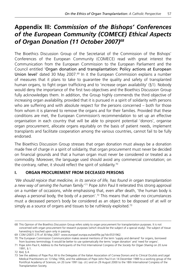## **Appendix III:** *Commission of the Bishops' Conferences of the European Community (COMECE) Ethical Aspects of Organ Donation (11 October 2007)68*

The Bioethics Discussion Group of the Secretariat of the Commission of the Bishops' Conferences of the European Community (COMECE) read with great interest the Communication from the European Commission to the European Parliament and the Council entitled 'Organ donation and transplantation: Policy actions at European Union level' dated 30 May 2007.<sup>69</sup> In it the European Commission explains a number of measures that it plans to take to guarantee the quality and safety of transplanted human organs, to fight organ trafficking and to 'increase organ availability' (§1). Nobody would deny the importance of the first two objectives and the Bioethics Discussion Group fully acknowledges them. In addition, the Group highly commends the third objective of increasing organ availability, provided that it is pursued in a spirit of solidarity with persons who are suffering and with absolute respect for the persons concerned – both for those from whom it is planned to remove the organs and for their families. Provided that these conditions are met, the European Commission's recommendation to set up an effective organisation in each country that will be able to pinpoint potential 'donors', organise organ procurement, allocate organs equitably on the basis of patient needs, implement transplants and facilitate cooperation among the various countries, cannot fail to be fully endorsed.

The Bioethics Discussion Group stresses that organ donation must always be a donation made free of charge in a spirit of solidarity, that organ procurement must never be decided on financial grounds and that a human organ must never be considered or treated as a commodity. Moreover, the language used should avoid any commercial connotation; on the contrary, rather, it should reflect the spirit of solidarity.70

#### **I. ORGAN PROCUREMENT FROM DECEASED PERSONS**

*'We should rejoice that medicine, in its service of life, has found in organ transplantation a new way of serving the human family.*' 71 Pope John Paul II reiterated this strong approval on a number of occasions, while emphasising that, even after death, 'the human body is always a personal body, the body of a person'.<sup>72</sup> This means that under no circumstances must a deceased person's body be considered as an object to be disposed of at will or simply as a source of organs and tissues to be ruthlessly exploited. $73$ 

<sup>68</sup> This Opinion of the Bioethics Discussion Group refers solely to organ procurement for transplantation purposes. It is not concerned with organ procurement for research purposes (which should be the subject of a special study). The subject of tissue harvesting is touched upon only in passing.

<sup>69</sup> COM (2007) 275 of 30 May 2007: www.europarl.europa.eu/oeil/file.jsp?id=5531962.

<sup>70</sup> The European Commission Communication makes several mentions of the term 'supply and demand' for organs, borrowed from business terminology. It would be better to use systematically the terms 'organ donation' and 'need for organs'.

<sup>71</sup> Pope John Paul II, Address to the Participants of the First International Congress of the *Society for Organ Sharing* on 20 June 1991, § 1.

<sup>72</sup> Ibid, § 4.

<sup>73</sup> See the address of Pope Pius XII to the Delegates of the Italian Association of Cornea Donors and to Clinical Oculists and Legal Medical Practitioners on 13 May 1956, and the addresses of Pope John Paul II on 14 December 1989 to a working group of the Pontifical Academy of Sciences, on 20 June 1991 (op. cit.) and on 29 August 2000 to the 18th International Congress of the Transplantation Society.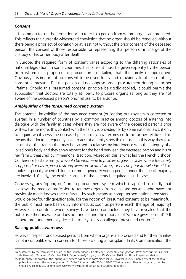#### *Consent*

It is common to use the term 'donor' to refer to a person from whom organs are procured. This reflects the currently widespread conviction that no organ should be removed without there being a prior act of donation or at least not without the prior consent of the deceased person, the consent of those responsible for representing that person or in charge of the custody of his or her body after death.

In Europe, the required form of consent varies according to the differing rationales of national legislation. In some countries, this consent must be given explicitly by the person from whom it is proposed to procure organs; failing that, the family is approached. Obviously it is important for consent to be given freely and knowingly. In other countries, consent is 'presumed' if the person did not oppose organ procurement during his or her lifetime. Should this 'presumed consent' principle be rigidly applied, it could permit the supposition that doctors are totally at liberty to procure organs as long as they are not aware of the deceased person's prior refusal to be a donor.

#### *Ambiguities of the 'presumed consent' system*

The potential inflexibility of the presumed consent (or 'opting out') system is corrected or averted in a number of countries by a common practice among doctors of entering into dialogue with the family in cases where they are not aware of the deceased person's prior wishes. Furthermore, this contact with the family is provided for by some national laws, if only to inquire what views the deceased person may have expressed to his or her relatives. This means that doctors frequently have to accept a family's possible refusal. In this way they take account of the trauma that may be caused to relatives by interference with the integrity of a loved one's body and they show respect for the bond between the deceased person and his or her family, treasured by immemorial tradition. Moreover, this is what led the French Bishops' Conference to state firmly: *'It would be inhumane to procure organs in cases where the family is opposed or has expressed strong aversion, acute distress, or has no prior knowledge.'74* This applies especially where children, or more generally young people under the age of majority are involved. Clearly, the explicit consent of the parents is required in such cases.

Conversely, any 'opting out' organ-procurement system which is applied so rigidly that it allows the medical profession to remove organs from deceased persons who have not previously made known their refusal – by such means as computerised national registers – would be profoundly questionable. For the notion of 'presumed consent' to be meaningful, the public must have been duly informed, as soon as persons reach the age of majority! However, in countries where surveys have been conducted, they have revealed that the public is either unaware or does not understand the rationale of 'silence gives consent'.<sup>75</sup> It is therefore fundamentally deceitful to rely solely on alleged 'presumed consent'.

#### **Raising public awareness**

However, respect for deceased persons from whom organs are procured and for their families is not incompatible with concern for those awaiting a transplant. In its Communication, the

<sup>74</sup> Statement by the Permanent Council of the French Bishops' Conference, *Solidarité et Respect des Personnes dans les Greffes de Tissus et d'Organes,* 12 October 1993, *Documents-Episcopat,* no. 15, October 1993, unofficial English translation.

<sup>75</sup> In Hungary, for example, the 'opting-out' system has been in force since 1998. However, in 2003, only 42% of the general public knew about the legal regulation. Cf. Szántó Zs et al: LAM 2004; 14(89):620-6 (article written in Hungarian, cited by Smudla A, Hegedüs K, Semmelweis University, Institute of Behavioural Studies, Budapest).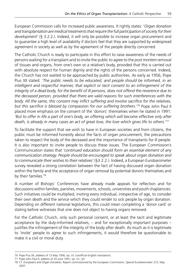European Commission calls for increased public awareness. It rightly states: '*Organ donation and transplantation are medical treatments that require the full participation of society for their development'* (§ 3.2.2.). Indeed, it will only be possible to increase organ procurement and to guarantee a high level of availability if doctors feel that they are supported by widespread agreement in society as well as by the agreement of the people directly concerned.

The Catholic Church is ready to participate in this effort to raise awareness of the needs of persons waiting for a transplant and to invite the public to agree to the *post mortem* removal of tissues and organs, from one's own or a relative's body, provided that this is carried out with absolute respect for human dignity and the rights of the persons concerned. Indeed, the Church has not waited to be approached by public authorities. As early as 1956, Pope Pius XII stated: *'The public needs to be educated, and people should be informed, in an intelligent and respectful manner, that explicit or tacit consent to an infringement of the integrity of a dead body, for the benefit of ill persons, does not offend the reverence due to the deceased person, provided that there are valid reasons for such interferences with the*  body. All the same, this consent may inflict suffering and involve sacrifice for the relatives, *but this sacrifice is blessed by compassion for our suffering brothers.'76* Pope John Paul II placed more emphasis on the consent of the 'donors' themselves when he stated in 1991: *'But to offer in life a part of one's body, an offering which will become effective only after death, is already in many cases an act of great love, the love which gives life to others.'77*

To facilitate the support that we wish to have in European societies and from citizens, the public must be informed honestly about the facts of organ procurement, the precautions taken to respect the body of the deceased and the importance of transplants for ill people. It is also important to invite people to discuss these issues. The European Commission's Communication states that *'continued education should form an essential element of any communication strategy. People should be encouraged to speak about organ donation and to communicate their wishes to their relatives'* (§3.2.2.). Indeed, a European Eurobarometer survey revealed a strong correlation between the fact of having discussed organ donation within the family and the acceptance of organ removal by potential donors themselves and by their families.<sup>78</sup>

A number of Bishops' Conferences have already made appeals for reflection and for discussions within families, parishes, movements, schools, universities and youth chaplaincies. Such initiatives could be multiplied, inviting every individual, irrespective of age, to consider their own death and the service which they could render to sick people by organ donation. Depending on different national legislations, this could mean completing a 'donor card' or stating before witnesses that one does not object to having organs removed.

For the Catholic Church, only such personal consent, or at least the tacit and legitimate acceptance by the duly-informed relatives, – and for exceptionally important purposes – justifies the infringement of the integrity of the body after death. As much as it is legitimate to 'invite' people to agree to such infringements, it would therefore be questionable to make it a civil or moral duty.

<sup>76</sup> Pope Pius XII, address of 13 May 1956, op. cit. (unofficial English translation).

<sup>77</sup> Pope John Paul II, address of 20 June 1991, op. cit., §3.

<sup>78</sup> Cf. *Europeans and Organ Donation*, Report commissioned by the European Commission, Special Eurobarometer 272, May 2007.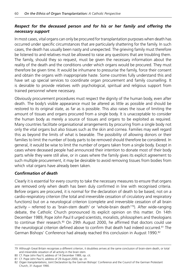## *Respect for the deceased person and for his or her family and offering the necessary support*

In most cases, vital organs can only be procured for transplantation purposes when death has occurred under specific circumstances that are particularly shattering for the family. In such cases, the death has usually been nasty and unexpected. The grieving family must therefore be listened to and relatives must be allowed to raise any questions that are troubling them. The family, should they so request, must be given the necessary information about the reality of the death and the conditions under which organs would be procured. They must therefore be given time. It would be inhumane to pressurise the family, force their consent and obtain the organs with inappropriate haste. Some countries fully understand this and have set up special services to coordinate organ procurement and family counselling. It is desirable to provide relatives with psychological, spiritual and religious support from trained personnel where necessary.

Obviously procurement procedures must respect the dignity of the human body, even after death. The body's visible appearance must be altered as little as possible and should be restored to its original state, as far as is possible. This also raises the issue of limiting the amount of tissues and organs procured from a single body. It is unacceptable to consider the human body as merely a source of tissues and organs to be exploited as required. Many countries facilitate organisational arrangements by procuring from a single body not only the vital organs but also tissues such as the skin and cornea. Families may well regard this as beyond the limits of what is bearable. The possibility of allowing donors or their families to limit the number of body parts to be removed should therefore be considered. In general, it would be wise to limit the number of organs taken from a single body. Except in cases where deceased people had announced their intention to donate most of their body parts while they were still alive, or in cases where the family gives its explicit agreement to such multiple procurement, it may be desirable to avoid removing tissues from bodies from which vital organs have already been taken.

#### *Confirmation of death*

Clearly it is essential for every country to take the necessary measures to ensure that organs are removed only when death has been duly confirmed in line with recognised criteria. Before organs are procured, it is normal for the declaration of death to be based, not on a cardio-respiratory criterion (the total and irreversible cessation of circulatory and respiratory functions) but on a neurological criterion (complete and irreversible cessation of all brain activity – referred to as 'brain-stem death' or 'whole-brain death'79). After wide-ranging debate, the Catholic Church pronounced its explicit opinion on this matter. On 14th December 1989, Pope John Paul II urged scientists, moralists, philosophers and theologians to continue their research.<sup>80</sup> On 29th August 2000, he affirmed that doctors could use the neurological criterion defined above to confirm that death had indeed occurred.<sup>81</sup> The German Bishops' Conference had already reached this conclusion in August 1990.<sup>82</sup>

<sup>79</sup> Although Great Britain recognises a different criterion, it doubtless arrives at the same conclusion of brain-stem death, or total and irreversible cessation of all activity in the brain stem.

<sup>80</sup> Cf. Pope John Paul II, address of 14 December 1989, op. cit.

<sup>81</sup> Cf. Pope John Paul II, address of 29 August 2000, op. cit.

<sup>82</sup> *Organ transplantations*, Joint Declaration by the German Bishops' Conference and the Council of the German Protestant Church, 31 August 1990.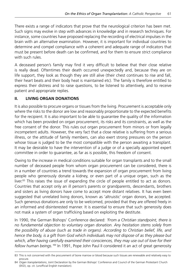There exists a range of indicators that prove that the neurological criterion has been met. Such signs may evolve in step with advances in knowledge and in research techniques. For instance, some countries have proposed replacing the recording of electrical impulses in the brain with an alternative examination. However, it is important for individual countries to determine and compel compliance with a coherent and adequate range of indicators that must be present before death can be confirmed, and for them to ensure strict compliance with such rules.

A deceased person's family may find it very difficult to believe that their close relative is really dead. Oftentimes their death occurred unexpectedly and, because they are on life support, they look as though they are still alive (their chest continues to rise and fall, their heart beats and their body heat is maintained etc). The family is therefore entitled to express their distress and to raise questions, to be listened to attentively, and to receive patient and appropriate replies.

#### **II. LIVING ORGAN DONATIONS**

It is also possible to procure organs or tissues from the living. Procurement is acceptable only where the risks to the donor are low and reasonably proportionate to the expected benefits for the recipient. It is also important to be able to guarantee the quality of the information which has been provided on organ procurement, its risks and its constraints, as well as the free consent of the donor. This rules out organ procurement from minors or from legally incompetent adults. However, the very fact that a close relative is suffering from a serious illness, or the attitude of family members, can also exert strong pressures on the person whose tissue is judged to be the most compatible with the person awaiting a transplant. It may be desirable to have the intervention of a judge or of a specially appointed expert committee in order to guarantee, as far as is possible, this freedom of consent.

Owing to the increase in medical conditions suitable for organ transplants and to the small number of deceased people from whom organ procurement can be considered, there is in a number of countries a trend towards the expansion of organ procurement from living people who generously donate a kidney, or even part of a unique organ, such as the liver.83 This raises the issue of expanding the circle of people entitled to act as donors. Countries that accept only an ill person's parents or grandparents, descendants, brothers and sisters as living donors have come to accept more distant relatives. It has even been suggested that unrelated living donors, known as 'altruistic' organ donors, be accepted. Such generous donations are only to be welcomed, provided that they are offered freely in an informed and disinterested manner. It is essential to ensure that such generosity does not mask a system of organ trafficking based on exploiting the destitute.

In 1990, the German Bishops' Conference declared: *'From a Christian standpoint, there is no fundamental objection to voluntary organ donation. Any hesitation stems solely from the possibility of abuse (such as trade in organs). According to Christian belief, life, and hence the body, is a gift from God which individuals may not dispose of as they please but which, after having carefully examined their consciences, they may use out of love for their fellow human beings.'84* In 1991, Pope John Paul II considered it an act of great generosity

<sup>83</sup> This is not concerned with the procurement of bone marrow or blood because such tissues are renewable and relatively easy to procure.

<sup>84</sup> *Organ transplantations*, Joint Declaration by the German Bishops' Conference and Council of the German Protestant Church (EKD), op. cit. (unofficial English translation).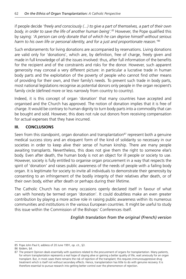if people decide *'freely and consciously (...) to give a part of themselves, a part of their own body, in order to save the life of another human being'.85* However, the Pope qualified this by saying: *'A person can only donate that of which he can deprive himself without serious harm to his own life or personal identity, and for a just and proportionate reason.'86*

Such endorsements for living donations are accompanied by reservations. Living donations are valid only for 'donations', which are, by definition, free of charge, freely given and made in full knowledge of all the issues involved: thus, after full information of the benefits for the recipient and of the constraints and risks for the donor. However, such apparent generosity may conceal a very different picture: in particular a lucrative trade in human body parts and the exploitation of the poverty of people who cannot find other means of providing for their own, and their family's needs. To prevent such trade in body parts, most national legislations recognise as potential donors only people in the organ recipient's family circle (defined more or less narrowly from country to country).

Indeed, it is this concept of organ 'donation' that many countries have accepted and organised and the Church has approved. The notion of donation implies that it is free of charge. It would be contrary to human dignity to turn body parts into a commodity that can be bought and sold. However, this does not rule out donors from receiving compensation for actual expenses that they have incurred.

### **III. CONCLUSIONS**

Seen from this standpoint, organ donation and transplantation<sup>87</sup> represent both a genuine medical success story and an eloquent form of the kind of solidarity so necessary in our societies in order to keep alive their sense of human kinship. There are many people awaiting transplants. Nevertheless, this does not give them the right to someone else's body. Even after death, the human body is not an object for ill people or society to use. However, society is fully entitled to organise organ procurement in a way that respects the spirit of 'donation' and raises public awareness of the needs of people with a failing body organ. It is legitimate for society to invite all individuals to demonstrate their generosity by consenting to an infringement of the bodily integrity of their relatives after death, or of their own body, either after death or perhaps during their lifetime.

The Catholic Church has on many occasions openly declared itself in favour of what can with honesty be termed organ 'donation'. It could doubtless make an even greater contribution by playing a more active role in raising public awareness within its numerous communities and institutions in the various European countries. It might be useful to study this issue within the Commission of the Bishops' Conferences itself.

#### *English translation from the original (French) version*

<sup>85</sup> Pope John Paul II, address of 20 June 1991, op. cit., §3.

<sup>86</sup> Ibidem, §4.

<sup>87</sup> The present Opinion deals essentially with questions related to the procurement of organs for transplantation. Many patients, for whom transplantation represents a real hope of staying alive or gaining a better quality of life, wait anxiously for an organ transplant. But, in most cases there remains the risk of rejection of the transplant; this requires immunosuppressive drug treatment which is itself not without secondary effects. Hence, transplantation has little to do with genuine recovery. It is therefore essential to pursue research into getting better control over the phenomenon of rejection.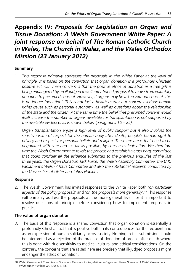# **Appendix IV:** *Proposals for Legislation on Organ and Tissue Donation: A Welsh Government White Paper: A joint response on behalf of The Roman Catholic Church in Wales, The Church in Wales, and the Wales Orthodox Mission (23 January 2012)*

#### **Summary**

1. *This response primarily addresses the proposals in the White Paper at the level of principle. It is based on the conviction that organ donation is a profoundly Christian positive act. Our main concern is that the positive ethos of donation as a free gift is being endangered by an ill-judged if well-intentioned proposal to move from voluntary donation to presumed consent. However, if organs may be taken without consent, this is no longer 'donation'. This is not just a health matter but concerns serious human rights issues such as personal autonomy, as well as questions about the relationship of the state and the citizen. At the same time the belief that presumed consent would itself increase the number of organs available for transplantation is not supported by the available evidence, as is shown below (paragraphs 16 – 25).*

*Organ transplantation enjoys a high level of public support but it also involves the sensitive issue of respect for the human body after death, people's human right to privacy and respect for personal beliefs and religion. These are areas that need to be negotiated with care and, as far as possible, by consensus legislation. We therefore urge the Welsh Government to revisit the process and establish a cross party committee that could consider all the evidence submitted to the previous enquiries of the last three years: the Organ Donation Task Force, the Welsh Assembly Committee, the U.K. Parliament's Welsh Affairs Committee and also the substantial research conducted by the Universities of Ulster and Johns Hopkins.*

#### **Response**

2. The Welsh Government has invited responses to the White Paper both *'on particular aspects of the policy proposals'* and *'on the proposals more generally'*. 88 This response will primarily address the proposals at the more general level, for it is important to resolve questions of principle before considering how to implement proposals in practice.

#### **The value of organ donation**

3. The basis of this response is a shared conviction that organ donation is essentially a profoundly Christian act that is positive both in its consequences for the recipient and as an expression of human solidarity across society. Nothing in this submission should be interpreted as a rejection of the practice of donation of organs after death where this is done with due sensitivity to medical, cultural and ethical considerations. On the contrary, the concerns that are raised here are precisely that ill-judged proposals might endanger the ethos of donation.

<sup>88</sup> Welsh Government *Consultation Document Proposals for Legislation on Organ and Tissue Donation: A Welsh Government White Paper* Number: WG13956, p. 18.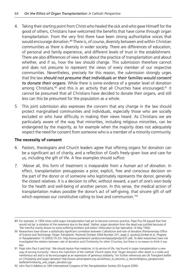- 4. Taking their starting point from Christ who healed the sick and who gave Himself for the good of others, Christians have welcomed the benefits that have come through organ transplantation. From the very first there have been strong authoritative voices that would encourage donation.<sup>89</sup> There is, of course, diversity between and within Christian communities as there is diversity in wider society. There are differences of education, of personal and family experience, and different levels of trust in the establishment. There are also differences of view both about the practice of transplantation and about whether, and if so, how the law should change. This submission therefore cannot and does not presume to represent the views of every member of our respective communities. Nevertheless, precisely for this reason, the submission strongly urges that the law *should not presume that individuals or their families would consent to donate their organs*. While there is some evidence of a greater level of donation among Christians,  $90$  and this is an activity that all Churches have encouraged,  $91$  it cannot be presumed that all Christians have decided to donate their organs, and still less can this be presumed for the population as a whole.
- 5. This joint submission also expresses the concern that any change in the law should protect marginalised communities and individuals, especially those who are socially excluded or who have difficulty in making their views heard. As Christians we are particularly aware of the way that minorities, including religious minorities, can be endangered by the majority, as for example when the majority does not adequately respect the need for consent from someone who is a member of a minority community.

#### **The necessity of consent**

- 6. Pastors, theologians and Church leaders agree that offering organs for donation can be a significant act of charity, and a reflection of God's freely-given love and care for us, including the gift of life. A few examples should suffice:
- 7. 'Above all, this form of treatment is inseparable from a *human act of donation*. In effect, transplantation presupposes a prior, explicit, free and conscious decision on the part of the donor or of someone who legitimately represents the donor, generally the closest relatives. It is a decision to offer, without reward, a part of one's own body for the health and well-being of another person. In this sense, the medical action of transplantation makes possible the donor's act of self-giving, that sincere gift of self which expresses our constitutive calling to love and communion.<sup>'92</sup>

<sup>89</sup> For example, in 1956 when solid organ transplantation had yet to become common practice, Pope Pius XII argued that that would not be 'a violation of the reverence due to the dead'. Rather, organ donation from the dead was justified because of 'the merciful charity shown to some suffering brothers and sisters' (Allocution to Eye Specialists 14 May 1956).

<sup>90</sup> Researchers have shown a statistically significant correlation between Catholicism and rate of donation (Parliamentary Office of Science and Technology 'Organ Transplants' *Postnote* October 2004 Number 231, page 2, quoting Gimbel et al. *Progress in Transplantation* 13 (2003):15-23). http://www.parliament.uk/documents/post/postpn231.pdf, To date researchers have not investigated the relation between rate of donation and Christianity for other Churches, but there is no reason to think it any less.

<sup>91</sup> Pope John Paul II said that, 'We should rejoice that medicine, in its service of life, has found in organ transplantation a new way of serving humanity'. Hence the *Catechism of the Catholic Church* states that 'Organ donation after death is a noble and meritorious act and is to be encouraged as an expression of generous solidarity.' For further references see UK Transplant leaflet on *Christianity and organ donation* http://www.uktransplant.org.uk/ukt/how\_to\_become\_a\_donor/religious\_perspectives/ leaflets/christianity\_and\_organ\_donation.jsp

<sup>92</sup> John Paul II *Address to 18th International Congress of the Transplantation Society* (29 August 2000).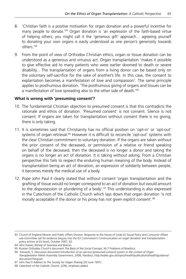- 8. 'Christian faith is a positive motivation for organ donation and a powerful incentive for many people to donate.<sup>'93</sup> Organ donation is 'an expression of the faith-based virtue of helping others; you might call it the 'generous gift' approach… agreeing yourself to donating your own organs is easily understood as one person's generosity towards others.'94
- 9. From the point of view of Orthodox Christian ethics, organ or tissue donation can be understood as a generous and virtuous act. Organ transplantation 'makes it possible to give effective aid to many patients who were earlier doomed to death or severe disability... The transplantation of organs from a living donor can be based only on the voluntary self-sacrifice for the sake of another's life. In this case, the consent to explantation becomes a manifestation of love and compassion'. The same principle applies to posthumous donation. 'The posthumous giving of organs and tissues can be a manifestation of love spreading also to the other side of death.'95

#### **What is wrong with 'presuming consent'?**

- 10. The fundamental Christian objection to presumed consent is that this contradicts the rationale and ethos of donation. 'Presumed consent' is not consent. Silence is not consent. If organs are taken for transplantation without consent there is no giving, there is only taking.
- 11. It is sometimes said that Christianity has no official position on 'opt-in' or 'opt-out' systems of organ retrieval.<sup>96</sup> However it is difficult to reconcile 'opt-out' systems with the clear Christian commitment to voluntary donation. If the organs are taken without the prior consent of the deceased, or permission of a relative or friend speaking on behalf of the deceased, then the deceased is no longer a *donor* and taking the organs is no longer an act of *donation*. It is taking without asking. From a Christian perspective this fails to respect the enduring human meaning of the body. Instead of transplantation being an act of donation, an expression of solidarity between people, it becomes merely the medical use of a body.
- 12. Pope John Paul II clearly stated that without consent 'organ transplantation and the grafting of tissue would no longer correspond to an act of donation but would amount to the dispossession or plundering of a body'. $97$  This understanding is also expressed in the Catechism of the Catholic Church which lays down that organ donation 'is not morally acceptable if the donor or his proxy has not given *explicit consent*'.98

<sup>93</sup> Church of England Mission and Public Affairs Division: Response to the House of Lords EU Social Policy and Consumer Affairs sub-committee call for evidence (Inquiry into the EU Commission's Communication on organ donation and transplantation: policy actions at EU level), October 2007, §2.

<sup>94</sup> John Davies, Bishop of Swansea and Brecon.

<sup>95</sup> Russian Orthodox Church's document *The Basis of the Social Concept*, XII.7 Problems of Bioethics.

<sup>96</sup> Edwards, S. *Discussion document Introduction of an opt-out (presumed consent) system in the context of Organ Transplantation* Welsh Assembly Government, 2008, Handout, http://wales.gov.uk/topics/health/publications/health/guidance/ discussion/?lang=en

<sup>97</sup> John Paul II *Address to The Society for Organ Sharing* (20 June 1991).

<sup>98</sup> *Catechism of the Catholic Church*, 2296, emphasis added.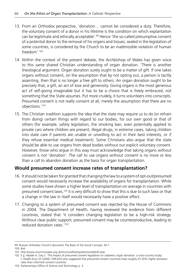- 13. From an Orthodox perspective, 'donation… cannot be considered a duty. Therefore, the voluntary consent of a donor in his lifetime is the condition on which explantation can be legitimate and ethically acceptable'.<sup>99</sup> Hence 'the so-called presumptive consent of a potential donor to the removal of his organs and tissues, sealed in the legislation of some countries, is considered by the Church to be an inadmissible violation of human freedom'.100
- 14. Within the context of the present debate, the Archbishop of Wales has given voice to this same shared Christian understanding of organ donation. 'There is another theological argument. Organ donation surely ought to be a matter of gift. If one takes organs without consent, on the assumption that by not opting out, a person is tacitly assenting, then that is no longer a free gift to others. An organ donation ought to be precisely that, a gift, an act of love and generosity. Giving organs is the most generous act of self-giving imaginable but it has to be a choice that is freely embraced, not something that the State assumes. Put more crudely, it turns volunteers into conscripts. Presumed consent is not really consent at all, merely the assumption that there are no objections.'101
- 15. The Christian tradition supports the idea that the state may require us to do (or refrain from doing) certain things with regard to our bodies, for our own good or that of others (for example, safety legislation; the smoking ban, even potentially applied to private cars where children are present; illegal drugs; in extreme cases, taking children into state care if parents are unable or unwilling to act in their best interests, or if they refuse essential medical treatment). Some Christians also argue that the state should be able to use organs from dead bodies without our explicit voluntary consent. However, those who argue in this way must acknowledge that taking organs without consent is not 'donation'. The call to use organs without consent is no more or less than a call to abandon donation as the basis for organ transplantation.

## **Would presumed consent increase rates of transplantation?**

- 16. It should not be taken for granted that changing the law to a system of opt-out/presumed consent would necessarily increase the availability of organs for transplantation. While some studies have shown a higher level of transplantation on average in countries with presumed consent laws,<sup>102</sup> it is very difficult to show that this is due to such laws or that a change in the law in itself would necessarily have a positive effect.
- 17. Changing to a system of presumed consent was rejected by the House of Commons in 2004. The Department of Health, having reviewed the evidence from different countries, stated that 'it considers changing legislation to be a high-risk strategy. Without clear public support, presumed consent may be counterproductive, leading to reduced donation rates.'103

<sup>99</sup> Russian Orthodox Church's document The Basis of the Social Concept, XII.7.

<sup>100</sup> Ibid.

<sup>101</sup> http://www.churchinwales.org.uk/structure/bishops/sermonsb/b43.php

<sup>102</sup> E.g. Abadie A, Gay S. 'The Impact of presumed consent legislation on cadaveric organ donation: a cross-country study,' *J. Health Econ* 25 (2006): 599-620 who suggested that presumed consent countries have roughly 25-30% higher donation rates than informed consent countries.

<sup>103</sup> Parliamentary Office of Science and Technology, p. 3.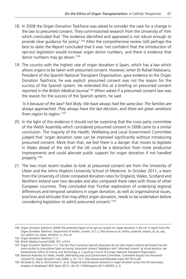- 18. In 2008 the Organ Donation Taskforce was asked to consider the case for a change in the law to presumed consent. They commissioned research from the University of York which concluded that 'The evidence identified and appraised is not robust enough to provide clear guidance for policy'.<sup>104</sup> After the comprehensive review (still perhaps the best to date) the Report concluded that it was 'not confident that the introduction of opt-out legislation would increase organ donor numbers, and there is evidence that donor numbers may go down.'105
- 19. The country with the highest rate of organ donation is Spain, which has a law which allows organs to be taken with presumed consent. However, when Dr Rafael Matesanz, President of the Spanish National Transplant Organisation, gave evidence to the Organ Donation Taskforce, he was explicit: presumed consent was not the reason for the success of the Spanish system. He reiterated this at a briefing on presumed consent reported in the *British Medical Journal*.<sup>106</sup> When asked if a presumed consent law was the reason for the success of the Spanish system, he said:

*'Is it because of the law? Not likely. We have always had the same law. The families are always approached. They always have the last decision, and there are great variations from region to region.'107*

- 20. In the light of this evidence it should not be surprising that the cross party committee of the Welsh Assembly which considered presumed consent in 2008 came to a similar conclusion. The majority of the Health, Wellbeing and Local Government Committee judged that 'organ donation rates can be improved significantly without introducing presumed consent. More than that, we feel there is a danger that moves to legislate in Wales ahead of the rest of the UK could be a distraction from more productive improvements and could alienate public support for organ donation if not handled properly.'108
- 21. The two most recent studies to look at presumed consent are from the University of Ulster and the Johns Hopkins University School of Medicine. In October 2011, a team from the University of Ulster compared donation rates for England, Wales, Scotland and Northern Ireland over two decades and also compared these rates with those of other European countries. They concluded that 'Further exploration of underlying regional differences and temporal variations in organ donation, as well as organisational issues, practices and attitudes that may affect organ donation, needs to be undertaken before considering legislation to admit presumed consent.'109

<sup>104</sup> Organ Donation Taskforce (2008) *The potential impact of an opt-out system for organ donation in the UK: A report from the Organ Donation Taskforce*, Department of Health, London, §11.2, http://www.ics.ac.uk/the\_potential\_impact\_of\_an\_opt\_ out\_system\_to\_organ\_donation\_in\_the\_uk

<sup>105</sup> Organ Donation Taskforce 11.5.

<sup>106</sup> *British Medical Journal* 2008; 337: a1614.

<sup>107</sup> Organ Donation Taskforce 11.3. The fact that in practice Spanish physicians do not take organs without permission has led some studies to characterise Spain as having 'presumed consent' legislation with 'informed consent' as actual practice, see Parliamentary Office of Science and Technology, p. 2 quoting Council of Europe; National Transplant Organisation.

<sup>108</sup> National Assembly for Wales, Health, Well-being and Local Government Committee, *Committee Inquiry into Presumed Consent for Organ Donation* (July 2008), p. 32, 10.3. http://www.assemblywales.org/cr-ld7192-e.pdf

<sup>109</sup> McGlade D, Rae G, McClenahan C, et al. 'Regional and temporal variations in organ donation across the UK (secondary analyses of databases)' *BMJ Open* (2011). doi:10.1136/bmjopen-2011-000055, p. 6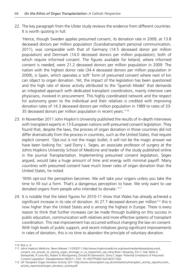22. The key paragraph from the Ulster study reviews the evidence from different countries. It is worth quoting in full:

'Hence, though Sweden applies presumed consent, its donation rate in 2009, at 13.8 deceased donors per million population (Scandiatransplant personal communication, 2011), was comparable with that of Germany (14.5 deceased donor per million population) and Denmark (14.0 deceased donors per million population); both of which require informed consent. The figures available for Ireland, where informed consent is needed, were 21.2 deceased donors per million population in 2009. The nation with the highest donor rate (34.4 deceased donors per million population in 2009), is Spain, which operates a 'soft' form of presumed consent where next of kin can object to organ donation. Yet, the impact of the legislation has been questioned and the high rate of donor activity attributed to the 'Spanish Model' that demands an integrated approach with dedicated transplant coordinators, mainly intensive care physicians, involved in procurement. This highly coordinated network and the respect for autonomy given to the individual and their relatives is credited with improving donation rates of 14.3 deceased donors per million population in 1989 to rates of 33- 35 deceased donors per million population in recent years.'110

23. In November 2011 John Hopkin's University published the results of in-depth interviews with transplant experts in 13 European nations with presumed consent legislation. They found that, despite the laws, the process of organ donation in those countries did not differ dramatically from the process in countries, such as the United States, that require explicit consent. 'Opt-out is not the magic bullet; it will not be the magic answer we have been looking for,' said Dorry L. Segev, an associate professor of surgery at the Johns Hopkins University School of Medicine and leader of the study published online in the journal Transplantation. Implementing presumed consent legislation, Segev argued, would take a huge amount of time and energy with minimal payoff. Many countries with presumed consent have much lower rates of organ donation than the United States, he noted.

'With opt-out the perception becomes: We will take your organs unless you take the time to fill out a form. That's a dangerous perception to have. We only want to use donated organs from people who intended to donate.'<sup>111</sup>

24. It is notable that the latest figures for 2010-11 show that Wales has already achieved a significant increase in its rate of donation. At 27.7 deceased donors per million<sup>112</sup> this is now higher than the United States and is among the highest in Europe. There is every reason to think that further increases can be made through building on this success in public education, communication with relatives and more effective systems of transplant coordination. This real improvement has occurred without changing the law on consent. With high levels of public support, and recent initiatives giving significant improvements in rates of donation, this is no time to abandon the principle of voluntary donation.

<sup>110</sup> Ibid, p. 6.

<sup>111</sup> Johns Hopkins Medicine, News Release 11/29/2011 http://www.hopkinsmedicine.org/news/media/releases/presumed\_ consent\_not\_answer\_to\_solving\_organ\_shortage\_in\_us\_researchers\_say citing Brian J Boyarsky, Erin C Hall, Neha A Deshpande, R Lorie Ros, Robert A Montgomery, Donald M Steinwachs, Dorry L Segev 'Potential Limitations of Presumed Consent Legislation' *Transplantation* 09/2011; DOI: 10.1097/TP.0b013e31823173e0.

<sup>112</sup> UK Transplant Organ Donation Activity 2011 http://www.uktransplant.org.uk/ukt/statistics/transplant\_activity\_report/current\_ activity\_reports/ukt/organ\_donation\_activity.pdf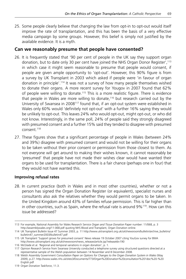25. Some people clearly believe that changing the law from opt-in to opt-out would itself improve the rate of transplantation, and this has been the basis of a very effective media campaign by some groups. However, this belief is simply not justified by the available evidence. It is a myth.

## **Can we reasonably presume that people have consented?**

- 26. It is frequently stated that '90 per cent of people in the UK say they support organ donation, but to date only 30 per cent have joined the NHS Organ Donor Register',113 in which case it might seem reasonable to presume that people would consent, if people are given ample opportunity to 'opt-out'. However, this 90% figure is from a survey by UK Transplant in 2003 which asked if people were 'in favour of organ donation in principle'.114 It was not a survey of how many people themselves wished to donate their organs. A more recent survey for Yougov in 2007 found that 62% of people were willing to donate.<sup>115</sup> This is a more realistic figure. There is evidence that people in Wales are more willing to donate,<sup>116</sup> but research carried out by the University of Swansea in 2008<sup>117</sup> found that, if an opt-out system were established in Wales only 60% would 'definitely not opt-out' with a further 16% saying they would be unlikely to opt-out. This leaves 24% who would opt-out, might opt-out, or who did not know. Interestingly, in the same poll, 24% of people said they strongly disagreed with presumed consent and a further 15% said they tended to disagree with presumed consent.118
- 27. These figures show that a significant percentage of people in Wales (between 24% and 39%) disagree with presumed consent and would not be willing for their organs to be taken without their prior consent or permission from those closest to them. As not everyone will get around to making their wishes known, it cannot reasonably be 'presumed' that people have not made their wishes clear would have wanted their organs to be used for transplantation. There is a fair chance (perhaps one in four) that they would not have wanted this.

## **Improving refusal rates**

28. In current practice (both in Wales and in most other countries), whether or not a person has signed the Organ Donation Register (or equivalent), specialist nurses and consultants also ask the relatives whether they would permit organs to be taken. In the United Kingdom around 43% of families refuse permission. This is far higher than in other countries, such as Spain, where the refusal rate is around 9%<sup>119</sup>. How can this issue be addressed?

<sup>113</sup> For example, National Assembly for Wales Research Service *Organ and Tissue Donation* Paper number: 11/068, p. 3 http://assemblywales.org/11-068.pdf quoting NHS Blood and Transplant, Organ Donation online.

<sup>114</sup> UK Transplant Bulletin Issue 47 Summer 2003, p. 11 http://www.uktransplant.org.uk/ukt/newsroom/bulletin/archive\_bulletins/ bulletin47\_summer2003/bulletin47.pdf

<sup>115</sup> UK Transplant 'Support grows for presumed consent' News release 19 October 2007 citing YouGov survey for BMA http://www.uktransplant.org.uk/ukt/newsroom/news\_releases/article.jsp?releaseId=190

<sup>116</sup> McGlade et al. 'Regional and temporal variations in organ donation', p. 1.

<sup>117</sup> Opinion Research Service from Swansea University conducted a telephone survey using structured questions directed at a representative sample of the Welsh population between 14 November and 8 December 2008.

<sup>118</sup> Welsh Assembly Government *Consultation Paper on Options for Changes to the Organ Donation System in Wales* (May 2009), p.27. http://www.wales.nhs.uk/sites3/Documents/773/Organ%20Donation%20consultation%201doc%20-%20 English.pdf

<sup>119</sup> Organ Donation Taskforce, 11.3.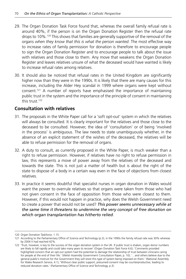- 29. The Organ Donation Task Force found that, whereas the overall family refusal rate is around 40%, if the person is on the Organ Donation Register then the refusal rate drops to 10%.120 This shows that families are generally supportive of the removal of the organs *when they know that this is what the person wanted*. The most effective way to increase rates of family permission for donation is therefore to encourage people to sign the Organ Donation Register and to encourage people to talk about the issue with relatives and those close to them. Any move that weakens the Organ Donation Register and leaves relatives unsure of what the deceased would have wanted is likely to increase refusal rates among relatives.
- 30. It should also be noticed that refusal rates in the United Kingdom are significantly higher now than they were in the 1990s. It is likely that there are many causes for this increase, including the Alder Hey scandal in 1999 where organs were kept without consent.121 A number of reports have emphasised the importance of maintaining public trust in the system and the importance of the principle of consent in maintaining this trust.122

## **Consultation with relatives**

- 31. The proposals in the White Paper call for a 'soft opt-out' system in which the relatives will always be consulted. It is clearly important for the relatives and those close to the deceased to be consulted. However, the idea of 'consultation' or of being 'involved in the process' is ambiguous. The law needs to state unambiguously whether, in the absence of an explicit statement of the wishes of the deceased, the relatives will be able to refuse permission for the removal of organs.
- 32. A duty to consult, as currently proposed in the White Paper, is much weaker than a right to refuse permission. However, if relatives have no right to refuse permission in law, this represents a move of power away from the relatives of the deceased and towards the state. This is not just a matter of health but is about the right of the state to dispose of a body in a certain way even in the face of objections from closest relatives.
- 33. In practice it seems doubtful that specialist nurses in organ donation in Wales would want the power to overrule relatives so that organs were taken from those who had not given consent in the face of opposition from those who were closest to them. However, if this would not happen in practice, why does the Welsh Government need to create a power that would not be used? *This power seems unnecessary while at the same time it threatens to undermine the very concept of free donation on which organ transplantation has hitherto relied*.

<sup>120</sup> Organ Donation Taskforce, 1.15.

<sup>121</sup> According to the Parliamentary Office of Science and Technology (p.3), in the 1990s the family refusal rate was 30% whereas by 2004 it had reached 42%.

<sup>122 &#</sup>x27;Trust, however, is key to the success of the organ donation system in the UK. If public trust is shaken, organ donor numbers are likely to fall rapidly and could take many years to recover' (Organ Donation Task Force 4.6); 'Comments provided highlighted concern that an opt-out system had the potential to damage the relationship of trust between clinicians caring for people at the end of their life.' (Welsh Assembly Government Consultation Paper, p. 10); '…and others believe due to the general public's mistrust for the Government they will resist this type of system being imposed on them.' (National Assembly for Wales Research Service, 4.1); 'Without clear public support, presumed consent may be counterproductive, leading to reduced donation rates.' (Parliamentary Office of Science and Technology, p.3).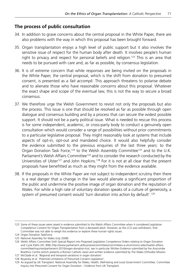## **The process of public consultation**

- 34. In addition to grave concerns about the central proposal in the White Paper, there are also problems with the way in which this proposal has been brought forward.
- 35. Organ transplantation enjoys a high level of public support but it also involves the sensitive issue of respect for the human body after death. It involves people's human right to privacy and respect for personal beliefs and religion.<sup>123</sup> This is an area that needs to be pursued with care and, as far as possible, by consensus legislation.
- 36. It is of extreme concern that while responses are being invited on the proposals in the White Paper, the central proposal, which is the shift from donation to presumed consent, is presented as a *fait accompli*. This approach threatens to polarise debate and to alienate those who have reasonable concerns about this proposal. Whatever the exact shape and scope of the eventual law, this is not the way to secure a broad consensus.
- 37. We therefore urge the Welsh Government to revisit not only the proposals but also the process. This issue is one that should be resolved as far as possible through open dialogue and consensus building and by a process that can secure the widest possible support. It should not be a party political issue. What is needed to rescue this process is for some independent, academic, or cross-party body to conduct a genuinely open consultation which would consider a range of possibilities without prior commitments to a particular legislative proposal. They might reasonably look at systems that include aspects of opt-in, opt-out and mandated choice. It would also helpfully consider the evidence submitted to the previous enquiries of the last three years: to the Organ Donation Task Force,<sup>124</sup> to the Welsh Assembly Committee<sup>125</sup> and to the U.K. Parliament's Welsh Affairs Committee<sup>126</sup> and to consider the research conducted by the Universities of Ulster<sup>127</sup> and John Hopkins.<sup>128</sup> For it is not at all clear that the present proposals have benefitted as much as they might from the evidence available.
- 38. If the proposals in the White Paper are not subject to independent scrutiny then there is a real danger that a change in the law would alienate a significant proportion of the public and undermine the positive image of organ donation and the reputation of Wales. For while a high rate of voluntary donation speaks of a culture of generosity, a system of presumed consent would 'turn donation into action by default'.129

125 National Assembly for Wales (July 2008).

<sup>123</sup> Some of these issues were raised in evidence submitted to the Welsh Affairs Committee when it considered Legislative Competence Consent for Organ Transplantation from a deceased adult. However, as the LCO was withdrawn, that Committee was not able to weigh this evidence or explore these human rights issues.

<sup>124</sup> Organ Donation TaskForce.

<sup>126</sup> Welsh Affairs Committee Sixth Special Report into Proposed Legislative Competence Orders relating to Organ Donation and Cycle Paths (HC 896) http://www.parliament.uk/business/committees/committees-a-z/commons-select/welsh-affairscommittee/inquiries/parliament-2010/organ-donation-lco/, see in particular Written Evidence submitted by the Anscombe Bioethics Centre (which presents a Roman Catholic view) and written evidence submitted by The Wales Orthodox Mission.

<sup>127</sup> McGlade et al. 'Regional and temporal variations in organ donation'.

<sup>128</sup> Boyarsky et al. 'Potential Limitations of Presumed Consent Legislation'.

<sup>129</sup> As argued by UK Transplant: National Assembly for Wales, Health, Well-being and Local Government Committee, Committee Inquiry into Presumed Consent for Organ Donation – Evidence from UK Transplant.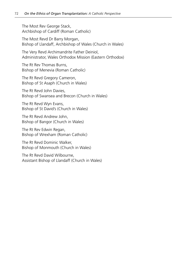The Most Rev George Stack, Archbishop of Cardiff (Roman Catholic)

The Most Revd Dr Barry Morgan, Bishop of Llandaff, Archbishop of Wales (Church in Wales)

The Very Revd Archimandrite Father Deiniol, Administrator, Wales Orthodox Mission (Eastern Orthodox)

The Rt Rev Thomas Burns, Bishop of Menevia (Roman Catholic)

The Rt Revd Gregory Cameron, Bishop of St Asaph (Church in Wales)

The Rt Revd John Davies, Bishop of Swansea and Brecon (Church in Wales)

The Rt Revd Wyn Evans, Bishop of St David's (Church in Wales)

The Rt Revd Andrew John, Bishop of Bangor (Church in Wales)

The Rt Rev Edwin Regan, Bishop of Wrexham (Roman Catholic)

The Rt Revd Dominic Walker, Bishop of Monmouth (Church in Wales)

The Rt Revd David Wilbourne, Assistant Bishop of Llandaff (Church in Wales)